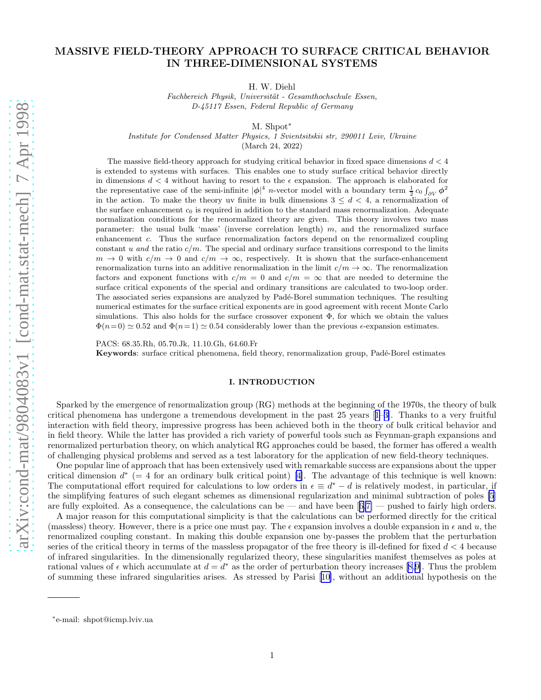# MASSIVE FIELD-THEORY APPROACH TO SURFACE CRITICAL BEHAVIOR IN THREE-DIMENSIONAL SYSTEMS

H. W. Diehl

Fachbereich Physik, Universität - Gesamthochschule Essen, D-45117 Essen, Federal Republic of Germany

M. Shpot<sup>\*</sup>

Institute for Condensed Matter Physics, 1 Svientsitskii str, 290011 Lviv, Ukraine

(March 24, 2022)

The massive field-theory approach for studying critical behavior in fixed space dimensions  $d < 4$ is extended to systems with surfaces. This enables one to study surface critical behavior directly in dimensions  $d < 4$  without having to resort to the  $\epsilon$  expansion. The approach is elaborated for the representative case of the semi-infinite  $|\phi|^4$  *n*-vector model with a boundary term  $\frac{1}{2}c_0 \int_{\partial V} \phi^2$ in the action. To make the theory uv finite in bulk dimensions  $3 \leq d < 4$ , a renormalization of the surface enhancement  $c_0$  is required in addition to the standard mass renormalization. Adequate normalization conditions for the renormalized theory are given. This theory involves two mass parameter: the usual bulk 'mass' (inverse correlation length)  $m$ , and the renormalized surface enhancement c. Thus the surface renormalization factors depend on the renormalized coupling constant u and the ratio  $c/m$ . The special and ordinary surface transitions correspond to the limits  $m \to 0$  with  $c/m \to 0$  and  $c/m \to \infty$ , respectively. It is shown that the surface-enhancement renormalization turns into an additive renormalization in the limit  $c/m \to \infty$ . The renormalization factors and exponent functions with  $c/m = 0$  and  $c/m = \infty$  that are needed to determine the surface critical exponents of the special and ordinary transitions are calculated to two-loop order. The associated series expansions are analyzed by Padé-Borel summation techniques. The resulting numerical estimates for the surface critical exponents are in good agreement with recent Monte Carlo simulations. This also holds for the surface crossover exponent  $\Phi$ , for which we obtain the values  $\Phi(n=0) \simeq 0.52$  and  $\Phi(n=1) \simeq 0.54$  considerably lower than the previous  $\epsilon$ -expansion estimates.

PACS: 68.35.Rh, 05.70.Jk, 11.10.Gh, 64.60.Fr Keywords: surface critical phenomena, field theory, renormalization group, Padé-Borel estimates

#### I. INTRODUCTION

Sparked by the emergence of renormalization group (RG) methods at the beginning of the 1970s, the theory of bulk critical phenomena has undergone a tremendous development in the past 25 years[[1–3\]](#page-37-0). Thanks to a very fruitful interaction with field theory, impressive progress has been achieved both in the theory of bulk critical behavior and in field theory. While the latter has provided a rich variety of powerful tools such as Feynman-graph expansions and renormalized perturbation theory, on which analytical RG approaches could be based, the former has offered a wealth of challenging physical problems and served as a test laboratory for the application of new field-theory techniques.

One popular line of approach that has been extensively used with remarkable success are expansions about the upper criticaldimension  $d^*$  (= 4 for an ordinary bulk critical point) [[4\]](#page-37-0). The advantage of this technique is well known: The computational effort required for calculations to low orders in  $\epsilon \equiv d^* - d$  is relatively modest, in particular, if the simplifying features of such elegant schemes as dimensional regularization and minimal subtraction of poles [\[5](#page-37-0)] arefully exploited. As a consequence, the calculations can be — and have been  $[6,7]$  $[6,7]$  — pushed to fairly high orders.

A major reason for this computational simplicity is that the calculations can be performed directly for the critical (massless) theory. However, there is a price one must pay. The  $\epsilon$  expansion involves a double expansion in  $\epsilon$  and u, the renormalized coupling constant. In making this double expansion one by-passes the problem that the perturbation series of the critical theory in terms of the massless propagator of the free theory is ill-defined for fixed  $d < 4$  because of infrared singularities. In the dimensionally regularized theory, these singularities manifest themselves as poles at rationalvalues of  $\epsilon$  which accumulate at  $d = d^*$  as the order of perturbation theory increases [[8](#page-37-0),[9\]](#page-37-0). Thus the problem of summing these infrared singularities arises. As stressed by Parisi[[10\]](#page-37-0), without an additional hypothesis on the

<sup>∗</sup> e-mail: shpot@icmp.lviv.ua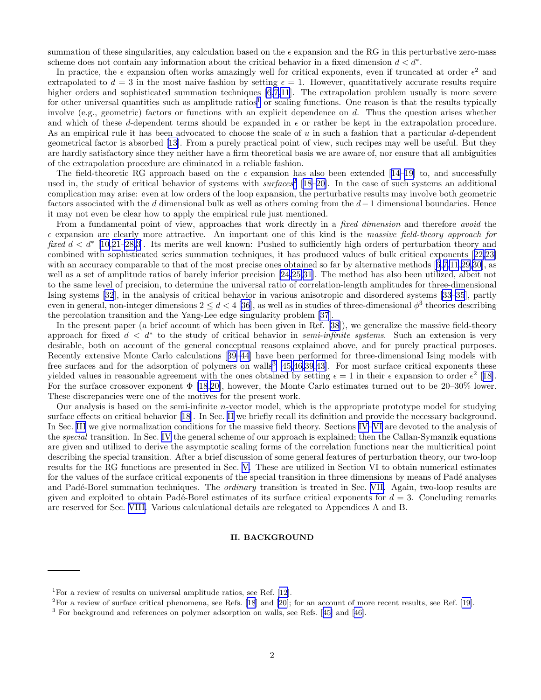summation of these singularities, any calculation based on the  $\epsilon$  expansion and the RG in this perturbative zero-mass scheme does not contain any information about the critical behavior in a fixed dimension  $d < d^*$ .

In practice, the  $\epsilon$  expansion often works amazingly well for critical exponents, even if truncated at order  $\epsilon^2$  and extrapolated to  $d = 3$  in the most naive fashion by setting  $\epsilon = 1$ . However, quantitatively accurate results require higher orders and sophisticated summation techniques [\[6,7](#page-37-0),[11](#page-37-0)]. The extrapolation problem usually is more severe for other universal quantities such as amplitude ratios<sup>1</sup> or scaling functions. One reason is that the results typically involve (e.g., geometric) factors or functions with an explicit dependence on  $d$ . Thus the question arises whether and which of these d-dependent terms should be expanded in  $\epsilon$  or rather be kept in the extrapolation procedure. As an empirical rule it has been advocated to choose the scale of u in such a fashion that a particular d-dependent geometrical factor is absorbed[[13\]](#page-37-0). From a purely practical point of view, such recipes may well be useful. But they are hardly satisfactory since they neither have a firm theoretical basis we are aware of, nor ensure that all ambiguities of the extrapolation procedure are eliminated in a reliable fashion.

Thefield-theoretic RG approach based on the  $\epsilon$  expansion has also been extended [[14–19\]](#page-37-0) to, and successfully used in, the study of critical behavior of systems with  $\textit{surfaces}^2$  [[18–20](#page-37-0)]. In the case of such systems an additional complication may arise: even at low orders of the loop expansion, the perturbative results may involve both geometric factors associated with the d dimensional bulk as well as others coming from the  $d-1$  dimensional boundaries. Hence it may not even be clear how to apply the empirical rule just mentioned.

From a fundamental point of view, approaches that work directly in a *fixed dimension* and therefore *avoid* the  $\epsilon$  expansion are clearly more attractive. An important one of this kind is the massive field-theory approach for fixed  $d < d^*$  [[10,21](#page-37-0)[–28,](#page-38-0)[3](#page-37-0)]. Its merits are well known: Pushed to sufficiently high orders of perturbation theory and combined with sophisticated series summation techniques, it has produced values of bulk critical exponents[[22,23\]](#page-38-0) withan accuracy comparable to that of the most precise ones obtained so far by alternative methods [[6,7,11](#page-37-0)[,29,30](#page-38-0)], as well as a set of amplitude ratios of barely inferior precision[[24,25,31](#page-38-0)]. The method has also been utilized, albeit not to the same level of precision, to determine the universal ratio of correlation-length amplitudes for three-dimensional Ising systems [\[32](#page-38-0)], in the analysis of critical behavior in various anisotropic and disordered systems [\[33–35](#page-38-0)], partly even in general, non-integer dimensions  $2 \leq d < 4$  [\[36](#page-38-0)], as well as in studies of three-dimensional  $\phi^3$  theories describing the percolation transition and the Yang-Lee edge singularity problem [\[37](#page-38-0)].

In the present paper (a brief account of which has been given in Ref. [\[38](#page-38-0)]), we generalize the massive field-theory approach for fixed  $d < d^*$  to the study of critical behavior in *semi-infinite systems*. Such an extension is very desirable, both on account of the general conceptual reasons explained above, and for purely practical purposes. Recently extensive Monte Carlo calculations[[39–44](#page-38-0)] have been performed for three-dimensional Ising models with free surfaces and for the adsorption of polymers on walls<sup>3</sup> [\[45,46,39](#page-38-0),[43](#page-38-0)]. For most surface critical exponents these yielded values in reasonable agreement with the ones obtained by setting  $\epsilon = 1$  in their  $\epsilon$  expansion to order  $\epsilon^2$  [[18\]](#page-37-0). For the surface crossover exponent  $\Phi$  [\[18,20](#page-37-0)], however, the Monte Carlo estimates turned out to be 20–30% lower. These discrepancies were one of the motives for the present work.

Our analysis is based on the semi-infinite n-vector model, which is the appropriate prototype model for studying surface effects on critical behavior[[18\]](#page-37-0). In Sec. II we briefly recall its definition and provide the necessary background. In Sec. [III](#page-6-0) we give normalization conditions for the massive field theory. Sections [IV–](#page-8-0)[VI](#page-14-0) are devoted to the analysis of the special transition. In Sec. [IV](#page-8-0) the general scheme of our approach is explained; then the Callan-Symanzik equations are given and utilized to derive the asymptotic scaling forms of the correlation functions near the multicritical point describing the special transition. After a brief discussion of some general features of perturbation theory, our two-loop results for the RG functions are presented in Sec. [V.](#page-11-0) These are utilized in Section VI to obtain numerical estimates for the values of the surface critical exponents of the special transition in three dimensions by means of Padé analyses and Padé-Borel summation techniques. The *ordinary* transition is treated in Sec. [VII.](#page-19-0) Again, two-loop results are given and exploited to obtain Padé-Borel estimates of its surface critical exponents for  $d = 3$ . Concluding remarks are reserved for Sec. [VIII.](#page-26-0) Various calculational details are relegated to Appendices A and B.

# II. BACKGROUND

<sup>&</sup>lt;sup>1</sup>For a review of results on universal amplitude ratios, see Ref.  $[12]$ .

 ${}^{2}$ For a review of surface critical phenomena, see Refs. [\[18](#page-37-0)] and [\[20\]](#page-37-0); for an account of more recent results, see Ref. [\[19\]](#page-37-0).

<sup>3</sup> For background and references on polymer adsorption on walls, see Refs.[[45\]](#page-38-0) and[[46](#page-38-0)].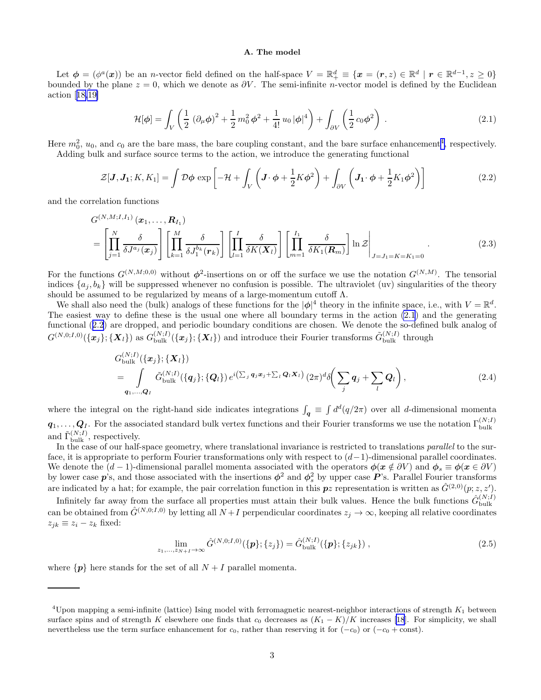#### A. The model

<span id="page-2-0"></span>Let  $\phi = (\phi^a(\mathbf{x}))$  be an n-vector field defined on the half-space  $V = \mathbb{R}^d_+ \equiv {\mathbf{x} = (\mathbf{r}, z) \in \mathbb{R}^d \mid \mathbf{r} \in \mathbb{R}^{d-1}, z \geq 0}$ bounded by the plane  $z = 0$ , which we denote as  $\partial V$ . The semi-infinite n-vector model is defined by the Euclidean action[[18,19\]](#page-37-0)

$$
\mathcal{H}[\phi] = \int_{V} \left( \frac{1}{2} \left( \partial_{\mu} \phi \right)^{2} + \frac{1}{2} m_{0}^{2} \phi^{2} + \frac{1}{4!} u_{0} |\phi|^{4} \right) + \int_{\partial V} \left( \frac{1}{2} c_{0} \phi^{2} \right) . \tag{2.1}
$$

Here  $m_0^2$ ,  $u_0$ , and  $c_0$  are the bare mass, the bare coupling constant, and the bare surface enhancement<sup>4</sup>, respectively.

Adding bulk and surface source terms to the action, we introduce the generating functional

$$
\mathcal{Z}[\mathbf{J}, \mathbf{J}_1; K, K_1] = \int \mathcal{D}\phi \exp\left[-\mathcal{H} + \int_V \left(\mathbf{J} \cdot \phi + \frac{1}{2}K\phi^2\right) + \int_{\partial V} \left(\mathbf{J}_1 \cdot \phi + \frac{1}{2}K_1\phi^2\right)\right]
$$
(2.2)

and the correlation functions

$$
G^{(N,M;I,I_1)}(\boldsymbol{x}_1,\ldots,\boldsymbol{R}_{I_1})
$$
\n
$$
= \left[\prod_{j=1}^N \frac{\delta}{\delta J^{a_j}(\boldsymbol{x}_j)}\right] \left[\prod_{k=1}^M \frac{\delta}{\delta J_1^{b_k}(\boldsymbol{r}_k)}\right] \left[\prod_{l=1}^I \frac{\delta}{\delta K(\boldsymbol{X}_l)}\right] \left[\prod_{m=1}^{I_1} \frac{\delta}{\delta K_1(\boldsymbol{R}_m)}\right] \ln \mathcal{Z}\Big|_{J=J_1=K=K_1=0}.
$$
\n(2.3)

For the functions  $G^{(N,M;0,0)}$  without  $\phi^2$ -insertions on or off the surface we use the notation  $G^{(N,M)}$ . The tensorial indices  $\{a_j, b_k\}$  will be suppressed whenever no confusion is possible. The ultraviolet (uv) singularities of the theory should be assumed to be regularized by means of a large-momentum cutoff  $\Lambda$ .

We shall also need the (bulk) analogs of these functions for the  $|\phi|^4$  theory in the infinite space, i.e., with  $V = \mathbb{R}^d$ . The easiest way to define these is the usual one where all boundary terms in the action (2.1) and the generating functional (2.2) are dropped, and periodic boundary conditions are chosen. We denote the so-defined bulk analog of  $G^{(N,0;I,0)}(\{\bm{x}_j\}; {\{\bm{X}_l\}})$  as  $G_{\rm bulk}^{(N;I)}(\{\bm{x}_j\}; {\{\bm{X}_l\}})$  and introduce their Fourier transforms  $\tilde{G}_{\rm bulk}^{(N;I)}$  through

$$
G_{\text{bulk}}^{(N;I)}(\{\boldsymbol{x}_j\};\{\boldsymbol{X}_l\})
$$
\n
$$
= \int\limits_{\boldsymbol{q}_1,\ldots,\boldsymbol{Q}_I} \tilde{G}_{\text{bulk}}^{(N;I)}(\{\boldsymbol{q}_j\};\{\boldsymbol{Q}_l\}) e^{i(\sum_j \boldsymbol{q}_j \boldsymbol{x}_j + \sum_l \boldsymbol{Q}_l \boldsymbol{X}_l)} (2\pi)^d \delta\left(\sum_j \boldsymbol{q}_j + \sum_l \boldsymbol{Q}_l\right), \tag{2.4}
$$

where the integral on the right-hand side indicates integrations  $\int_{\mathbf{q}} \equiv \int d^d(q/2\pi)$  over all d-dimensional momenta  $q_1, \ldots, Q_l$ . For the associated standard bulk vertex functions and their Fourier transforms we use the notation  $\Gamma_{\text{bulk}}^{(N;I)}$ and  $\tilde{\Gamma}_{\text{bulk}}^{(N;I)}$ , respectively.

In the case of our half-space geometry, where translational invariance is restricted to translations parallel to the surface, it is appropriate to perform Fourier transformations only with respect to  $(d-1)$ -dimensional parallel coordinates. We denote the  $(d-1)$ -dimensional parallel momenta associated with the operators  $\phi(x \notin \partial V)$  and  $\phi_s \equiv \phi(x \in \partial V)$ by lower case  $p$ 's, and those associated with the insertions  $\phi^2$  and  $\phi_s^2$  by upper case  $P$ 's. Parallel Fourier transforms are indicated by a hat; for example, the pair correlation function in this  $p_z$  representation is written as  $\hat{G}^{(2,0)}(p;z,z')$ .

Infinitely far away from the surface all properties must attain their bulk values. Hence the bulk functions  $\hat{G}_{\text{bulk}}^{(N;I)}$ bulk can be obtained from  $\hat{G}^{(N,0;I,0)}$  by letting all  $N+I$  perpendicular coordinates  $z_j \to \infty$ , keeping all relative coordinates  $z_{jk} \equiv z_i - z_k$  fixed:

$$
\lim_{z_1,\ldots,z_{N+I}\to\infty} \hat{G}^{(N,0;I,0)}(\{p\};\{z_j\}) = \hat{G}_{\text{bulk}}^{(N;I)}(\{p\};\{z_{jk}\})\,,\tag{2.5}
$$

where  $\{p\}$  here stands for the set of all  $N + I$  parallel momenta.

<sup>&</sup>lt;sup>4</sup>Upon mapping a semi-infinite (lattice) Ising model with ferromagnetic nearest-neighbor interactions of strength  $K_1$  between surfacespins and of strength K elsewhere one finds that  $c_0$  decreases as  $(K_1 - K)/K$  increases [[18](#page-37-0)]. For simplicity, we shall nevertheless use the term surface enhancement for  $c_0$ , rather than reserving it for  $(-c_0)$  or  $(-c_0 + const)$ .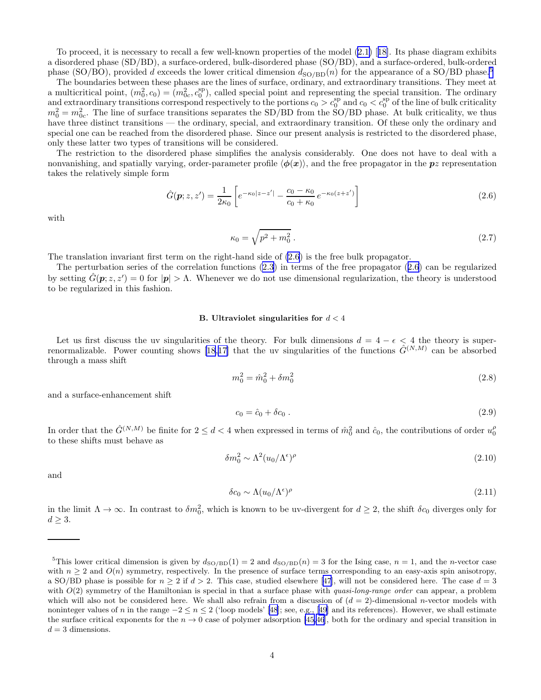<span id="page-3-0"></span>To proceed, it is necessary to recall a few well-known properties of the model [\(2.1\)](#page-2-0)[[18\]](#page-37-0). Its phase diagram exhibits a disordered phase (SD/BD), a surface-ordered, bulk-disordered phase (SO/BD), and a surface-ordered, bulk-ordered phase (SO/BO), provided d exceeds the lower critical dimension  $d_{\text{SO}/\text{BD}}(n)$  for the appearance of a SO/BD phase.<sup>5</sup>

The boundaries between these phases are the lines of surface, ordinary, and extraordinary transitions. They meet at a multicritical point,  $(m_0^2, c_0) = (m_{0c}^2, c_0^{\text{sp}})$ , called special point and representing the special transition. The ordinary and extraordinary transitions correspond respectively to the portions  $c_0 > c_0^{\text{sp}}$  and  $c_0 < c_0^{\text{sp}}$  of the line of bulk criticality  $m_0^2 = m_{0c}^2$ . The line of surface transitions separates the SD/BD from the SO/BD phase. At bulk criticality, we thus have three distinct transitions — the ordinary, special, and extraordinary transition. Of these only the ordinary and special one can be reached from the disordered phase. Since our present analysis is restricted to the disordered phase, only these latter two types of transitions will be considered.

The restriction to the disordered phase simplifies the analysis considerably. One does not have to deal with a nonvanishing, and spatially varying, order-parameter profile  $\langle \phi(x) \rangle$ , and the free propagator in the pz representation takes the relatively simple form

$$
\hat{G}(\mathbf{p}; z, z') = \frac{1}{2\kappa_0} \left[ e^{-\kappa_0 |z - z'|} - \frac{c_0 - \kappa_0}{c_0 + \kappa_0} e^{-\kappa_0 (z + z')} \right]
$$
\n(2.6)

with

$$
\kappa_0 = \sqrt{p^2 + m_0^2} \,. \tag{2.7}
$$

The translation invariant first term on the right-hand side of (2.6) is the free bulk propagator.

The perturbation series of the correlation functions [\(2.3](#page-2-0)) in terms of the free propagator (2.6) can be regularized by setting  $\hat{G}(\mathbf{p}; z, z') = 0$  for  $|\mathbf{p}| > \Lambda$ . Whenever we do not use dimensional regularization, the theory is understood to be regularized in this fashion.

# B. Ultraviolet singularities for  $d < 4$

Let us first discuss the uv singularities of the theory. For bulk dimensions  $d = 4 - \epsilon < 4$  the theory is super-renormalizable.Power counting shows [[18](#page-37-0),[17\]](#page-37-0) that the uv singularities of the functions  $\hat{G}^{(N,M)}$  can be absorbed through a mass shift

$$
m_0^2 = \hat{m}_0^2 + \delta m_0^2 \tag{2.8}
$$

and a surface-enhancement shift

$$
c_0 = \hat{c}_0 + \delta c_0 \tag{2.9}
$$

In order that the  $\hat{G}^{(N,M)}$  be finite for  $2 \leq d < 4$  when expressed in terms of  $\hat{m}_0^2$  and  $\hat{c}_0$ , the contributions of order  $u_0^{\rho}$ to these shifts must behave as

$$
\delta m_0^2 \sim \Lambda^2 (u_0/\Lambda^{\epsilon})^{\rho} \tag{2.10}
$$

and

$$
\delta c_0 \sim \Lambda (u_0/\Lambda^{\epsilon})^{\rho} \tag{2.11}
$$

in the limit  $\Lambda \to \infty$ . In contrast to  $\delta m_0^2$ , which is known to be uv-divergent for  $d \geq 2$ , the shift  $\delta c_0$  diverges only for  $d \geq 3$ .

<sup>&</sup>lt;sup>5</sup>This lower critical dimension is given by  $d_{\text{SO}/\text{BD}}(1) = 2$  and  $d_{\text{SO}/\text{BD}}(n) = 3$  for the Ising case,  $n = 1$ , and the *n*-vector case with  $n \geq 2$  and  $O(n)$  symmetry, respectively. In the presence of surface terms corresponding to an easy-axis spin anisotropy, aSO/BD phase is possible for  $n \geq 2$  if  $d \geq 2$ . This case, studied elsewhere [[47](#page-38-0)], will not be considered here. The case  $d = 3$ with  $O(2)$  symmetry of the Hamiltonian is special in that a surface phase with *quasi-long-range order* can appear, a problem which will also not be considered here. We shall also refrain from a discussion of  $(d = 2)$ -dimensional *n*-vector models with nonintegervalues of n in the range  $-2 \le n \le 2$  ('loop models' [\[48](#page-38-0)]; see, e.g., [[49](#page-38-0)] and its references). However, we shall estimate the surface critical exponents for the  $n \to 0$  case of polymer adsorption [\[45,46](#page-38-0)], both for the ordinary and special transition in  $d = 3$  dimensions.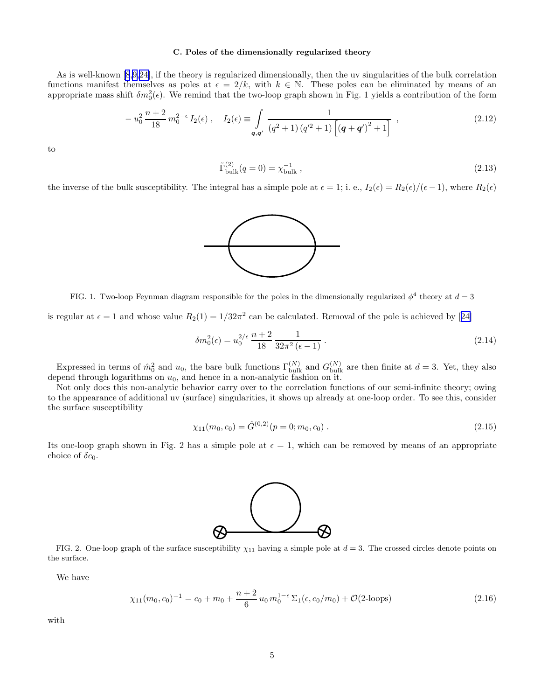# C. Poles of the dimensionally regularized theory

As is well-known [\[8](#page-37-0),[9](#page-37-0),[24\]](#page-38-0), if the theory is regularized dimensionally, then the uv singularities of the bulk correlation functions manifest themselves as poles at  $\epsilon = 2/k$ , with  $k \in \mathbb{N}$ . These poles can be eliminated by means of an appropriate mass shift  $\delta m_0^2(\epsilon)$ . We remind that the two-loop graph shown in Fig. 1 yields a contribution of the form

$$
-u_0^2 \frac{n+2}{18} m_0^{2-\epsilon} I_2(\epsilon) , \quad I_2(\epsilon) \equiv \int\limits_{\mathbf{q},\mathbf{q}'} \frac{1}{(q^2+1) (q'^2+1) \left[ (\mathbf{q}+\mathbf{q}')^2+1 \right]} , \tag{2.12}
$$

to

$$
\tilde{\Gamma}^{(2)}_{\text{bulk}}(q=0) = \chi_{\text{bulk}}^{-1} \,, \tag{2.13}
$$

the inverse of the bulk susceptibility. The integral has a simple pole at  $\epsilon = 1$ ; i. e.,  $I_2(\epsilon) = R_2(\epsilon)/(\epsilon - 1)$ , where  $R_2(\epsilon)$ 



FIG. 1. Two-loop Feynman diagram responsible for the poles in the dimensionally regularized  $\phi^4$  theory at  $d=3$ 

isregular at  $\epsilon = 1$  and whose value  $R_2(1) = 1/32\pi^2$  can be calculated. Removal of the pole is achieved by [[24\]](#page-38-0)

$$
\delta m_0^2(\epsilon) = u_0^{2/\epsilon} \frac{n+2}{18} \frac{1}{32\pi^2 (\epsilon - 1)}.
$$
\n(2.14)

Expressed in terms of  $\hat{m}_0^2$  and  $u_0$ , the bare bulk functions  $\Gamma_{\text{bulk}}^{(N)}$  and  $G_{\text{bulk}}^{(N)}$  are then finite at  $d=3$ . Yet, they also depend through logarithms on  $u_0$ , and hence in a non-analytic fashion on it.

Not only does this non-analytic behavior carry over to the correlation functions of our semi-infinite theory; owing to the appearance of additional uv (surface) singularities, it shows up already at one-loop order. To see this, consider the surface susceptibility

$$
\chi_{11}(m_0, c_0) = \hat{G}^{(0,2)}(p=0; m_0, c_0).
$$
\n(2.15)

Its one-loop graph shown in Fig. 2 has a simple pole at  $\epsilon = 1$ , which can be removed by means of an appropriate choice of  $\delta c_0$ .



FIG. 2. One-loop graph of the surface susceptibility  $\chi_{11}$  having a simple pole at  $d = 3$ . The crossed circles denote points on the surface.

We have

$$
\chi_{11}(m_0, c_0)^{-1} = c_0 + m_0 + \frac{n+2}{6} u_0 m_0^{1-\epsilon} \Sigma_1(\epsilon, c_0/m_0) + \mathcal{O}(\text{2-loops})
$$
\n(2.16)

with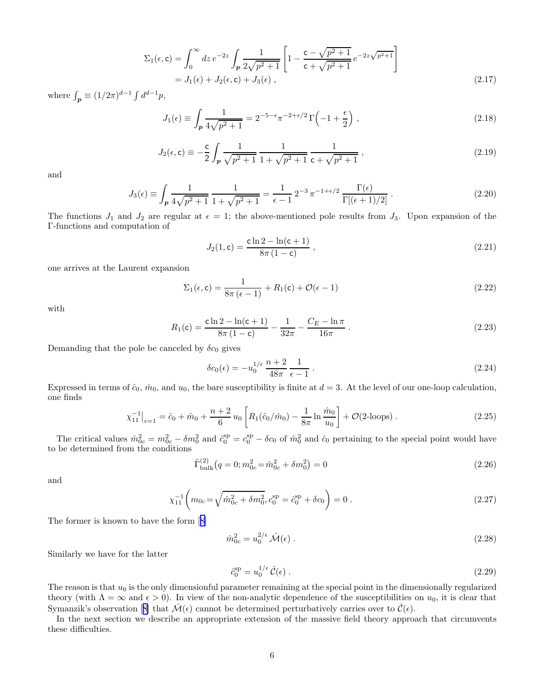$$
\Sigma_1(\epsilon, \mathbf{c}) = \int_0^\infty dz \, e^{-2z} \int_p \frac{1}{2\sqrt{p^2 + 1}} \left[ 1 - \frac{\mathbf{c} - \sqrt{p^2 + 1}}{\mathbf{c} + \sqrt{p^2 + 1}} \, e^{-2z\sqrt{p^2 + 1}} \right]
$$
\n
$$
= J_1(\epsilon) + J_2(\epsilon, \mathbf{c}) + J_3(\epsilon) \,, \tag{2.17}
$$

where  $\int_{\mathbf{p}} \equiv (1/2\pi)^{d-1} \int d^{d-1}p$ ,

$$
J_1(\epsilon) \equiv \int_{\mathcal{P}} \frac{1}{4\sqrt{p^2 + 1}} = 2^{-5 - \epsilon} \pi^{-2 + \epsilon/2} \Gamma\left(-1 + \frac{\epsilon}{2}\right) ,\qquad(2.18)
$$

$$
J_2(\epsilon, \mathbf{c}) \equiv -\frac{\mathbf{c}}{2} \int_p \frac{1}{\sqrt{p^2 + 1}} \frac{1}{1 + \sqrt{p^2 + 1}} \frac{1}{\mathbf{c} + \sqrt{p^2 + 1}},
$$
\n(2.19)

and

$$
J_3(\epsilon) \equiv \int_{\mathbf{p}} \frac{1}{4\sqrt{p^2 + 1}} \frac{1}{1 + \sqrt{p^2 + 1}} = \frac{1}{\epsilon - 1} 2^{-3} \pi^{-1 + \epsilon/2} \frac{\Gamma(\epsilon)}{\Gamma[(\epsilon + 1)/2]} \,. \tag{2.20}
$$

The functions  $J_1$  and  $J_2$  are regular at  $\epsilon = 1$ ; the above-mentioned pole results from  $J_3$ . Upon expansion of the Γ-functions and computation of

$$
J_2(1, c) = \frac{c \ln 2 - \ln(c + 1)}{8\pi (1 - c)},
$$
\n(2.21)

one arrives at the Laurent expansion

$$
\Sigma_1(\epsilon, \mathbf{c}) = \frac{1}{8\pi (\epsilon - 1)} + R_1(\mathbf{c}) + \mathcal{O}(\epsilon - 1)
$$
\n(2.22)

with

$$
R_1(\mathbf{c}) = \frac{\mathbf{c} \ln 2 - \ln(\mathbf{c} + 1)}{8\pi (1 - \mathbf{c})} - \frac{1}{32\pi} - \frac{C_E - \ln \pi}{16\pi}.
$$
 (2.23)

Demanding that the pole be canceled by  $\delta c_0$  gives

$$
\delta c_0(\epsilon) = -u_0^{1/\epsilon} \frac{n+2}{48\pi} \frac{1}{\epsilon - 1} \,. \tag{2.24}
$$

Expressed in terms of  $\hat{c}_0$ ,  $\hat{m}_0$ , and  $u_0$ , the bare susceptibility is finite at  $d = 3$ . At the level of our one-loop calculation, one finds

$$
\chi_{11}^{-1}\big|_{\epsilon=1} = \hat{c}_0 + \hat{m}_0 + \frac{n+2}{6}u_0 \left[ R_1(\hat{c}_0/\hat{m}_0) - \frac{1}{8\pi} \ln \frac{\hat{m}_0}{u_0} \right] + \mathcal{O}(\text{2-loops}). \tag{2.25}
$$

The critical values  $\hat{m}_{0c}^2 = m_{0c}^2 - \delta m_0^2$  and  $\hat{c}_0^{\text{sp}} = c_0^{\text{sp}} - \delta c_0$  of  $\hat{m}_0^2$  and  $\hat{c}_0$  pertaining to the special point would have to be determined from the conditions

$$
\tilde{\Gamma}_{\text{bulk}}^{(2)}(q=0; m_{0c}^2 = \hat{m}_{0c}^2 + \delta m_0^2) = 0
$$
\n(2.26)

and

$$
\chi_{11}^{-1} \left( m_{0c} = \sqrt{\hat{m}_{0c}^2 + \delta m_0^2}, c_0^{\text{sp}} = \hat{c}_0^{\text{sp}} + \delta c_0 \right) = 0 \tag{2.27}
$$

The former is known to have the form[[8\]](#page-37-0)

$$
\hat{m}_{0c}^2 = u_0^{2/\epsilon} \hat{\mathcal{M}}(\epsilon) \tag{2.28}
$$

Similarly we have for the latter

$$
\hat{c}_0^{\rm sp} = u_0^{1/\epsilon} \hat{\mathcal{C}}(\epsilon) \,. \tag{2.29}
$$

The reason is that  $u_0$  is the only dimensionful parameter remaining at the special point in the dimensionally regularized theory (with  $\Lambda = \infty$  and  $\epsilon > 0$ ). In view of the non-analytic dependence of the susceptibilities on  $u_0$ , it is clear that Symanzik'sobservation [[8\]](#page-37-0) that  $\mathcal{M}(\epsilon)$  cannot be determined perturbatively carries over to  $\mathcal{C}(\epsilon)$ .

In the next section we describe an appropriate extension of the massive field theory approach that circumvents these difficulties.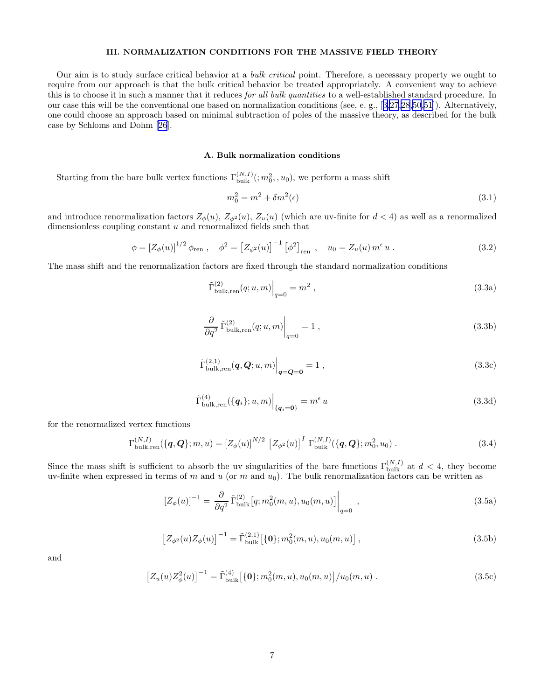## III. NORMALIZATION CONDITIONS FOR THE MASSIVE FIELD THEORY

<span id="page-6-0"></span>Our aim is to study surface critical behavior at a bulk critical point. Therefore, a necessary property we ought to require from our approach is that the bulk critical behavior be treated appropriately. A convenient way to achieve this is to choose it in such a manner that it reduces for all bulk quantities to a well-established standard procedure. In our case this will be the conventional one based on normalization conditions (see, e. g.,[[3,](#page-37-0)[27,28,50](#page-38-0),[51\]](#page-38-0)). Alternatively, one could choose an approach based on minimal subtraction of poles of the massive theory, as described for the bulk case by Schloms and Dohm [\[26](#page-38-0)].

# A. Bulk normalization conditions

Starting from the bare bulk vertex functions  $\Gamma_{\text{bulk}}^{(N,I)}(;m_0^2, u_0)$ , we perform a mass shift

$$
m_0^2 = m^2 + \delta m^2(\epsilon) \tag{3.1}
$$

and introduce renormalization factors  $Z_{\phi}(u)$ ,  $Z_{\phi^2}(u)$ ,  $Z_u(u)$  (which are uv-finite for  $d < 4$ ) as well as a renormalized dimensionless coupling constant u and renormalized fields such that

$$
\phi = \left[ Z_{\phi}(u) \right]^{1/2} \phi_{\text{ren}} , \quad \phi^2 = \left[ Z_{\phi^2}(u) \right]^{-1} \left[ \phi^2 \right]_{\text{ren}} , \quad u_0 = Z_u(u) \, m^{\epsilon} \, u . \tag{3.2}
$$

The mass shift and the renormalization factors are fixed through the standard normalization conditions

$$
\tilde{\Gamma}_{\text{bulk,ren}}^{(2)}(q;u,m)\Big|_{q=0} = m^2 ,\qquad (3.3a)
$$

$$
\left. \frac{\partial}{\partial q^2} \tilde{\Gamma}_{\text{bulk,ren}}^{(2)}(q;u,m) \right|_{q=0} = 1 , \qquad (3.3b)
$$

$$
\tilde{\Gamma}_{\text{bulk,ren}}^{(2,1)}(q,Q;u,m)\Big|_{q=Q=0} = 1 ,\qquad (3.3c)
$$

$$
\tilde{\Gamma}_{\text{bulk,ren}}^{(4)}(\{\boldsymbol{q}_i\};u,m)\Big|_{\{\boldsymbol{q}_i=\boldsymbol{0}\}} = m^{\epsilon}u\tag{3.3d}
$$

for the renormalized vertex functions

$$
\Gamma_{\text{bulk,ren}}^{(N,I)}(\{\boldsymbol{q},\boldsymbol{Q}\};m,u) = \left[Z_{\phi}(u)\right]^{N/2} \left[Z_{\phi^2}(u)\right]^I \Gamma_{\text{bulk}}^{(N,I)}(\{\boldsymbol{q},\boldsymbol{Q}\};m_0^2,u_0) \ . \tag{3.4}
$$

Since the mass shift is sufficient to absorb the uv singularities of the bare functions  $\Gamma_{\text{bulk}}^{(N,I)}$  at  $d < 4$ , they become uv-finite when expressed in terms of m and u (or m and  $u_0$ ). The bulk renormalization factors can be written as

$$
[Z_{\phi}(u)]^{-1} = \frac{\partial}{\partial q^2} \tilde{\Gamma}_{\text{bulk}}^{(2)} [q; m_0^2(m, u), u_0(m, u)] \Big|_{q=0} ,
$$
\n(3.5a)

$$
\left[Z_{\phi^2}(u)Z_{\phi}(u)\right]^{-1} = \tilde{\Gamma}_{\text{bulk}}^{(2,1)}\left[\{0\}; m_0^2(m, u), u_0(m, u)\right],\tag{3.5b}
$$

and

$$
\left[Z_u(u)Z_\phi^2(u)\right]^{-1} = \tilde{\Gamma}_{\text{bulk}}^{(4)}\left[\{0\};m_0^2(m,u),u_0(m,u)\right]/u_0(m,u) \tag{3.5c}
$$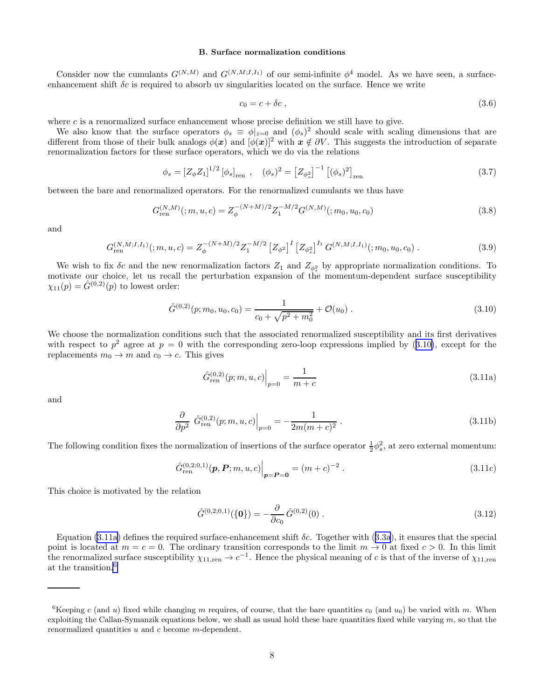#### B. Surface normalization conditions

<span id="page-7-0"></span>Consider now the cumulants  $G^{(N,M)}$  and  $G^{(N,M;I,I_1)}$  of our semi-infinite  $\phi^4$  model. As we have seen, a surfaceenhancement shift  $\delta c$  is required to absorb uv singularities located on the surface. Hence we write

$$
c_0 = c + \delta c \,, \tag{3.6}
$$

where  $c$  is a renormalized surface enhancement whose precise definition we still have to give.

We also know that the surface operators  $\phi_s \equiv \phi|_{z=0}$  and  $(\phi_s)^2$  should scale with scaling dimensions that are different from those of their bulk analogs  $\phi(x)$  and  $[\phi(x)]^2$  with  $x \notin \partial V$ . This suggests the introduction of separate renormalization factors for these surface operators, which we do via the relations

$$
\phi_s = \left[Z_{\phi} Z_1\right]^{1/2} \left[\phi_s\right]_{\text{ren}} , \quad (\phi_s)^2 = \left[Z_{\phi_s^2}\right]^{-1} \left[\left(\phi_s\right)^2\right]_{\text{ren}} \tag{3.7}
$$

between the bare and renormalized operators. For the renormalized cumulants we thus have

$$
G_{\text{ren}}^{(N,M)}(;m,u,c) = Z_{\phi}^{-(N+M)/2} Z_1^{-M/2} G^{(N,M)}(;m_0,u_0,c_0)
$$
\n(3.8)

and

$$
G_{\text{ren}}^{(N,M;I,I_1)}(m,u,c) = Z_{\phi}^{-(N+M)/2} Z_1^{-M/2} \left[ Z_{\phi^2} \right]^I \left[ Z_{\phi_s^2} \right]^{I_1} G^{(N,M;I,I_1)}(m_0,u_0,c_0) \,. \tag{3.9}
$$

We wish to fix  $\delta c$  and the new renormalization factors  $Z_1$  and  $Z_{\phi_s^2}$  by appropriate normalization conditions. To motivate our choice, let us recall the perturbation expansion of the momentum-dependent surface susceptibility  $\chi_{11}(p) = \hat{G}^{(0,2)}(p)$  to lowest order:

$$
\hat{G}^{(0,2)}(p;m_0,u_0,c_0) = \frac{1}{c_0 + \sqrt{p^2 + m_0^2}} + \mathcal{O}(u_0) \ . \tag{3.10}
$$

We choose the normalization conditions such that the associated renormalized susceptibility and its first derivatives with respect to  $p^2$  agree at  $p = 0$  with the corresponding zero-loop expressions implied by (3.10), except for the replacements  $m_0 \to m$  and  $c_0 \to c$ . This gives

$$
\hat{G}_{\text{ren}}^{(0,2)}(p;m,u,c)\Big|_{p=0} = \frac{1}{m+c}
$$
\n(3.11a)

and

$$
\frac{\partial}{\partial p^2} \left. \hat{G}_{\text{ren}}^{(0,2)}(p;m,u,c) \right|_{p=0} = -\frac{1}{2m(m+c)^2} \,. \tag{3.11b}
$$

The following condition fixes the normalization of insertions of the surface operator  $\frac{1}{2}\phi_s^2$ , at zero external momentum:

$$
\hat{G}_{\text{ren}}^{(0,2;0,1)}(\boldsymbol{p},\boldsymbol{P};m,u,c)\Big|_{\boldsymbol{p}=\boldsymbol{P}=\boldsymbol{0}} = (m+c)^{-2}.
$$
\n(3.11c)

This choice is motivated by the relation

$$
\hat{G}^{(0,2,0,1)}(\{\mathbf{0}\}) = -\frac{\partial}{\partial c_0} \hat{G}^{(0,2)}(0) .
$$
\n(3.12)

Equation(3.11a) defines the required surface-enhancement shift  $\delta c$ . Together with ([3.3a](#page-6-0)), it ensures that the special point is located at  $m = c = 0$ . The ordinary transition corresponds to the limit  $m \to 0$  at fixed  $c > 0$ . In this limit the renormalized surface susceptibility  $\chi_{11,ren} \to c^{-1}$ . Hence the physical meaning of c is that of the inverse of  $\chi_{11,ren}$ at the transition.<sup>6</sup>

<sup>&</sup>lt;sup>6</sup>Keeping c (and u) fixed while changing m requires, of course, that the bare quantities  $c_0$  (and  $u_0$ ) be varied with m. When exploiting the Callan-Symanzik equations below, we shall as usual hold these bare quantities fixed while varying  $m$ , so that the renormalized quantities u and c become m-dependent.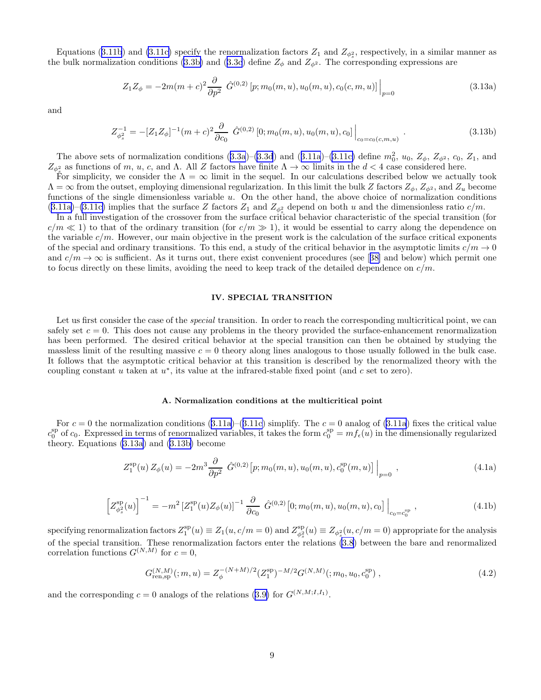<span id="page-8-0"></span>Equations([3.11b](#page-7-0)) and [\(3.11c\)](#page-7-0) specify the renormalization factors  $Z_1$  and  $Z_{\phi_s^2}$ , respectively, in a similar manner as the bulk normalization conditions [\(3.3b\)](#page-6-0)and ([3.3c](#page-6-0)) define  $Z_{\phi}$  and  $Z_{\phi^2}$ . The corresponding expressions are

$$
Z_1 Z_{\phi} = -2m(m+c)^2 \frac{\partial}{\partial p^2} \left. \hat{G}^{(0,2)} \left[ p; m_0(m,u), u_0(m,u), c_0(c,m,u) \right] \right|_{p=0}
$$
\n(3.13a)

and

$$
Z_{\phi_s^2}^{-1} = -[Z_1 Z_{\phi}]^{-1} (m+c)^2 \frac{\partial}{\partial c_0} \hat{G}^{(0,2)} [0; m_0(m, u), u_0(m, u), c_0] \Big|_{c_0 = c_0(c, m, u)} . \tag{3.13b}
$$

Theabove sets of normalization conditions  $(3.3a)$  $(3.3a)$  $(3.3a)$ – $(3.3d)$  $(3.3d)$  and  $(3.11a)$  $(3.11a)$  $(3.11a)$ – $(3.11c)$  define  $m_0^2$ ,  $u_0$ ,  $Z_{\phi}$ ,  $Z_{\phi^2}$ ,  $c_0$ ,  $Z_1$ , and  $Z_{\phi_{\frac{s}{s}}}$  as functions of m, u, c, and  $\Lambda$ . All Z factors have finite  $\Lambda \to \infty$  limits in the  $d < 4$  case considered here.

For simplicity, we consider the  $\Lambda = \infty$  limit in the sequel. In our calculations described below we actually took  $\Lambda = \infty$  from the outset, employing dimensional regularization. In this limit the bulk Z factors  $Z_{\phi}$ ,  $Z_{\phi^2}$ , and  $Z_u$  become functions of the single dimensionless variable u. On the other hand, the above choice of normalization conditions  $(3.11a)$  $(3.11a)$ – $(3.11c)$  implies that the surface Z factors  $Z_1$  and  $Z_{\phi_s^2}$  depend on both u and the dimensionless ratio  $c/m$ .

In a full investigation of the crossover from the surface critical behavior characteristic of the special transition (for  $c/m \ll 1$ ) to that of the ordinary transition (for  $c/m \gg 1$ ), it would be essential to carry along the dependence on the variable  $c/m$ . However, our main objective in the present work is the calculation of the surface critical exponents of the special and ordinary transitions. To this end, a study of the critical behavior in the asymptotic limits  $c/m \to 0$ and $c/m \to \infty$  is sufficient. As it turns out, there exist convenient procedures (see [[38\]](#page-38-0) and below) which permit one to focus directly on these limits, avoiding the need to keep track of the detailed dependence on  $c/m$ .

#### IV. SPECIAL TRANSITION

Let us first consider the case of the *special* transition. In order to reach the corresponding multicritical point, we can safely set  $c = 0$ . This does not cause any problems in the theory provided the surface-enhancement renormalization has been performed. The desired critical behavior at the special transition can then be obtained by studying the massless limit of the resulting massive  $c = 0$  theory along lines analogous to those usually followed in the bulk case. It follows that the asymptotic critical behavior at this transition is described by the renormalized theory with the coupling constant  $u$  taken at  $u^*$ , its value at the infrared-stable fixed point (and  $c$  set to zero).

#### A. Normalization conditions at the multicritical point

For  $c = 0$  the normalization conditions [\(3.11a\)](#page-7-0)–([3.11c\)](#page-7-0) simplify. The  $c = 0$  analog of [\(3.11a](#page-7-0)) fixes the critical value  $c_0^{\text{sp}}$  of  $c_0$ . Expressed in terms of renormalized variables, it takes the form  $c_0^{\text{sp}} = mf_{\epsilon}(u)$  in the dimensionally regularized theory. Equations (3.13a) and (3.13b) become

$$
Z_1^{\rm sp}(u) Z_{\phi}(u) = -2m^3 \frac{\partial}{\partial p^2} \left. \hat{G}^{(0,2)}[p; m_0(m, u), u_0(m, u), c_0^{\rm sp}(m, u)] \right|_{p=0}, \qquad (4.1a)
$$

$$
\left[Z_{\phi_s^2}^{\rm sp}(u)\right]^{-1} = -m^2 \left[Z_1^{\rm sp}(u)Z_\phi(u)\right]^{-1} \frac{\partial}{\partial c_0} \left[\hat{G}^{(0,2)}(0; m_0(m, u), u_0(m, u), c_0)\right]_{c_0 = c_0^{\rm sp}},\tag{4.1b}
$$

specifying renormalization factors  $Z_1^{\rm sp}(u) \equiv Z_1(u,c/m=0)$  and  $Z_{\phi_s^2}^{\rm sp}(u) \equiv Z_{\phi_s^2}(u,c/m=0)$  appropriate for the analysis of the special transition. These renormalization factors enter the relations [\(3.8](#page-7-0)) between the bare and renormalized correlation functions  $G^{(N,M)}$  for  $c=0$ ,

$$
G_{\text{ren,sp}}^{(N,M)}(m,u) = Z_{\phi}^{-(N+M)/2}(Z_1^{\text{sp}})^{-M/2} G^{(N,M)}(m_0, u_0, c_0^{\text{sp}}) ,\qquad (4.2)
$$

andthe corresponding  $c = 0$  analogs of the relations ([3.9\)](#page-7-0) for  $G^{(N,M;I,I_1)}$ .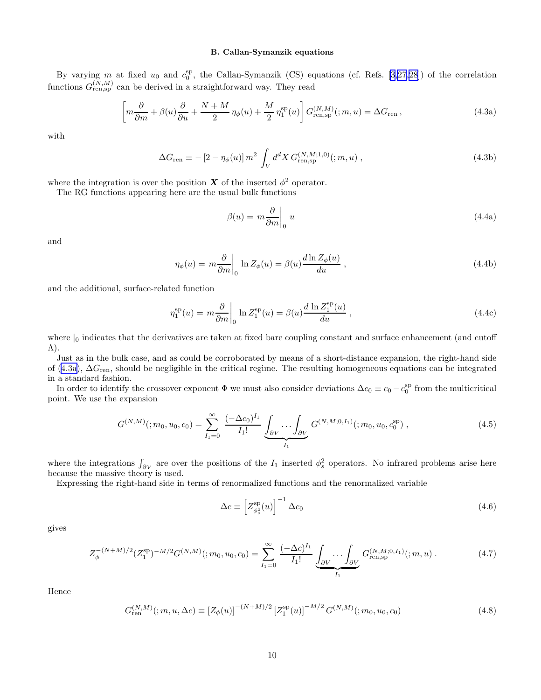# B. Callan-Symanzik equations

<span id="page-9-0"></span>By varying m at fixed  $u_0$  and  $c_0^{\text{sp}}$ , the Callan-Symanzik (CS) equations (cf. Refs. [\[3](#page-37-0)[,27,28](#page-38-0)]) of the correlation functions  $G_{\text{ren,sp}}^{(N,M)}$  can be derived in a straightforward way. They read

$$
\left[m\frac{\partial}{\partial m} + \beta(u)\frac{\partial}{\partial u} + \frac{N + M}{2}\eta_{\phi}(u) + \frac{M}{2}\eta_1^{\text{sp}}(u)\right]G_{\text{ren,sp}}^{(N,M)}(m,u) = \Delta G_{\text{ren}}\,,\tag{4.3a}
$$

with

$$
\Delta G_{\rm ren} \equiv -\left[2 - \eta_{\phi}(u)\right] m^2 \int_V d^d X \, G_{\rm ren,sp}^{(N,M;1,0)}(m,u) \,, \tag{4.3b}
$$

where the integration is over the position  $X$  of the inserted  $\phi^2$  operator.

The RG functions appearing here are the usual bulk functions

$$
\beta(u) = m \frac{\partial}{\partial m} \Big|_0 u \tag{4.4a}
$$

and

$$
\eta_{\phi}(u) = m \frac{\partial}{\partial m} \bigg|_0 \ln Z_{\phi}(u) = \beta(u) \frac{d \ln Z_{\phi}(u)}{du}, \qquad (4.4b)
$$

and the additional, surface-related function

$$
\eta_1^{\rm sp}(u) = m \frac{\partial}{\partial m} \bigg|_0 \ln Z_1^{\rm sp}(u) = \beta(u) \frac{d \ln Z_1^{\rm sp}(u)}{du} ,\qquad (4.4c)
$$

where  $\vert_0$  indicates that the derivatives are taken at fixed bare coupling constant and surface enhancement (and cutoff Λ).

Just as in the bulk case, and as could be corroborated by means of a short-distance expansion, the right-hand side of (4.3a), ∆Gren, should be negligible in the critical regime. The resulting homogeneous equations can be integrated in a standard fashion.

In order to identify the crossover exponent  $\Phi$  we must also consider deviations  $\Delta c_0 \equiv c_0 - c_0^{\text{sp}}$  from the multicritical point. We use the expansion

$$
G^{(N,M)}(;m_0,u_0,c_0) = \sum_{I_1=0}^{\infty} \frac{(-\Delta c_0)^{I_1}}{I_1!} \underbrace{\int_{\partial V} \cdots \int_{\partial V}}_{I_1} G^{(N,M;0,I_1)}(;m_0,u_0,c_0^{\text{sp}}) ,
$$
\n(4.5)

where the integrations  $\int_{\partial V}$  are over the positions of the  $I_1$  inserted  $\phi_s^2$  operators. No infrared problems arise here because the massive theory is used.

Expressing the right-hand side in terms of renormalized functions and the renormalized variable

$$
\Delta c \equiv \left[ Z_{\phi_s^2}^{\rm sp}(u) \right]^{-1} \Delta c_0 \tag{4.6}
$$

gives

$$
Z_{\phi}^{-(N+M)/2}(Z_1^{\text{sp}})^{-M/2}G^{(N,M)}(;m_0,u_0,c_0)=\sum_{I_1=0}^{\infty}\frac{(-\Delta c)^{I_1}}{I_1!}\underbrace{\int_{\partial V}\cdots\int_{\partial V}}_{I_1}G^{(N,M;0,I_1)}_{\text{ren,sp}}(;m,u)\,. \tag{4.7}
$$

Hence

$$
G_{\text{ren}}^{(N,M)}(m,u,\Delta c) \equiv \left[Z_{\phi}(u)\right]^{-(N+M)/2} \left[Z_1^{\text{sp}}(u)\right]^{-M/2} G^{(N,M)}(m_0,u_0,c_0)
$$
(4.8)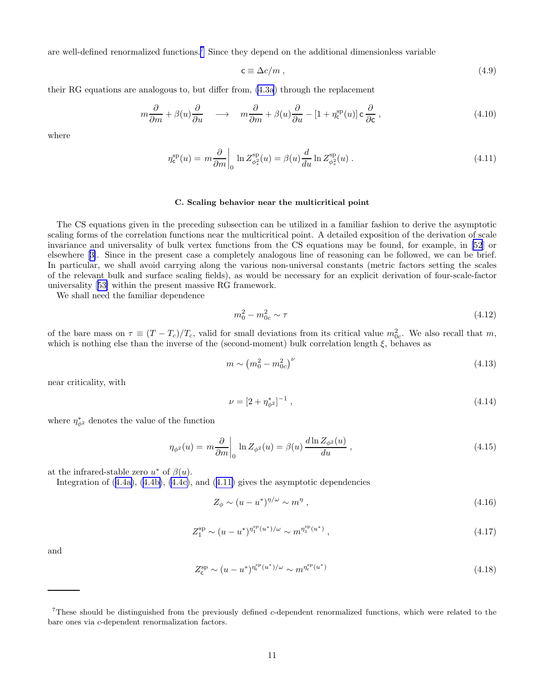<span id="page-10-0"></span>are well-defined renormalized functions.<sup>7</sup> Since they depend on the additional dimensionless variable

$$
\mathbf{c} \equiv \Delta c/m \;, \tag{4.9}
$$

their RG equations are analogous to, but differ from, [\(4.3a](#page-9-0)) through the replacement

$$
m\frac{\partial}{\partial m} + \beta(u)\frac{\partial}{\partial u} \quad \longrightarrow \quad m\frac{\partial}{\partial m} + \beta(u)\frac{\partial}{\partial u} - [1 + \eta_{\rm c}^{\rm sp}(u)]\,\mathsf{c}\,\frac{\partial}{\partial \mathsf{c}}\,,\tag{4.10}
$$

where

$$
\eta_{\mathbf{c}}^{\rm sp}(u) = m \frac{\partial}{\partial m} \bigg|_0 \ln Z_{\phi_s^2}^{\rm sp}(u) = \beta(u) \frac{d}{du} \ln Z_{\phi_s^2}^{\rm sp}(u) . \tag{4.11}
$$

#### C. Scaling behavior near the multicritical point

The CS equations given in the preceding subsection can be utilized in a familiar fashion to derive the asymptotic scaling forms of the correlation functions near the multicritical point. A detailed exposition of the derivation of scale invariance and universality of bulk vertex functions from the CS equations may be found, for example, in [\[52](#page-38-0)] or elsewhere[[3\]](#page-37-0). Since in the present case a completely analogous line of reasoning can be followed, we can be brief. In particular, we shall avoid carrying along the various non-universal constants (metric factors setting the scales of the relevant bulk and surface scaling fields), as would be necessary for an explicit derivation of four-scale-factor universality[[53\]](#page-38-0) within the present massive RG framework.

We shall need the familiar dependence

$$
m_0^2 - m_{0c}^2 \sim \tau \tag{4.12}
$$

of the bare mass on  $\tau \equiv (T - T_c)/T_c$ , valid for small deviations from its critical value  $m_{0c}^2$ . We also recall that m, which is nothing else than the inverse of the (second-moment) bulk correlation length  $\xi$ , behaves as

$$
m \sim (m_0^2 - m_{0c}^2)^\nu \tag{4.13}
$$

near criticality, with

$$
\nu = [2 + \eta_{\phi^2}^*]^{-1} \tag{4.14}
$$

where  $\eta_{\phi^2}^*$  denotes the value of the function

$$
\eta_{\phi^2}(u) = m \frac{\partial}{\partial m} \bigg|_0 \ln Z_{\phi^2}(u) = \beta(u) \frac{d \ln Z_{\phi^2}(u)}{du}, \qquad (4.15)
$$

at the infrared-stable zero  $u^*$  of  $\beta(u)$ .

Integration of([4.4a\)](#page-9-0), [\(4.4b\)](#page-9-0), [\(4.4c\)](#page-9-0), and (4.11) gives the asymptotic dependencies

$$
Z_{\phi} \sim (u - u^*)^{\eta/\omega} \sim m^{\eta} , \qquad (4.16)
$$

$$
Z_1^{\rm sp} \sim (u - u^*)^{\eta_1^{\rm sp}(u^*)/\omega} \sim m^{\eta_1^{\rm sp}(u^*)} \,, \tag{4.17}
$$

and

$$
Z_{\rm c}^{\rm sp} \sim (u - u^*)^{\eta_{\rm c}^{\rm sp}(u^*)/\omega} \sim m^{\eta_{\rm c}^{\rm sp}(u^*)} \tag{4.18}
$$

These should be distinguished from the previously defined c-dependent renormalized functions, which were related to the bare ones via c-dependent renormalization factors.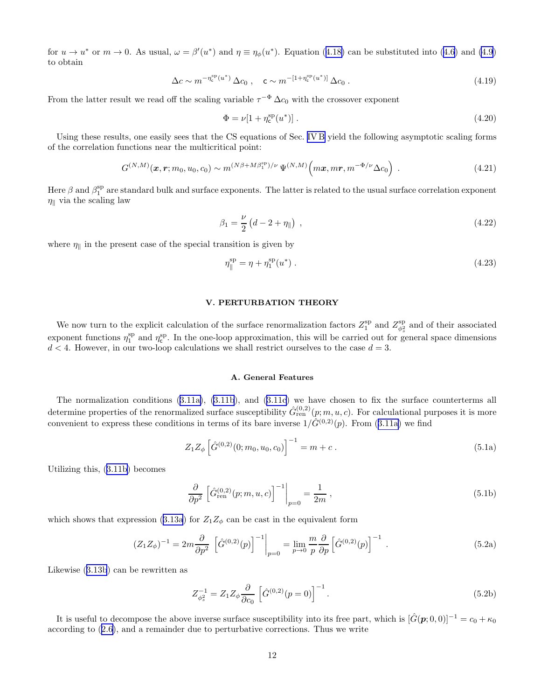<span id="page-11-0"></span>for $u \to u^*$  or  $m \to 0$ . As usual,  $\omega = \beta'(u^*)$  and  $\eta \equiv \eta_\phi(u^*)$ . Equation ([4.18\)](#page-10-0) can be substituted into [\(4.6\)](#page-9-0) and [\(4.9](#page-10-0)) to obtain

$$
\Delta c \sim m^{-\eta_c^{sp}(u^*)} \Delta c_0 , \quad \mathbf{c} \sim m^{-[1+\eta_c^{sp}(u^*)]} \Delta c_0 . \tag{4.19}
$$

From the latter result we read off the scaling variable  $\tau^{-\Phi} \Delta c_0$  with the crossover exponent

$$
\Phi = \nu [1 + \eta_c^{\rm sp}(u^*)]. \tag{4.20}
$$

Using these results, one easily sees that the CS equations of Sec. [IV B](#page-9-0) yield the following asymptotic scaling forms of the correlation functions near the multicritical point:

$$
G^{(N,M)}(\boldsymbol{x},\boldsymbol{r};m_0,u_0,c_0) \sim m^{(N\beta + M\beta_1^{\rm sp})/\nu} \Psi^{(N,M)}\Big(m\boldsymbol{x},m\boldsymbol{r},m^{-\Phi/\nu}\Delta c_0\Big) . \tag{4.21}
$$

Here  $\beta$  and  $\beta_1^{\text{sp}}$  are standard bulk and surface exponents. The latter is related to the usual surface correlation exponent  $\eta_{\parallel}$  via the scaling law

$$
\beta_1 = \frac{\nu}{2} \left( d - 2 + \eta_{\parallel} \right) , \qquad (4.22)
$$

where  $\eta_{\parallel}$  in the present case of the special transition is given by

$$
\eta_{\parallel}^{\rm sp} = \eta + \eta_1^{\rm sp}(u^*) \tag{4.23}
$$

# V. PERTURBATION THEORY

We now turn to the explicit calculation of the surface renormalization factors  $Z_1^{\rm sp}$  and  $Z_{\phi_s^2}^{\rm sp}$  and of their associated exponent functions  $\eta_1^{\rm sp}$  and  $\eta_c^{\rm sp}$ . In the one-loop approximation, this will be carried out for general space dimensions  $d < 4$ . However, in our two-loop calculations we shall restrict ourselves to the case  $d = 3$ .

## A. General Features

The normalization conditions([3.11a\)](#page-7-0), [\(3.11b](#page-7-0)), and([3.11c](#page-7-0)) we have chosen to fix the surface counterterms all determine properties of the renormalized surface susceptibility  $\hat{G}_{\text{ren}}^{(0,2)}(p;m,u,c)$ . For calculational purposes it is more convenientto express these conditions in terms of its bare inverse  $1/\hat{G}^{(0,2)}(p)$ . From ([3.11a\)](#page-7-0) we find

$$
Z_1 Z_{\phi} \left[ \hat{G}^{(0,2)}(0; m_0, u_0, c_0) \right]^{-1} = m + c.
$$
 (5.1a)

Utilizing this,([3.11b](#page-7-0)) becomes

$$
\frac{\partial}{\partial p^2} \left[ \hat{G}_{\text{ren}}^{(0,2)}(p;m,u,c) \right]^{-1} \bigg|_{p=0} = \frac{1}{2m} \,, \tag{5.1b}
$$

whichshows that expression ([3.13a](#page-8-0)) for  $Z_1Z_\phi$  can be cast in the equivalent form

$$
(Z_1 Z_{\phi})^{-1} = 2m \frac{\partial}{\partial p^2} \left[ \hat{G}^{(0,2)}(p) \right]^{-1} \Big|_{p=0} = \lim_{p \to 0} \frac{m}{p} \frac{\partial}{\partial p} \left[ \hat{G}^{(0,2)}(p) \right]^{-1} . \tag{5.2a}
$$

Likewise([3.13b](#page-8-0)) can be rewritten as

$$
Z_{\phi_s^2}^{-1} = Z_1 Z_\phi \frac{\partial}{\partial c_0} \left[ \hat{G}^{(0,2)}(p=0) \right]^{-1}.
$$
 (5.2b)

It is useful to decompose the above inverse surface susceptibility into its free part, which is  $[\hat{G}(p; 0, 0)]^{-1} = c_0 + \kappa_0$ according to([2.6\)](#page-3-0), and a remainder due to perturbative corrections. Thus we write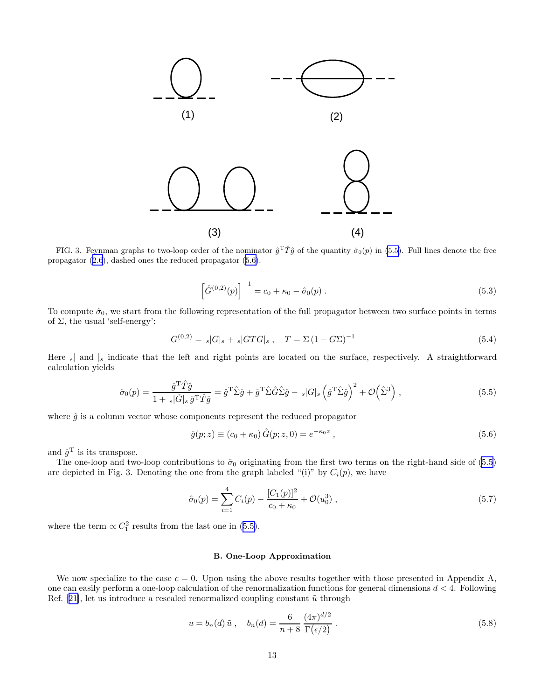<span id="page-12-0"></span>

FIG. 3. Feynman graphs to two-loop order of the nominator  $\hat{g}^T\hat{T}\hat{g}$  of the quantity  $\hat{\sigma}_0(p)$  in (5.5). Full lines denote the free propagator([2.6](#page-3-0)), dashed ones the reduced propagator (5.6).

$$
\left[\hat{G}^{(0,2)}(p)\right]^{-1} = c_0 + \kappa_0 - \hat{\sigma}_0(p) . \tag{5.3}
$$

To compute  $\hat{\sigma}_0$ , we start from the following representation of the full propagator between two surface points in terms of  $\Sigma$ , the usual 'self-energy':

$$
G^{(0,2)} = |G|_s + |G T G|_s , \quad T = \Sigma (1 - G \Sigma)^{-1}
$$
\n(5.4)

Here  $s$  and  $|s$  indicate that the left and right points are located on the surface, respectively. A straightforward calculation yields

$$
\hat{\sigma}_0(p) = \frac{\hat{g}^{\mathrm{T}} \hat{T}\hat{g}}{1 + s|\hat{G}|s \,\hat{g}^{\mathrm{T}} \hat{T}\hat{g}} = \hat{g}^{\mathrm{T}} \hat{\Sigma}\hat{g} + \hat{g}^{\mathrm{T}} \hat{\Sigma}\hat{G}\hat{\Sigma}\hat{g} - s|G|s \left(\hat{g}^{\mathrm{T}} \hat{\Sigma}\hat{g}\right)^2 + \mathcal{O}\left(\hat{\Sigma}^3\right),\tag{5.5}
$$

where  $\hat{g}$  is a column vector whose components represent the reduced propagator

$$
\hat{g}(p;z) \equiv (c_0 + \kappa_0) \hat{G}(p;z,0) = e^{-\kappa_0 z} , \qquad (5.6)
$$

and  $\hat{g}^{\mathrm{T}}$  is its transpose.

The one-loop and two-loop contributions to  $\hat{\sigma}_0$  originating from the first two terms on the right-hand side of (5.5) are depicted in Fig. 3. Denoting the one from the graph labeled "(i)" by  $C_i(p)$ , we have

$$
\hat{\sigma}_0(p) = \sum_{i=1}^4 C_i(p) - \frac{[C_1(p)]^2}{c_0 + \kappa_0} + \mathcal{O}(u_0^3) , \qquad (5.7)
$$

where the term  $\propto C_1^2$  results from the last one in (5.5).

# B. One-Loop Approximation

We now specialize to the case  $c = 0$ . Upon using the above results together with those presented in Appendix A, one can easily perform a one-loop calculation of the renormalization functions for general dimensions  $d < 4$ . Following Ref.[[21\]](#page-37-0), let us introduce a rescaled renormalized coupling constant  $\tilde{u}$  through

$$
u = b_n(d) \tilde{u} , \quad b_n(d) = \frac{6}{n+8} \frac{(4\pi)^{d/2}}{\Gamma(\epsilon/2)} .
$$
 (5.8)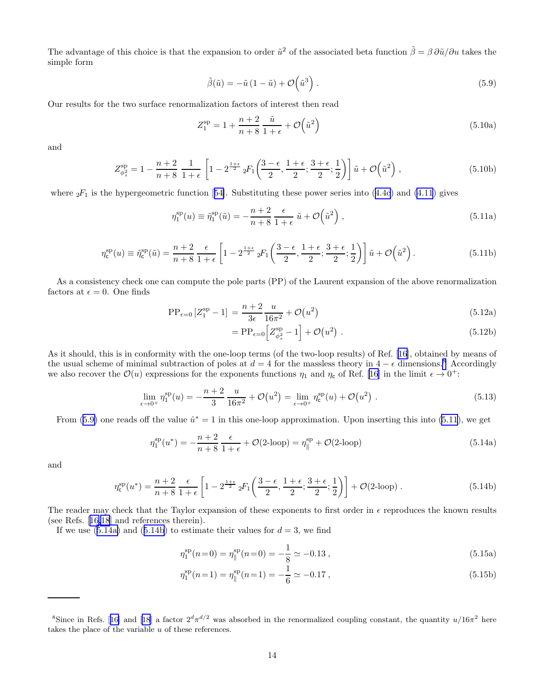<span id="page-13-0"></span>The advantage of this choice is that the expansion to order  $\tilde{u}^2$  of the associated beta function  $\tilde{\beta} = \beta \partial \tilde{u}/\partial u$  takes the simple form

$$
\tilde{\beta}(\tilde{u}) = -\tilde{u}\left(1 - \tilde{u}\right) + \mathcal{O}\left(\tilde{u}^3\right). \tag{5.9}
$$

Our results for the two surface renormalization factors of interest then read

$$
Z_1^{\rm sp} = 1 + \frac{n+2}{n+8} \frac{\tilde{u}}{1+\epsilon} + \mathcal{O}\!\left(\tilde{u}^2\right) \tag{5.10a}
$$

and

$$
Z_{\phi_s^2}^{\rm sp} = 1 - \frac{n+2}{n+8} \frac{1}{1+\epsilon} \left[ 1 - 2^{\frac{1+\epsilon}{2}} {}_2F_1\left( \frac{3-\epsilon}{2}, \frac{1+\epsilon}{2}; \frac{3+\epsilon}{2}; \frac{1}{2} \right) \right] \tilde{u} + \mathcal{O}\left(\tilde{u}^2\right),\tag{5.10b}
$$

where ${}_2F_1$  is the hypergeometric function [[54\]](#page-38-0). Substituting these power series into ([4.4c](#page-9-0)) and [\(4.11](#page-10-0)) gives

$$
\eta_1^{\rm sp}(u) \equiv \tilde{\eta}_1^{\rm sp}(\tilde{u}) = -\frac{n+2}{n+8} \frac{\epsilon}{1+\epsilon} \tilde{u} + \mathcal{O}\!\left(\tilde{u}^2\right),\tag{5.11a}
$$

$$
\eta_{\mathsf{c}}^{\text{sp}}(u) \equiv \tilde{\eta}_{\mathsf{c}}^{\text{sp}}(\tilde{u}) = \frac{n+2}{n+8} \frac{\epsilon}{1+\epsilon} \left[ 1 - 2^{\frac{1+\epsilon}{2}} 2F_1\left(\frac{3-\epsilon}{2}, \frac{1+\epsilon}{2}; \frac{3+\epsilon}{2}; \frac{1}{2}\right) \right] \tilde{u} + \mathcal{O}\left(\tilde{u}^2\right). \tag{5.11b}
$$

As a consistency check one can compute the pole parts (PP) of the Laurent expansion of the above renormalization factors at  $\epsilon = 0$ . One finds

$$
PP_{\epsilon=0}[Z_1^{\rm sp} - 1] = \frac{n+2}{3\epsilon} \frac{u}{16\pi^2} + \mathcal{O}(u^2)
$$
\n(5.12a)

$$
= \mathcal{PP}_{\epsilon=0} \Big[ Z_{\phi_s^2}^{\mathcal{sp}} - 1 \Big] + \mathcal{O}(u^2) \ . \tag{5.12b}
$$

As it should, this is in conformity with the one-loop terms (of the two-loop results) of Ref.[[16](#page-37-0)], obtained by means of the usual scheme of minimal subtraction of poles at  $d = 4$  for the massless theory in  $4 - \epsilon$  dimensions.<sup>8</sup> Accordingly we also recover the  $\mathcal{O}(u)$  expressions for the exponents functions  $\eta_1$  and  $\eta_c$  of Ref. [\[16](#page-37-0)] in the limit  $\epsilon \to 0^+$ :

$$
\lim_{\epsilon \to 0^+} \eta_1^{\rm sp}(u) = -\frac{n+2}{3} \frac{u}{16\pi^2} + \mathcal{O}(u^2) = \lim_{\epsilon \to 0^+} \eta_{\rm c}^{\rm sp}(u) + \mathcal{O}(u^2) \ . \tag{5.13}
$$

From (5.9) one reads off the value  $\hat{u}^* = 1$  in this one-loop approximation. Upon inserting this into (5.11), we get

$$
\eta_1^{\rm sp}(u^*) = -\frac{n+2}{n+8} \frac{\epsilon}{1+\epsilon} + \mathcal{O}(2\text{-loop}) = \eta_{\parallel}^{\rm sp} + \mathcal{O}(2\text{-loop}) \tag{5.14a}
$$

and

$$
\eta_{\mathsf{c}}^{\mathrm{sp}}(u^*) = \frac{n+2}{n+8} \frac{\epsilon}{1+\epsilon} \left[ 1 - 2^{\frac{1+\epsilon}{2}} \, _2F_1\left(\frac{3-\epsilon}{2}, \frac{1+\epsilon}{2}; \frac{3+\epsilon}{2}; \frac{1}{2}\right) \right] + \mathcal{O}(\text{2-loop}).\tag{5.14b}
$$

The reader may check that the Taylor expansion of these exponents to first order in  $\epsilon$  reproduces the known results (see Refs.[[16,18](#page-37-0)] and references therein).

If we use  $(5.14a)$  and  $(5.14b)$  to estimate their values for  $d = 3$ , we find

$$
\eta_1^{\rm sp}(n=0) = \eta_{\parallel}^{\rm sp}(n=0) = -\frac{1}{8} \simeq -0.13 , \qquad (5.15a)
$$

$$
\eta_1^{\rm sp}(n=1) = \eta_{\parallel}^{\rm sp}(n=1) = -\frac{1}{6} \simeq -0.17 , \qquad (5.15b)
$$

<sup>&</sup>lt;sup>8</sup>Sincein Refs. [[16\]](#page-37-0) and [[18](#page-37-0)] a factor  $2^d \pi^{d/2}$  was absorbed in the renormalized coupling constant, the quantity  $u/16\pi^2$  here takes the place of the variable u of these references.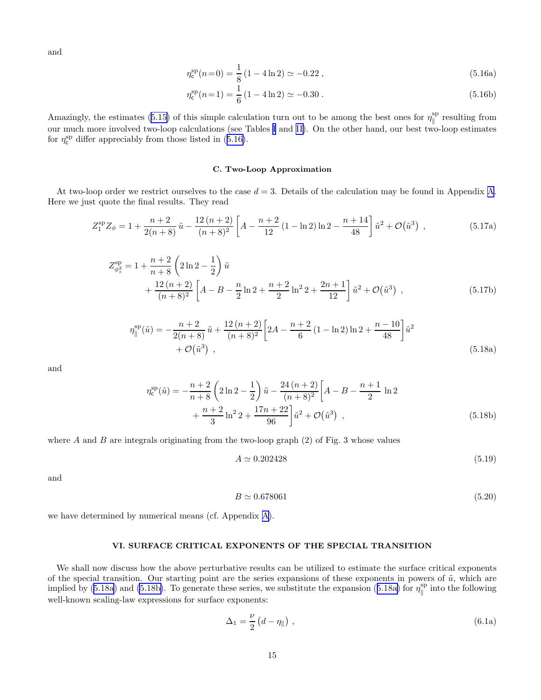<span id="page-14-0"></span>and

$$
\eta_{\rm c}^{\rm sp}(n=0) = \frac{1}{8} \left( 1 - 4 \ln 2 \right) \simeq -0.22 \,, \tag{5.16a}
$$

$$
\eta_{\rm c}^{\rm sp}(n=1) = \frac{1}{6} \left( 1 - 4 \ln 2 \right) \simeq -0.30 \ . \tag{5.16b}
$$

Amazingly, the estimates [\(5.15\)](#page-13-0) of this simple calculation turn out to be among the best ones for  $\eta_{\parallel}^{\text{sp}}$  $\int_{\parallel}^{\text{sp}}$  resulting from our much more involved two-loop calculations (see Tables [I](#page-16-0) and [II\)](#page-16-0). On the other hand, our best two-loop estimates for $\eta_c^{sp}$  differ appreciably from those listed in ([5.16\)](#page-13-0).

#### C. Two-Loop Approximation

At two-loop order we restrict ourselves to the case  $d = 3$ . Details of the calculation may be found in [A](#page-27-0)ppendix A. Here we just quote the final results. They read

$$
Z_1^{\rm sp} Z_{\phi} = 1 + \frac{n+2}{2(n+8)} \tilde{u} - \frac{12(n+2)}{(n+8)^2} \left[ A - \frac{n+2}{12} (1 - \ln 2) \ln 2 - \frac{n+14}{48} \right] \tilde{u}^2 + \mathcal{O}(\tilde{u}^3) ,\qquad (5.17a)
$$

$$
Z_{\phi_s^2}^{\rm sp} = 1 + \frac{n+2}{n+8} \left( 2\ln 2 - \frac{1}{2} \right) \tilde{u} + \frac{12\left(n+2\right)}{\left(n+8\right)^2} \left[ A - B - \frac{n}{2}\ln 2 + \frac{n+2}{2}\ln^2 2 + \frac{2n+1}{12} \right] \tilde{u}^2 + \mathcal{O}(\tilde{u}^3) ,
$$
(5.17b)

$$
\eta_{\parallel}^{\rm sp}(\tilde{u}) = -\frac{n+2}{2(n+8)}\tilde{u} + \frac{12(n+2)}{(n+8)^2} \left[2A - \frac{n+2}{6}(1-\ln 2)\ln 2 + \frac{n-10}{48}\right] \tilde{u}^2 + \mathcal{O}(\tilde{u}^3) ,\qquad (5.18a)
$$

and

$$
\eta_{\rm c}^{\rm sp}(\tilde{u}) = -\frac{n+2}{n+8} \left( 2\ln 2 - \frac{1}{2} \right) \tilde{u} - \frac{24(n+2)}{(n+8)^2} \left[ A - B - \frac{n+1}{2} \ln 2 + \frac{n+2}{3} \ln^2 2 + \frac{17n+22}{96} \right] \tilde{u}^2 + \mathcal{O}(\tilde{u}^3) ,\tag{5.18b}
$$

where A and B are integrals originating from the two-loop graph  $(2)$  of Fig. 3 whose values

$$
A \simeq 0.202428\tag{5.19}
$$

and

$$
B \simeq 0.678061\tag{5.20}
$$

we have determined by numerical means (cf. Appendix [A](#page-27-0)).

#### VI. SURFACE CRITICAL EXPONENTS OF THE SPECIAL TRANSITION

We shall now discuss how the above perturbative results can be utilized to estimate the surface critical exponents of the special transition. Our starting point are the series expansions of these exponents in powers of  $\tilde{u}$ , which are implied by (5.18a) and (5.18b). To generate these series, we substitute the expansion (5.18a) for  $\eta_{\parallel}^{\rm sp}$  $\int_{\parallel}^{\text{sp}}$  into the following well-known scaling-law expressions for surface exponents:

$$
\Delta_1 = \frac{\nu}{2} \left( d - \eta_{\parallel} \right) , \tag{6.1a}
$$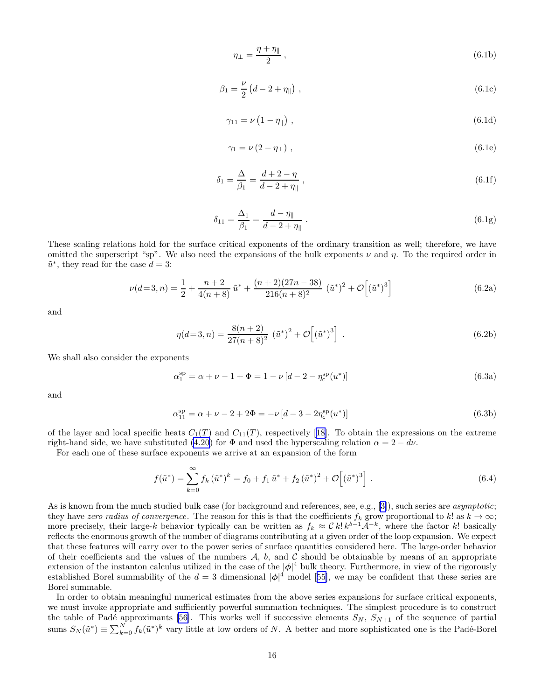$$
\eta_{\perp} = \frac{\eta + \eta_{\parallel}}{2} \,, \tag{6.1b}
$$

<span id="page-15-0"></span>
$$
\beta_1 = \frac{\nu}{2} \left( d - 2 + \eta_{\parallel} \right) , \qquad (6.1c)
$$

$$
\gamma_{11} = \nu \left( 1 - \eta_{\parallel} \right) , \qquad (6.1d)
$$

$$
\gamma_1 = \nu \left( 2 - \eta_{\perp} \right) , \tag{6.1e}
$$

$$
\delta_1 = \frac{\Delta}{\beta_1} = \frac{d+2-\eta}{d-2+\eta_{\parallel}}\,,\tag{6.1f}
$$

$$
\delta_{11} = \frac{\Delta_1}{\beta_1} = \frac{d - \eta_{\parallel}}{d - 2 + \eta_{\parallel}}.
$$
\n(6.1g)

These scaling relations hold for the surface critical exponents of the ordinary transition as well; therefore, we have omitted the superscript "sp". We also need the expansions of the bulk exponents  $\nu$  and  $\eta$ . To the required order in  $\tilde{u}^*$ , they read for the case  $d = 3$ :

$$
\nu(d=3,n) = \frac{1}{2} + \frac{n+2}{4(n+8)}\tilde{u}^* + \frac{(n+2)(27n-38)}{216(n+8)^2}(\tilde{u}^*)^2 + \mathcal{O}[(\tilde{u}^*)^3]
$$
(6.2a)

and

$$
\eta(d=3,n) = \frac{8(n+2)}{27(n+8)^2} \left(\tilde{u}^*\right)^2 + \mathcal{O}\left[\left(\tilde{u}^*\right)^3\right] \,. \tag{6.2b}
$$

We shall also consider the exponents

$$
\alpha_1^{\rm sp} = \alpha + \nu - 1 + \Phi = 1 - \nu \left[ d - 2 - \eta_{\rm c}^{\rm sp}(u^*) \right]
$$
\n(6.3a)

and

$$
\alpha_{11}^{\rm sp} = \alpha + \nu - 2 + 2\Phi = -\nu \left[ d - 3 - 2\eta_{\rm c}^{\rm sp}(u^*) \right]
$$
\n(6.3b)

ofthe layer and local specific heats  $C_1(T)$  and  $C_{11}(T)$ , respectively [[18](#page-37-0)]. To obtain the expressions on the extreme right-hand side, we have substituted [\(4.20](#page-11-0)) for  $\Phi$  and used the hyperscaling relation  $\alpha = 2 - d\nu$ .

For each one of these surface exponents we arrive at an expansion of the form

$$
f(\tilde{u}^*) = \sum_{k=0}^{\infty} f_k (\tilde{u}^*)^k = f_0 + f_1 \tilde{u}^* + f_2 (\tilde{u}^*)^2 + \mathcal{O}\left[ (\tilde{u}^*)^3 \right].
$$
 (6.4)

Asis known from the much studied bulk case (for background and references, see, e.g., [[3\]](#page-37-0)), such series are *asymptotic*; they have zero radius of convergence. The reason for this is that the coefficients  $f_k$  grow proportional to k! as  $k \to \infty$ ; more precisely, their large-k behavior typically can be written as  $f_k \approx C k! k^{b-1} \mathcal{A}^{-k}$ , where the factor k! basically reflects the enormous growth of the number of diagrams contributing at a given order of the loop expansion. We expect that these features will carry over to the power series of surface quantities considered here. The large-order behavior of their coefficients and the values of the numbers  $A$ ,  $b$ , and  $C$  should be obtainable by means of an appropriate extension of the instanton calculus utilized in the case of the  $|\phi|^4$  bulk theory. Furthermore, in view of the rigorously establishedBorel summability of the  $d = 3$  dimensional  $|\phi|^4$  model [[55\]](#page-38-0), we may be confident that these series are Borel summable.

In order to obtain meaningful numerical estimates from the above series expansions for surface critical exponents, we must invoke appropriate and sufficiently powerful summation techniques. The simplest procedure is to construct the table of Padé approximants [\[56\]](#page-38-0). This works well if successive elements  $S_N$ ,  $S_{N+1}$  of the sequence of partial sums  $S_N(\tilde{u}^*) \equiv \sum_{k=0}^N f_k(\tilde{u}^*)^k$  vary little at low orders of N. A better and more sophisticated one is the Padé-Borel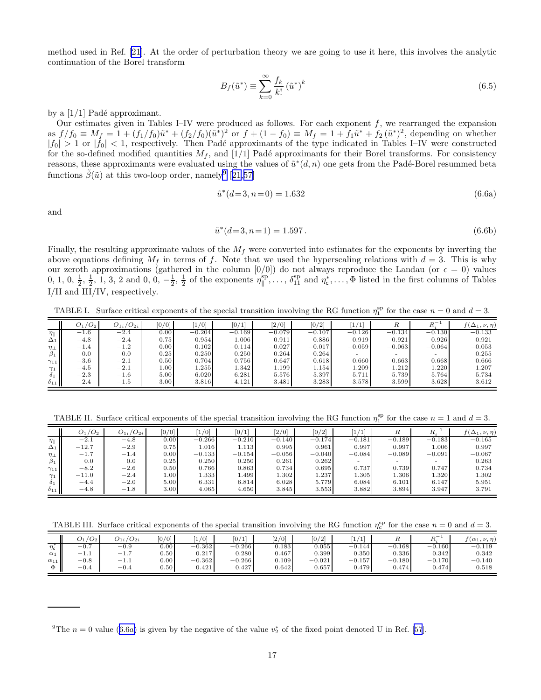<span id="page-16-0"></span>method used in Ref. [\[21](#page-37-0)]. At the order of perturbation theory we are going to use it here, this involves the analytic continuation of the Borel transform

$$
B_f(\tilde{u}^*) \equiv \sum_{k=0}^{\infty} \frac{f_k}{k!} (\tilde{u}^*)^k
$$
\n(6.5)

by a  $[1/1]$  Padé approximant.

Our estimates given in Tables I–IV were produced as follows. For each exponent f, we rearranged the expansion as  $f/f_0 \equiv M_f = 1 + (f_1/f_0)\tilde{u}^* + (f_2/f_0)(\tilde{u}^*)^2$  or  $f + (1 - f_0) \equiv M_f = 1 + f_1\tilde{u}^* + f_2(\tilde{u}^*)^2$ , depending on whether  $|f_0| > 1$  or  $|f_0| < 1$ , respectively. Then Padé approximants of the type indicated in Tables I–IV were constructed for the so-defined modified quantities  $M_f$ , and [1/1] Padé approximants for their Borel transforms. For consistency reasons, these approximants were evaluated using the values of  $\tilde{u}^*(d, n)$  one gets from the Padé-Borel resummed beta functions  $\tilde{\beta}(\tilde{u})$  at this two-loop order, namely<sup>9</sup> [[21,](#page-37-0)[57\]](#page-38-0)

$$
\tilde{u}^*(d=3, n=0) = 1.632\tag{6.6a}
$$

and

$$
\tilde{u}^*(d=3, n=1) = 1.597. \tag{6.6b}
$$

Finally, the resulting approximate values of the  $M_f$  were converted into estimates for the exponents by inverting the above equations defining  $M_f$  in terms of f. Note that we used the hyperscaling relations with  $d = 3$ . This is why our zeroth approximations (gathered in the column  $[0/0]$ ) do not always reproduce the Landau (or  $\epsilon = 0$ ) values 0, 1, 0,  $\frac{1}{2}$ ,  $\frac{1}{2}$ , 1, 3, 2 and 0, 0,  $-\frac{1}{2}$ ,  $\frac{1}{2}$  of the exponents  $\eta_{\parallel}^{\text{sp}}$  $\phi_{\parallel}^{\text{sp}}$ , ...,  $\delta_{11}^{\text{sp}}$  and  $\eta_{\mathsf{c}}^*$ , ...,  $\Phi$  listed in the first columns of Tables I/II and III/IV, respectively.

TABLE I. Surface critical exponents of the special transition involving the RG function  $\eta_1^{\text{sp}}$  for the case  $n = 0$  and  $d = 3$ .

|                    | $O_1/O_2$ | $O_{1i}/O_{2i}$ | [0/0]             | 1/0      | [0/1]    | $\left[2/0\right]$ | [0/2]    | $\left[1/1\right]$ | R        | $R_i^-$  | $f(\Delta_1,\nu,\eta)$ |
|--------------------|-----------|-----------------|-------------------|----------|----------|--------------------|----------|--------------------|----------|----------|------------------------|
| $\eta_{\parallel}$ | $-1.6$    | $-2.4$          | 0.00              | $-0.204$ | $-0.169$ | $-0.079$           | $-0.107$ | $-0.126$           | $-0.134$ | $-0.130$ | $-0.133$               |
| $\Delta_1$ II      | $-4.8$    | $-2.4$          | 0.75              | 0.954    | 1.006    | 0.911              | 0.886    | 0.919              | 0.921    | 0.926    | 0.921                  |
| $\eta_{\perp}$     | $-1.4$    | $-1.2$          | 0.00              | $-0.102$ | $-0.114$ | $-0.027$           | $-0.017$ | $-0.059$           | $-0.063$ | $-0.064$ | $-0.053$               |
| $\beta_1$          | 0.0       | 0.0             | 0.25              | 0.250    | 0.250    | 0.264              | 0.264    | -                  | -        | -        | 0.255                  |
| $\gamma_{11}$      | $-3.6$    | $^{-2.1}$       | 0.50              | 0.704    | 0.756    | 0.647              | 0.618    | 0.660              | 0.663    | 0.668    | 0.666                  |
| $\gamma_1$ II      | $-4.5$    | $-2.1$          | 1.00 <sub>1</sub> | 1.255    | 1.342    | 1.199              | 1.154    | 1.209              | 1.212    | 1.220    | 1.207                  |
| $\delta_1$         | $-2.3$    | $-1.6$          | 5.00              | 6.020    | 6.281    | 5.576              | 5.397    | 5.711              | 5.739    | 5.764    | 5.734                  |
| $\delta_{11}$      | $-2.4$    | $-1.5\,$        | 3.00 <sub>1</sub> | 3.816    | 4.121    | 3.481              | 3.283    | 3.578              | 3.599    | 3.628    | 3.612                  |

TABLE II. Surface critical exponents of the special transition involving the RG function  $\eta_1^{\text{sp}}$  for the case  $n = 1$  and  $d = 3$ .

|                    | $O_1/O_2$ | $O_{1i}/O_{2i}$ | [0/0]    | $\left[1/0\right]$ | [0/1]    | $\left[2/0\right]$ | [0/2]    | [1/1]    | R        | $R_z^{-1}$ | $f(\Delta_1,\nu,\eta)$ |
|--------------------|-----------|-----------------|----------|--------------------|----------|--------------------|----------|----------|----------|------------|------------------------|
| $\eta_{\parallel}$ | $-2.1$    | $-4.8$          | 0.00     | $-0.266$           | $-0.210$ | $-0.140$           | $-0.174$ | $-0.181$ | $-0.189$ | $-0.183$   | $-0.165$               |
| $\Delta_1$         | $-12.7$   | $-2.9$          | 0.75     | 1.016              | 1.113    | 0.995              | 0.961    | 0.997    | 0.997    | 1.006      | 0.997                  |
| $\eta_{\perp}$     | $-1.7$    | $-1.4$          | 0.00     | $-0.133$           | $-0.154$ | $-0.056$           | $-0.040$ | $-0.084$ | $-0.089$ | $-0.091$   | $-0.067$               |
| $\beta_1$          | 0.0       | 0.0             | 0.25     | 0.250              | 0.250    | 0.261              | 0.262    |          | -        |            | 0.263                  |
| $\gamma_{11}$      | $-8.2$    | $-2.6$          | 0.50     | 0.766              | 0.863    | 0.734              | 0.695    | 0.737    | 0.739    | 0.747      | 0.734                  |
| $\gamma_1$         | $-11.0$   | $-2.4$          | $1.00\,$ | 1.333              | 1.499    | 1.302              | 1.237    | 1.305    | 1.306    | 1.320      | 1.302                  |
| $\delta_1$         | $-4.4$    | $-2.0$          | 5.00     | 6.331              | 6.814    | 6.028              | 5.779    | 6.084    | 6.101    | 6.147      | 5.951                  |
| $\delta_{11}$      | $-4.8$    | $-1.8$          | 3.00     | 4.065              | 4.650    | 3.845              | 3.553    | 3.882    | 3.894    | 3.947      | 3.791                  |

TABLE III. Surface critical exponents of the special transition involving the RG function  $\eta_c^{sp}$  for the case  $n = 0$  and  $d = 3$ .

|                   | $\sqrt{2}$<br>$J_1$<br>$U_2$ | $'O_{2i}$<br>$v_{1i}$ | [0/0]    | 1/0          | [0/1]    | $\left[2/0\right]$ | [0/2]    | 1/1      |          | $_{D}$ - | $f(\alpha_1,\nu,\eta)$ |
|-------------------|------------------------------|-----------------------|----------|--------------|----------|--------------------|----------|----------|----------|----------|------------------------|
| $\eta_{\epsilon}$ | $-0.1$                       | $-0.9$                | $0.00\,$ | 0.362<br>— I | $-0.266$ | 0.183              | 0.055    | $-0.144$ | $-0.168$ | $-0.160$ | $-0.119$               |
| $\alpha_1$        | $-1.1$                       | $-1.1$                | $0.50\,$ | 0.217        | 0.280    | 0.467              | 0.399    | 0.350    | 0.336    | 0.342    | 0.342                  |
| $\alpha_{11}$     | $-0.8$                       | $-1.1$                | $0.00\,$ | $-0.362$     | $-0.266$ | 0.109              | $-0.021$ | $-0.157$ | $-0.180$ | $-0.170$ | $-0.140$               |
| Ф                 | $-0.4$                       | $-0.4$                | $0.50\,$ | 0.421        | 0.427    | 0.642              | 0.657    | 0.479    | 0.474    | 0.474    | 0.518                  |

<sup>&</sup>lt;sup>9</sup>The  $n = 0$  value (6.6a) is given by the negative of the value  $v_2^*$  of the fixed point denoted U in Ref. [\[57](#page-38-0)].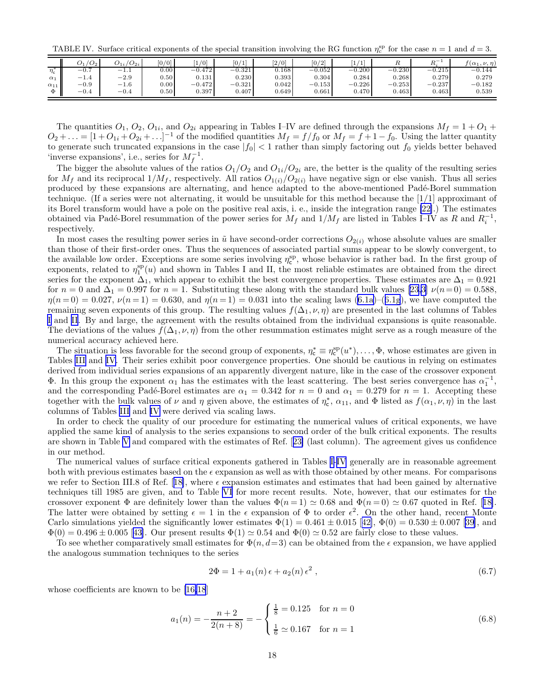<span id="page-17-0"></span>TABLE IV. Surface critical exponents of the special transition involving the RG function  $\eta_c^{sp}$  for the case  $n = 1$  and  $d = 3$ .

|                | 1O <sub>2</sub>               | $U_{2i}$<br>$U_{1i}$ | [0/0]             | 1/0          | [0/1]    | $\left[2/0\right]$ | [0/2]    | /1<br>л., | $_{R}$   | $n-$     | $f(\alpha_1,\nu,\eta)$ |
|----------------|-------------------------------|----------------------|-------------------|--------------|----------|--------------------|----------|-----------|----------|----------|------------------------|
| $\eta_{\rm c}$ | $-U_{\cdot}$                  | $-1.1$               | 0.00              | 0.472<br>— I | $-0.321$ | 0.168              | $-0.052$ | $-0.200$  | $-0.230$ | $-0.215$ | $-0.144$               |
| $\alpha_1$     | — I<br>1.4                    | $-2.9$               | 0.50              | 0.131        | 0.230    | 0.393              | 0.304    | 0.284     | 0.268    | 0.279    | 0.279                  |
| $\alpha_{11}$  | $-0.9$                        | $-1.6$               | 0.00              | $-0.472$     | $-0.321$ | 0.042              | $-0.153$ | $-0.226$  | $-0.253$ | $-0.237$ | $-0.182$               |
| Ф              | $\bigcap$ $\bigcap$<br>$-U.4$ | $-0.4$               | 0.50 <sub>1</sub> | 0.397        | 0.407    | 0.649              | 0.661    | 0.470     | 0.463    | 0.463    | 0.539                  |

The quantities  $O_1$ ,  $O_2$ ,  $O_{1i}$ , and  $O_{2i}$  appearing in Tables I–IV are defined through the expansions  $M_f = 1 + O_1 +$  $O_2 + \ldots = [1 + O_{1i} + O_{2i} + \ldots]^{-1}$  of the modified quantities  $M_f = f/f_0$  or  $M_f = f + 1 - f_0$ . Using the latter quantity to generate such truncated expansions in the case  $|f_0|$  < 1 rather than simply factoring out  $f_0$  yields better behaved 'inverse expansions', i.e., series for  $M_f^{-1}$ .

The bigger the absolute values of the ratios  $O_1/O_2$  and  $O_{1i}/O_{2i}$  are, the better is the quality of the resulting series for  $M_f$  and its reciprocal  $1/M_f$ , respectively. All ratios  $O_{1(i)}/O_{2(i)}$  have negative sign or else vanish. Thus all series produced by these expansions are alternating, and hence adapted to the above-mentioned Padé-Borel summation technique. (If a series were not alternating, it would be unsuitable for this method because the [1/1] approximant of its Borel transform would have a pole on the positive real axis, i. e., inside the integration range [\[22\]](#page-38-0).) The estimates obtained via Padé-Borel resummation of the power series for  $M_f$  and  $1/M_f$  are listed in Tables I–IV as R and  $R_i^{-1}$ , respectively.

In most cases the resulting power series in  $\tilde{u}$  have second-order corrections  $O_{2(i)}$  whose absolute values are smaller than those of their first-order ones. Thus the sequences of associated partial sums appear to be slowly convergent, to the available low order. Exceptions are some series involving  $\eta_c^{sp}$ , whose behavior is rather bad. In the first group of exponents, related to  $\eta_1^{\rm sp}(u)$  and shown in Tables I and II, the most reliable estimates are obtained from the direct series for the exponent  $\Delta_1$ , which appear to exhibit the best convergence properties. These estimates are  $\Delta_1 = 0.921$ for  $n = 0$  and  $\Delta_1 = 0.997$  for  $n = 1$ . Substituting these along with the standard bulk values [\[23](#page-38-0),[3](#page-37-0)]  $\nu(n=0) = 0.588$ ,  $\eta(n=0) = 0.027, \nu(n=1) = 0.630$ , and  $\eta(n=1) = 0.031$  into the scaling laws [\(6.1a\)](#page-14-0)–([6.1g](#page-15-0)), we have computed the remaining seven exponents of this group. The resulting values  $f(\Delta_1, \nu, \eta)$  are presented in the last columns of Tables [I](#page-16-0) and [II](#page-16-0). By and large, the agreement with the results obtained from the individual expansions is quite reasonable. The deviations of the values  $f(\Delta_1, \nu, \eta)$  from the other resummation estimates might serve as a rough measure of the numerical accuracy achieved here.

The situation is less favorable for the second group of exponents,  $\eta_c^* \equiv \eta_c^{\text{sp}}(u^*), \ldots, \Phi$ , whose estimates are given in Tables [III](#page-16-0) and IV. Their series exhibit poor convergence properties. One should be cautious in relying on estimates derived from individual series expansions of an apparently divergent nature, like in the case of the crossover exponent **Φ**. In this group the exponent  $\alpha_1$  has the estimates with the least scattering. The best series convergence has  $\alpha_1^{-1}$ , and the corresponding Padé-Borel estimates are  $\alpha_1 = 0.342$  for  $n = 0$  and  $\alpha_1 = 0.279$  for  $n = 1$ . Accepting these together with the bulk values of  $\nu$  and  $\eta$  given above, the estimates of  $\eta_c^*$ ,  $\alpha_{11}$ , and  $\Phi$  listed as  $f(\alpha_1, \nu, \eta)$  in the last columns of Tables [III](#page-16-0) and IV were derived via scaling laws.

In order to check the quality of our procedure for estimating the numerical values of critical exponents, we have applied the same kind of analysis to the series expansions to second order of the bulk critical exponents. The results are shown in Table [V](#page-18-0) and compared with the estimates of Ref.[[23\]](#page-38-0) (last column). The agreement gives us confidence in our method.

The numerical values of surface critical exponents gathered in Tables [I-](#page-16-0)IV generally are in reasonable agreement both with previous estimates based on the  $\epsilon$  expansion as well as with those obtained by other means. For comparisons werefer to Section III.8 of Ref. [[18\]](#page-37-0), where  $\epsilon$  expansion estimates and estimates that had been gained by alternative techniques till 1985 are given, and to Table [VI](#page-18-0) for more recent results. Note, however, that our estimates for the crossoverexponent  $\Phi$  are definitely lower than the values  $\Phi(n=1) \simeq 0.68$  and  $\Phi(n=0) \simeq 0.67$  quoted in Ref. [[18\]](#page-37-0). The latter were obtained by setting  $\epsilon = 1$  in the  $\epsilon$  expansion of  $\Phi$  to order  $\epsilon^2$ . On the other hand, recent Monte Carlosimulations yielded the significantly lower estimates  $\Phi(1) = 0.461 \pm 0.015$  [[42\]](#page-38-0),  $\Phi(0) = 0.530 \pm 0.007$  [[39](#page-38-0)], and  $\Phi(0) = 0.496 \pm 0.005$  $\Phi(0) = 0.496 \pm 0.005$  $\Phi(0) = 0.496 \pm 0.005$  [[43\]](#page-38-0). Our present results  $\Phi(1) \simeq 0.54$  and  $\Phi(0) \simeq 0.52$  are fairly close to these values.

To see whether comparatively small estimates for  $\Phi(n, d=3)$  can be obtained from the  $\epsilon$  expansion, we have applied the analogous summation techniques to the series

$$
2\Phi = 1 + a_1(n)\epsilon + a_2(n)\epsilon^2 , \qquad (6.7)
$$

whose coefficients are known to be [\[16,18](#page-37-0)]

$$
a_1(n) = -\frac{n+2}{2(n+8)} = -\begin{cases} \frac{1}{8} = 0.125 & \text{for } n = 0\\ \frac{1}{6} \simeq 0.167 & \text{for } n = 1 \end{cases}
$$
 (6.8)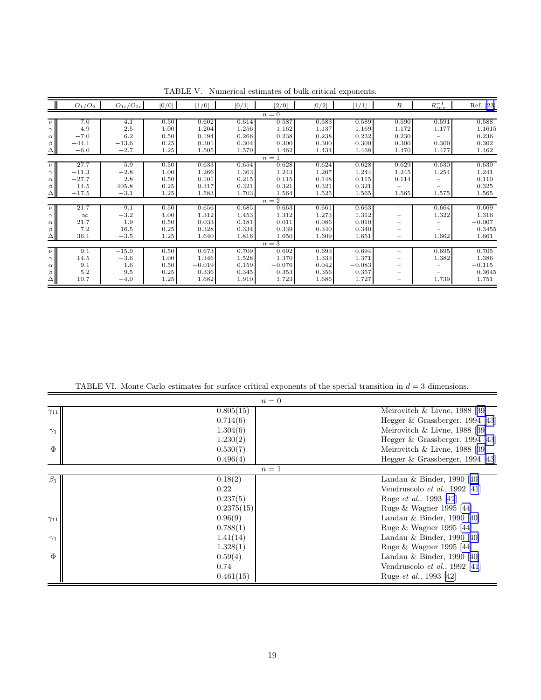<span id="page-18-0"></span>

|             | $O_1/O_2$ | $O_{1i}/O_{2i}$ | [0/0] | $[1/0]$  | [0/1] | $\left[2/0\right]$ | [0/2] | [1/1]    | $\boldsymbol{R}$         | $R_{inv}^{-1}$ | Ref. [23] |
|-------------|-----------|-----------------|-------|----------|-------|--------------------|-------|----------|--------------------------|----------------|-----------|
|             |           |                 |       |          |       | $n=\overline{0}$   |       |          |                          |                |           |
| $\nu$       | $-7.0$    | $-4.1$          | 0.50  | 0.602    | 0.614 | 0.587              | 0.583 | 0.589    | 0.590                    | 0.591          | 0.588     |
| $\gamma$    | $-4.9$    | $-2.5$          | 1.00  | 1.204    | 1.256 | 1.162              | 1.137 | 1.169    | 1.172                    | 1.177          | 1.1615    |
| $\alpha$    | $-7.0$    | 6.2             | 0.50  | 0.194    | 0.266 | 0.238              | 0.238 | 0.232    | 0.230                    |                | 0.236     |
| $\beta$     | $-44.1$   | $-13.6$         | 0.25  | 0.301    | 0.304 | 0.300              | 0.300 | 0.300    | 0.300                    | 0.300          | 0.302     |
| $\Delta$    | $-6.0$    | $-2.7$          | 1.25  | 1.505    | 1.570 | 1.462              | 1.434 | 1.468    | 1.470                    | 1.477          | 1.462     |
|             |           |                 |       |          |       | $n=1$              |       |          |                          |                |           |
| $\nu$       | $-27.7$   | $-5.9$          | 0.50  | 0.633    | 0.654 | 0.628              | 0.624 | 0.628    | 0.629                    | 0.630          | 0.630     |
| $\gamma$ II | $-11.3$   | $-2.8$          | 1.00  | 1.266    | 1.363 | 1.243              | 1.207 | 1.244    | 1.245                    | 1.254          | 1.241     |
| $\alpha$    | $-27.7$   | 2.8             | 0.50  | 0.101    | 0.215 | 0.115              | 0.148 | 0.115    | 0.114                    |                | 0.110     |
| β           | 14.5      | 405.8           | 0.25  | 0.317    | 0.321 | 0.321              | 0.321 | 0.321    |                          |                | 0.325     |
| $\Delta$    | $-17.5$   | $-3.1$          | 1.25  | 1.583    | 1.703 | 1.564              | 1.525 | 1.565    | 1.565                    | 1.575          | 1.565     |
|             |           |                 |       |          |       | $n=2$              |       |          |                          |                |           |
| $\nu$       | 21.7      | $-9.1$          | 0.50  | 0.656    | 0.685 | 0.663              | 0.661 | 0.663    | $\overline{\phantom{a}}$ | 0.664          | 0.669     |
| $\gamma$    | $\infty$  | $-3.2$          | 1.00  | 1.312    | 1.453 | 1.312              | 1.273 | 1.312    |                          | 1.322          | 1.316     |
| $\alpha$    | 21.7      | 1.9             | 0.50  | 0.033    | 0.181 | 0.011              | 0.086 | 0.010    |                          |                | $-0.007$  |
| $\beta$     | 7.2       | 16.5            | 0.25  | 0.328    | 0.334 | 0.339              | 0.340 | 0.340    |                          |                | 0.3455    |
| $\triangle$ | 36.1      | $-3.5$          | 1.25  | 1.640    | 1.816 | 1.650              | 1.609 | 1.651    |                          | 1.662          | 1.661     |
|             |           |                 |       |          |       | $n=3$              |       |          |                          |                |           |
| $\nu$       | 9.1       | $-15.9$         | 0.50  | 0.673    | 0.709 | 0.692              | 0.693 | 0.694    |                          | 0.695          | 0.705     |
| $\gamma$    | 14.5      | $-3.6$          | 1.00  | 1.346    | 1.528 | 1.370              | 1.333 | 1.371    |                          | 1.382          | 1.386     |
| $\alpha$    | 9.1       | 1.6             | 0.50  | $-0.019$ | 0.159 | $-0.076$           | 0.042 | $-0.083$ |                          |                | $-0.115$  |
| $\beta$     | 5.2       | 9.5             | 0.25  | 0.336    | 0.345 | 0.353              | 0.356 | 0.357    |                          |                | 0.3645    |
| $\Delta$    | 10.7      | $-4.0$          | 1.25  | 1.682    | 1.910 | 1.723              | 1.686 | 1.727    |                          | 1.739          | 1.751     |

TABLE V. Numerical estimates of bulk critical exponents.

TABLE VI. Monte Carlo estimates for surface critical exponents of the special transition in  $d = 3$  dimensions.

|               |            | $n=0$                                 |
|---------------|------------|---------------------------------------|
| $\gamma_{11}$ | 0.805(15)  | Meirovitch $\&$ Livne, 1988 [39]      |
|               | 0.714(6)   | Hegger & Grassberger, 1994 [43]       |
| $\gamma_1$    | 1.304(6)   | Meirovitch $\&$ Livne, 1988 [39]      |
|               | 1.230(2)   | Hegger & Grassberger, 1994 [43]       |
| $\Phi$        | 0.530(7)   | Meirovitch $\&$ Livne, 1988 [39]      |
|               | 0.496(4)   | Hegger $&$ Grassberger, 1994 [43]     |
|               |            | $n=1$                                 |
| $\beta_1$     | 0.18(2)    | Landau & Binder, 1990 [40]            |
|               | 0.22       | Vendruscolo <i>et al.</i> , 1992 [41] |
|               | 0.237(5)   | Ruge <i>et al.</i> , 1993 [42]        |
|               | 0.2375(15) | Ruge & Wagner 1995 [44]               |
| $\gamma_{11}$ | 0.96(9)    | Landau & Binder, 1990 [40]            |
|               | 0.788(1)   | Ruge & Wagner 1995 [44]               |
| $\gamma_1$    | 1.41(14)   | Landau & Binder, 1990 [40]            |
|               | 1.328(1)   | Ruge & Wagner 1995 [44]               |
| $\Phi$        | 0.59(4)    | Landau & Binder, 1990 [40]            |
|               | 0.74       | Vendruscolo et al., 1992 [41]         |
|               | 0.461(15)  | Ruge et al., 1993 [42]                |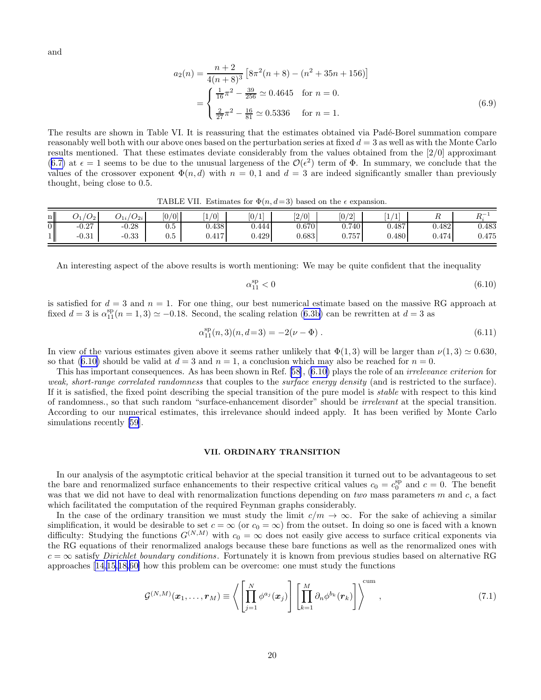<span id="page-19-0"></span>and

$$
a_2(n) = \frac{n+2}{4(n+8)^3} \left[ 8\pi^2(n+8) - (n^2 + 35n + 156) \right]
$$
  
= 
$$
\begin{cases} \frac{1}{16}\pi^2 - \frac{39}{256} \simeq 0.4645 & \text{for } n = 0. \\ \frac{2}{27}\pi^2 - \frac{16}{81} \simeq 0.5336 & \text{for } n = 1. \end{cases}
$$
 (6.9)

The results are shown in Table VI. It is reassuring that the estimates obtained via Padé-Borel summation compare reasonably well both with our above ones based on the perturbation series at fixed  $d = 3$  as well as with the Monte Carlo results mentioned. That these estimates deviate considerably from the values obtained from the [2/0] approximant ([6.7\)](#page-17-0) at  $\epsilon = 1$  seems to be due to the unusual largeness of the  $\mathcal{O}(\epsilon^2)$  term of  $\Phi$ . In summary, we conclude that the values of the crossover exponent  $\Phi(n, d)$  with  $n = 0, 1$  and  $d = 3$  are indeed significantly smaller than previously thought, being close to 0.5.

TABLE VII. Estimates for  $\Phi(n, d=3)$  based on the  $\epsilon$  expansion.

| n <sub>l</sub> | $\sqrt{2}$<br>$\mathcal{O}_2$ .<br>$U_1$ | $\sqrt{2}$<br>$U_{2i}$<br>$v_{1i}$ | [0/0] | $\sqrt{0}$ | U.<br><b>I</b> | 2/0<br>L. | [0/2] | $\overline{ }$<br>$\overline{ }$<br><u>. на с</u> |       | $D -$<br>1 U. |
|----------------|------------------------------------------|------------------------------------|-------|------------|----------------|-----------|-------|---------------------------------------------------|-------|---------------|
| 0 II           | $-0.27$                                  | $-0.28$                            | υ.σ   | 0.438      | 0.444          | $0.670\,$ | 0.740 | 0.487                                             | 0.482 | $\rm 0.483$   |
|                | $-0.31$                                  | $-0.33$                            | ∪.∪   | 0.417      | 0.429          | 0.683     | 0.757 | 0.480                                             | 0.474 | 475<br>U.41 J |

An interesting aspect of the above results is worth mentioning: We may be quite confident that the inequality

$$
\alpha_{11}^{\rm sp} < 0 \tag{6.10}
$$

is satisfied for  $d = 3$  and  $n = 1$ . For one thing, our best numerical estimate based on the massive RG approach at fixed $d = 3$  is  $\alpha_{11}^{\rm sp}(n = 1, 3) \simeq -0.18$ . Second, the scaling relation ([6.3b](#page-15-0)) can be rewritten at  $d = 3$  as

$$
\alpha_{11}^{\rm sp}(n,3)(n,d=3) = -2(\nu - \Phi) \tag{6.11}
$$

In view of the various estimates given above it seems rather unlikely that  $\Phi(1,3)$  will be larger than  $\nu(1,3) \simeq 0.630$ , so that (6.10) should be valid at  $d = 3$  and  $n = 1$ , a conclusion which may also be reached for  $n = 0$ .

This has important consequences. As has been shown in Ref.[[58](#page-38-0)], (6.10) plays the role of an irrelevance criterion for weak, short-range correlated randomness that couples to the surface energy density (and is restricted to the surface). If it is satisfied, the fixed point describing the special transition of the pure model is stable with respect to this kind of randomness., so that such random "surface-enhancement disorder" should be irrelevant at the special transition. According to our numerical estimates, this irrelevance should indeed apply. It has been verified by Monte Carlo simulationsrecently [[59\]](#page-38-0).

#### VII. ORDINARY TRANSITION

In our analysis of the asymptotic critical behavior at the special transition it turned out to be advantageous to set the bare and renormalized surface enhancements to their respective critical values  $c_0 = c_0^{\text{sp}}$  and  $c = 0$ . The benefit was that we did not have to deal with renormalization functions depending on two mass parameters  $m$  and  $c$ , a fact which facilitated the computation of the required Feynman graphs considerably.

In the case of the ordinary transition we must study the limit  $c/m \to \infty$ . For the sake of achieving a similar simplification, it would be desirable to set  $c = \infty$  (or  $c_0 = \infty$ ) from the outset. In doing so one is faced with a known difficulty: Studying the functions  $G^{(N,M)}$  with  $c_0 = \infty$  does not easily give access to surface critical exponents via the RG equations of their renormalized analogs because these bare functions as well as the renormalized ones with  $c = \infty$  satisfy *Dirichlet boundary conditions*. Fortunately it is known from previous studies based on alternative RG approaches [\[14](#page-37-0),[15,18,](#page-37-0)[60\]](#page-38-0) how this problem can be overcome: one must study the functions

$$
\mathcal{G}^{(N,M)}(\boldsymbol{x}_1,\ldots,\boldsymbol{r}_M)\equiv\left\langle \left[\prod_{j=1}^N\phi^{a_j}(\boldsymbol{x}_j)\right]\left[\prod_{k=1}^M\partial_n\phi^{b_k}(\boldsymbol{r}_k)\right]\right\rangle^{\text{cum}},\qquad(7.1)
$$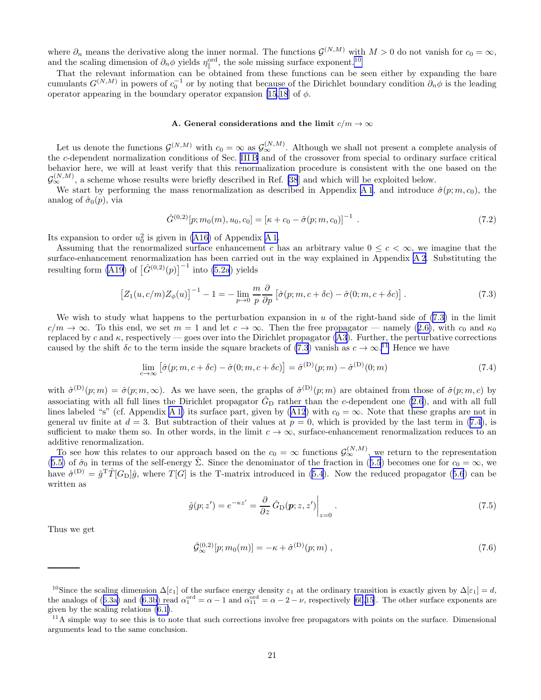<span id="page-20-0"></span>where  $\partial_n$  means the derivative along the inner normal. The functions  $\mathcal{G}^{(N,M)}$  with  $M > 0$  do not vanish for  $c_0 = \infty$ , and the scaling dimension of  $\partial_n \phi$  yields  $\eta_{\parallel}^{\text{ord}}$ , the sole missing surface exponent.<sup>10</sup>

That the relevant information can be obtained from these functions can be seen either by expanding the bare cumulants  $G^{(N,M)}$  in powers of  $c_0^{-1}$  or by noting that because of the Dirichlet boundary condition  $\partial_n \phi$  is the leading operator appearing in the boundary operator expansion [\[15,18](#page-37-0)] of  $\phi$ .

#### A. General considerations and the limit  $c/m \to \infty$

Let us denote the functions  $\mathcal{G}^{(N,M)}$  with  $c_0 = \infty$  as  $\mathcal{G}^{(N,M)}_{\infty}$ . Although we shall not present a complete analysis of the c-dependent normalization conditions of Sec. [III B](#page-7-0) and of the crossover from special to ordinary surface critical behavior here, we will at least verify that this renormalization procedure is consistent with the one based on the  $\mathcal{G}_{\infty}^{(N,M)}$ , a scheme whose results were briefly described in Ref. [\[38](#page-38-0)] and which will be exploited below.

We start by performing the mass renormalization as described in Appendix [A 1](#page-27-0), and introduce  $\hat{\sigma}(p; m, c_0)$ , the analog of  $\hat{\sigma}_0(p)$ , via

$$
\hat{G}^{(0,2)}[p;m_0(m),u_0,c_0] = [\kappa + c_0 - \hat{\sigma}(p;m,c_0)]^{-1} . \qquad (7.2)
$$

Its expansion to order  $u_0^2$  is given in [\(A16\)](#page-29-0) of Appendix [A 1](#page-27-0).

Assuming that the renormalized surface enhancement c has an arbitrary value  $0 \leq c < \infty$ , we imagine that the surface-enhancement renormalization has been carried out in the way explained in Appendix [A 2](#page-29-0). Substituting the resulting form [\(A19\)](#page-29-0) of  $\left[\hat{G}^{(0,2)}(p)\right]^{-1}$  into [\(5.2a](#page-11-0)) yields

$$
\left[Z_1(u,c/m)Z_{\phi}(u)\right]^{-1} - 1 = -\lim_{p \to 0} \frac{m}{p} \frac{\partial}{\partial p} \left[\hat{\sigma}(p;m,c+\delta c) - \hat{\sigma}(0;m,c+\delta c)\right].
$$
\n(7.3)

We wish to study what happens to the perturbation expansion in u of the right-hand side of  $(7.3)$  in the limit  $c/m \to \infty$  $c/m \to \infty$  $c/m \to \infty$ . To this end, we set  $m = 1$  and let  $c \to \infty$ . Then the free propagator — namely ([2.6\)](#page-3-0), with  $c_0$  and  $\kappa_0$ replaced by c and  $\kappa$ , respectively — goes over into the Dirichlet propagator [\(A3\)](#page-28-0). Further, the perturbative corrections caused by the shift  $\delta c$  to the term inside the square brackets of (7.3) vanish as  $c \to \infty$ .<sup>11</sup> Hence we have

$$
\lim_{c \to \infty} \left[ \hat{\sigma}(p; m, c + \delta c) - \hat{\sigma}(0; m, c + \delta c) \right] = \hat{\sigma}^{(D)}(p; m) - \hat{\sigma}^{(D)}(0; m)
$$
\n(7.4)

with  $\hat{\sigma}^{(D)}(p;m) = \hat{\sigma}(p;m,\infty)$ . As we have seen, the graphs of  $\hat{\sigma}^{(D)}(p;m)$  are obtained from those of  $\hat{\sigma}(p;m,c)$  by associating with all full lines the Dirichlet propagator  $\hat{G}_{\text{D}}$  rather than the c-dependent one [\(2.6](#page-3-0)), and with all full lines labeled "s" (cf. Appendix [A 1\)](#page-27-0)its surface part, given by ([A12](#page-28-0)) with  $c_0 = \infty$ . Note that these graphs are not in general uv finite at  $d = 3$ . But subtraction of their values at  $p = 0$ , which is provided by the last term in (7.4), is sufficient to make them so. In other words, in the limit  $c \to \infty$ , surface-enhancement renormalization reduces to an additive renormalization.

To see how this relates to our approach based on the  $c_0 = \infty$  functions  $\mathcal{G}_{\infty}^{(N,M)}$ , we return to the representation ([5.5\)](#page-12-0)of  $\hat{\sigma}_0$  in terms of the self-energy  $\hat{\Sigma}$ . Since the denominator of the fraction in ([5.5](#page-12-0)) becomes one for  $c_0 = \infty$ , we have $\hat{\sigma}^{(D)} = \hat{g}^{T} \hat{T} [G_{D}] \hat{g}$ , where  $T[G]$  is the T-matrix introduced in [\(5.4](#page-12-0)). Now the reduced propagator ([5.6](#page-12-0)) can be written as

$$
\hat{g}(p;z') = e^{-\kappa z'} = \frac{\partial}{\partial z} \hat{G}_{\text{D}}(p;z,z') \Big|_{z=0}.
$$
\n(7.5)

Thus we get

$$
\hat{\mathcal{G}}_{\infty}^{(0,2)}[p; m_0(m)] = -\kappa + \hat{\sigma}^{(D)}(p; m) , \qquad (7.6)
$$

<sup>&</sup>lt;sup>10</sup>Since the scaling dimension  $\Delta[\epsilon_1]$  of the surface energy density  $\epsilon_1$  at the ordinary transition is exactly given by  $\Delta[\epsilon_1] = d$ , theanalogs of ([6.3a\)](#page-15-0) and [\(6.3b\)](#page-15-0) read  $\alpha_1^{\text{ord}} = \alpha - 1$  and  $\alpha_{11}^{\text{ord}} = \alpha - 2 - \nu$ , respectively [\[60](#page-38-0)[,15](#page-37-0)]. The other surface exponents are given by the scaling relations [\(6.1\)](#page-15-0).

 $11$ A simple way to see this is to note that such corrections involve free propagators with points on the surface. Dimensional arguments lead to the same conclusion.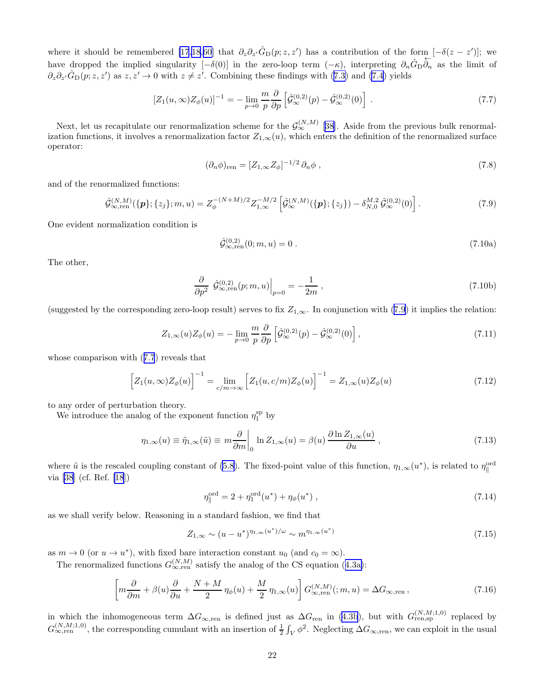<span id="page-21-0"></span>where it should be remembered [\[17,18](#page-37-0),[60\]](#page-38-0) that  $\partial_z \partial_{z'} \hat{G}_{\text{D}}(p; z, z')$  has a contribution of the form  $[-\delta(z - z')]$ ; we have dropped the implied singularity  $[-\delta(0)]$  in the zero-loop term  $(-\kappa)$ , interpreting  $\partial_n \hat{G}_{\rm D} \overleftarrow{\partial_n}$  as the limit of  $\partial_z \partial_{z'} \hat{G}_{\text{D}}(p; z, z')$  as  $z, z' \to 0$  with  $z \neq z'$ . Combining these findings with [\(7.3\)](#page-20-0) and [\(7.4](#page-20-0)) yields

$$
[Z_1(u,\infty)Z_{\phi}(u)]^{-1} = -\lim_{p \to 0} \frac{m}{p} \frac{\partial}{\partial p} \left[ \hat{\mathcal{G}}_{\infty}^{(0,2)}(p) - \hat{\mathcal{G}}_{\infty}^{(0,2)}(0) \right] . \tag{7.7}
$$

Next, let us recapitulate our renormalization scheme for the  $\mathcal{G}_{\infty}^{(N,M)}$  [[38\]](#page-38-0). Aside from the previous bulk renormalization functions, it involves a renormalization factor  $Z_{1,\infty}(u)$ , which enters the definition of the renormalized surface operator:

$$
(\partial_n \phi)_{\text{ren}} = [Z_{1,\infty} Z_{\phi}]^{-1/2} \partial_n \phi , \qquad (7.8)
$$

and of the renormalized functions:

$$
\hat{\mathcal{G}}_{\infty,\text{ren}}^{(N,M)}(\{\boldsymbol{p}\};\{z_j\};m,u) = Z_{\phi}^{-(N+M)/2} Z_{1,\infty}^{-M/2} \left[ \hat{\mathcal{G}}_{\infty}^{(N,M)}(\{\boldsymbol{p}\};\{z_j\}) - \delta_{N,0}^{M,2} \hat{\mathcal{G}}_{\infty}^{(0,2)}(0) \right].
$$
\n(7.9)

One evident normalization condition is

$$
\hat{\mathcal{G}}_{\infty,\text{ren}}^{(0,2)}(0;m,u) = 0\,. \tag{7.10a}
$$

The other,

$$
\frac{\partial}{\partial p^2} \left. \hat{\mathcal{G}}_{\infty, \text{ren}}^{(0,2)}(p; m, u) \right|_{p=0} = -\frac{1}{2m}, \qquad (7.10b)
$$

(suggested by the corresponding zero-loop result) serves to fix  $Z_{1,\infty}$ . In conjunction with (7.9) it implies the relation:

$$
Z_{1,\infty}(u)Z_{\phi}(u) = -\lim_{p \to 0} \frac{m}{p} \frac{\partial}{\partial p} \left[ \hat{\mathcal{G}}_{\infty}^{(0,2)}(p) - \hat{\mathcal{G}}_{\infty}^{(0,2)}(0) \right],\tag{7.11}
$$

whose comparison with (7.7) reveals that

$$
\[Z_1(u,\infty)Z_{\phi}(u)\]^{-1} = \lim_{c/m \to \infty} \left[Z_1(u,c/m)Z_{\phi}(u)\right]^{-1} = Z_{1,\infty}(u)Z_{\phi}(u) \tag{7.12}
$$

to any order of perturbation theory.

We introduce the analog of the exponent function  $\eta_1^{\text{sp}}$  by

$$
\eta_{1,\infty}(u) \equiv \tilde{\eta}_{1,\infty}(\tilde{u}) \equiv m \frac{\partial}{\partial m} \bigg|_0 \ln Z_{1,\infty}(u) = \beta(u) \frac{\partial \ln Z_{1,\infty}(u)}{\partial u}, \qquad (7.13)
$$

where  $\tilde{u}$  is the rescaled coupling constant of [\(5.8](#page-12-0)). The fixed-point value of this function,  $\eta_{1,\infty}(u^*)$ , is related to  $\eta_{\parallel}^{\text{ord}}$ via [\[38](#page-38-0)] (cf. Ref. [\[18](#page-37-0)])

$$
\eta_{\parallel}^{\text{ord}} = 2 + \eta_1^{\text{ord}}(u^*) + \eta_{\phi}(u^*), \qquad (7.14)
$$

as we shall verify below. Reasoning in a standard fashion, we find that

$$
Z_{1,\infty} \sim (u - u^*)^{\eta_{1,\infty}(u^*)/\omega} \sim m^{\eta_{1,\infty}(u^*)}
$$
\n(7.15)

as  $m \to 0$  (or  $u \to u^*$ ), with fixed bare interaction constant  $u_0$  (and  $c_0 = \infty$ ).

Therenormalized functions  $G_{\infty, \text{ren}}^{(N,M)}$  satisfy the analog of the CS equation ([4.3a\)](#page-9-0):

$$
\left[m\frac{\partial}{\partial m} + \beta(u)\frac{\partial}{\partial u} + \frac{N+M}{2}\eta_{\phi}(u) + \frac{M}{2}\eta_{1,\infty}(u)\right]G_{\infty,\text{ren}}^{(N,M)}(m,u) = \Delta G_{\infty,\text{ren}}\,,\tag{7.16}
$$

in which the inhomogeneous term  $\Delta G_{\infty,ren}$  is defined just as  $\Delta G_{ren}$  in [\(4.3b](#page-9-0)), but with  $G_{ren,sp}^{(N,M;1,0)}$  replaced by  $G_{\infty,ren}^{(N,M;1,0)}$ , the corresponding cumulant with an insertion of  $\frac{1}{2}\int_V \phi^2$ . Neglecting  $\Delta G_{\infty,ren}$ , we can exploit in the usual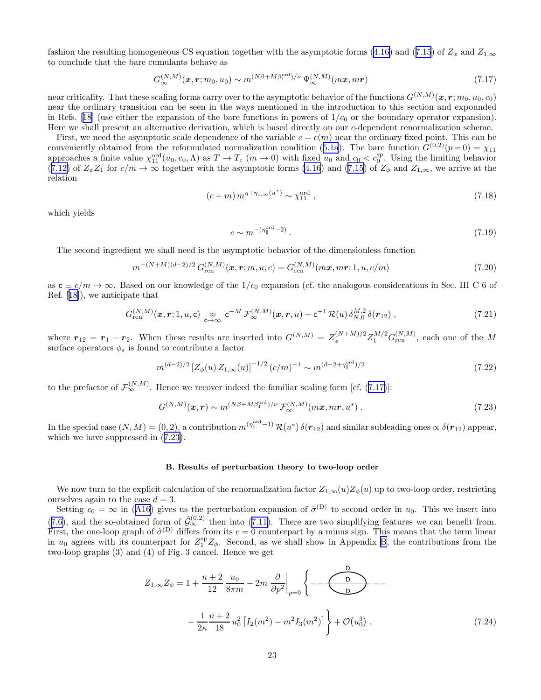<span id="page-22-0"></span>fashionthe resulting homogeneous CS equation together with the asymptotic forms ([4.16\)](#page-10-0) and ([7.15](#page-21-0)) of  $Z_{\phi}$  and  $Z_{1,\infty}$ to conclude that the bare cumulants behave as

$$
G_{\infty}^{(N,M)}(\boldsymbol{x},\boldsymbol{r};m_0,u_0) \sim m^{(N\beta + M\beta_1^{\text{ord}})/\nu} \Psi_{\infty}^{(N,M)}(m\boldsymbol{x},m\boldsymbol{r})
$$
\n(7.17)

near criticality. That these scaling forms carry over to the asymptotic behavior of the functions  $G^{(N,M)}(\bm x,\bm r; m_0,u_0,c_0)$ near the ordinary transition can be seen in the ways mentioned in the introduction to this section and expounded inRefs. [[18\]](#page-37-0) (use either the expansion of the bare functions in powers of  $1/c<sub>0</sub>$  or the boundary operator expansion). Here we shall present an alternative derivation, which is based directly on our c-dependent renormalization scheme.

First, we need the asymptotic scale dependence of the variable  $c = c(m)$  near the ordinary fixed point. This can be convenientlyobtained from the reformulated normalization condition ([5.1a](#page-11-0)). The bare function  $G^{(0,2)}(p=0) = \chi_{11}$ approaches a finite value  $\chi_{11}^{\text{ord}}(u_0, c_0, \Lambda)$  as  $T \to T_c$   $(m \to 0)$  with fixed  $u_0$  and  $c_0 < c_0^{\text{sp}}$ . Using the limiting behavior ([7.12\)](#page-21-0)of  $Z_{\phi}Z_1$  for  $c/m \to \infty$  together with the asymptotic forms [\(4.16](#page-10-0)) and ([7.15\)](#page-21-0) of  $Z_{\phi}$  and  $Z_{1,\infty}$ , we arrive at the relation

$$
(c+m) \, m^{\eta+\eta_{1,\infty}(u^*)} \sim \chi_{11}^{\text{ord}} \,, \tag{7.18}
$$

which yields

$$
c \sim m^{-(\eta_{\parallel}^{\text{ord}}-2)}.
$$
\n
$$
(7.19)
$$

The second ingredient we shall need is the asymptotic behavior of the dimensionless function

$$
m^{-(N+M)(d-2)/2} G_{\text{ren}}^{(N,M)}(\boldsymbol{x}, \boldsymbol{r}; m, u, c) = G_{\text{ren}}^{(N,M)}(m\boldsymbol{x}, m\boldsymbol{r}; 1, u, c/m)
$$
\n(7.20)

as  $c \equiv c/m \rightarrow \infty$ . Based on our knowledge of the  $1/c_0$  expansion (cf. the analogous considerations in Sec. III C 6 of Ref.[[18\]](#page-37-0)), we anticipate that

$$
G_{\text{ren}}^{(N,M)}(\boldsymbol{x},\boldsymbol{r};1,u,\mathsf{c}) \underset{\mathsf{c}\to\infty}{\approx} \mathsf{c}^{-M} \mathcal{F}_{\infty}^{(N,M)}(\boldsymbol{x},\boldsymbol{r},u) + \mathsf{c}^{-1} \mathcal{R}(u) \, \delta_{N,0}^{M,2} \, \delta(\boldsymbol{r}_{12}), \tag{7.21}
$$

where  $r_{12} = r_1 - r_2$ . When these results are inserted into  $G^{(N,M)} = Z_{\phi}^{(N+M)/2} Z_1^{M/2} G_{\text{ren}}^{(N,M)}$ , each one of the M surface operators  $\phi_s$  is found to contribute a factor

$$
m^{(d-2)/2} \left[ Z_{\phi}(u) \, Z_{1,\infty}(u) \right]^{-1/2} (c/m)^{-1} \sim m^{(d-2+\eta_{\parallel}^{\text{ord}})/2} \tag{7.22}
$$

to the prefactor of  $\mathcal{F}_{\infty}^{(N,M)}$ . Hence we recover indeed the familiar scaling form [cf. (7.17)]:

$$
G^{(N,M)}(\boldsymbol{x},\boldsymbol{r}) \sim m^{(N\beta + M\beta_1^{\text{ord}})/\nu} \mathcal{F}_{\infty}^{(N,M)}(m\boldsymbol{x},m\boldsymbol{r},u^*)
$$
 (7.23)

In the special case  $(N, M) = (0, 2)$ , a contribution  $m^{(\eta_{\parallel}^{\text{ord}}-1)} \mathcal{R}(u^*) \delta(r_{12})$  and similar subleading ones  $\propto \delta(r_{12})$  appear, which we have suppressed in (7.23).

#### B. Results of perturbation theory to two-loop order

We now turn to the explicit calculation of the renormalization factor  $Z_{1,\infty}(u)Z_{\phi}(u)$  up to two-loop order, restricting ourselves again to the case  $d = 3$ .

Setting $c_0 = \infty$  in ([A16](#page-29-0)) gives us the perturbation expansion of  $\hat{\sigma}^{(D)}$  to second order in  $u_0$ . This we insert into  $(7.6)$  $(7.6)$ ,and the so-obtained form of  $\hat{\mathcal{G}}_{\infty}^{(0,2)}$  then into  $(7.11)$  $(7.11)$ . There are two simplifying features we can benefit from. First, the one-loop graph of  $\hat{\sigma}^{(D)}$  differs from its  $c = 0$  counterpart by a minus sign. This means that the term linear in  $u_0$  agrees with its counterpart for  $Z_1^{\rm sp}Z_\phi$ . Second, as we shall show in Appendix [B,](#page-36-0) the contributions from the two-loop graphs (3) and (4) of Fig. 3 cancel. Hence we get

$$
Z_{1,\infty} Z_{\phi} = 1 + \frac{n+2}{12} \frac{u_0}{8\pi m} - 2m \frac{\partial}{\partial p^2} \Big|_{p=0} \left\{ - \frac{D}{D} - \frac{D}{D} - \frac{1}{2\kappa} \frac{n+2}{18} u_0^2 \left[ I_2(m^2) - m^2 I_3(m^2) \right] \right\} + \mathcal{O}(u_0^3) \,. \tag{7.24}
$$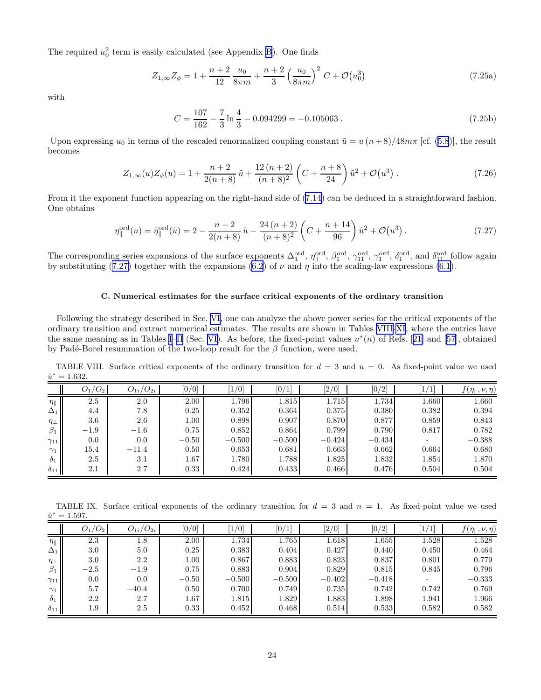<span id="page-23-0"></span>The required  $u_0^2$  term is easily calculated (see Appendix [B](#page-36-0)). One finds

$$
Z_{1,\infty} Z_{\phi} = 1 + \frac{n+2}{12} \frac{u_0}{8\pi m} + \frac{n+2}{3} \left(\frac{u_0}{8\pi m}\right)^2 C + \mathcal{O}(u_0^3)
$$
 (7.25a)

with

$$
C = \frac{107}{162} - \frac{7}{3} \ln \frac{4}{3} - 0.094299 = -0.105063
$$
 (7.25b)

Uponexpressing  $u_0$  in terms of the rescaled renormalized coupling constant  $\tilde{u} = u (n+8)/48m\pi$  [cf. ([5.8](#page-12-0))], the result becomes

$$
Z_{1,\infty}(u)Z_{\phi}(u) = 1 + \frac{n+2}{2(n+8)}\tilde{u} + \frac{12(n+2)}{(n+8)^2} \left(C + \frac{n+8}{24}\right)\tilde{u}^2 + \mathcal{O}(u^3) \tag{7.26}
$$

From it the exponent function appearing on the right-hand side of([7.14\)](#page-21-0) can be deduced in a straightforward fashion. One obtains

$$
\eta_{\parallel}^{\text{ord}}(u) = \tilde{\eta}_{\parallel}^{\text{ord}}(\tilde{u}) = 2 - \frac{n+2}{2(n+8)}\tilde{u} - \frac{24(n+2)}{(n+8)^2} \left(C + \frac{n+14}{96}\right)\tilde{u}^2 + \mathcal{O}(u^3) \,. \tag{7.27}
$$

The corresponding series expansions of the surface exponents  $\Delta_1^{\text{ord}}$ ,  $\eta_1^{\text{ord}}$ ,  $\beta_1^{\text{ord}}$ ,  $\gamma_1^{\text{ord}}$ ,  $\gamma_1^{\text{ord}}$ ,  $\gamma_1^{\text{ord}}$ ,  $\delta_1^{\text{ord}}$ , and  $\delta_{11}^{\text{ord}}$  follow again by substituting (7.27) together with the expansions [\(6.2](#page-15-0)) of  $\nu$  and  $\eta$  into the scaling-law expressions [\(6.1](#page-15-0)).

# C. Numerical estimates for the surface critical exponents of the ordinary transition

Following the strategy described in Sec. [VI](#page-14-0), one can analyze the above power series for the critical exponents of the ordinary transition and extract numerical estimates. The results are shown in Tables VIII[-XI](#page-24-0), where the entries have the same meaning as in Tables [I–II](#page-16-0) (Sec. [VI\)](#page-14-0).As before, the fixed-point values  $u^*(n)$  of Refs. [[21\]](#page-37-0) and [[57\]](#page-38-0), obtained by Padé-Borel resummation of the two-loop result for the  $\beta$  function, were used.

TABLE VIII. Surface critical exponents of the ordinary transition for  $d = 3$  and  $n = 0$ . As fixed-point value we used  $\tilde{u}^* = 1.632.$ 

|                    | $O_1/O_2$ | $O_{1i}/O_{2i}$ | [0/0]    | $\left[1/0\right]$ | [0/1]    | $\left[2/0\right]$ | [0/2]    | $\left  \right $ | $f(\eta_{\parallel}, \nu, \eta)$ |
|--------------------|-----------|-----------------|----------|--------------------|----------|--------------------|----------|------------------|----------------------------------|
| $\eta_{\parallel}$ | 2.5       | 2.0             | 2.00     | 1.796              | 1.815    | 1.715              | 1.734    | 1.660            | 1.660                            |
| $\Delta_1$         | 4.4       | 7.8             | 0.25     | 0.352              | 0.364    | 0.375              | 0.380    | 0.382            | 0.394                            |
| $\eta_{\perp}$     | 3.6       | 2.6             | $1.00\,$ | 0.898              | 0.907    | 0.870              | 0.877    | 0.859            | 0.843                            |
| $\beta_1$          | $-1.9$    | $-1.6$          | 0.75     | 0.852              | 0.864    | 0.799              | 0.790    | 0.817            | 0.782                            |
| $\gamma_{11}$      | 0.0       | 0.0             | $-0.50$  | $-0.500$           | $-0.500$ | $-0.424$           | $-0.434$ |                  | $-0.388$                         |
| $\gamma_1$         | 15.4      | $-11.4$         | 0.50     | 0.653              | 0.681    | 0.663              | 0.662    | 0.664            | 0.680                            |
| $\delta_1$         | 2.5       | 3.1             | 1.67     | 1.780              | 1.788    | 1.825              | 1.832    | 1.854            | 1.870                            |
| $\delta_{11}$      | 2.1       | 2.7             | 0.33     | 0.424              | 0.433    | 0.466              | 0.476    | 0.504            | 0.504                            |

TABLE IX. Surface critical exponents of the ordinary transition for  $d = 3$  and  $n = 1$ . As fixed-point value we used  $\tilde{u}^* = 1.597.$ 

|                    | $O_1/O_2$ | $O_{1i}/O_{2i}$ | [0/0]    | [1/0]    | [0/1]    | $\left[2/0\right]$ | [0/2]    | $\overline{1}$ | $f(\eta_{\parallel}, \nu, \eta)$ |
|--------------------|-----------|-----------------|----------|----------|----------|--------------------|----------|----------------|----------------------------------|
| $\eta_{\parallel}$ | 2.3       | $1.8\,$         | 2.00     | 1.734    | 1.765    | 1.618              | 1.655    | 1.528          | 1.528                            |
| $\Delta_1$         | 3.0       | 5.0             | 0.25     | 0.383    | 0.404    | 0.427              | 0.440    | 0.450          | 0.464                            |
| $\eta_{\perp}$     | 3.0       | 2.2             | $1.00\,$ | 0.867    | 0.883    | 0.823              | 0.837    | 0.801          | 0.779                            |
| $\beta_1$          | $-2.5$    | $-1.9$          | 0.75     | 0.883    | 0.904    | 0.829              | 0.815    | 0.845          | 0.796                            |
| $\gamma_{11}$      | 0.0       | 0.0             | $-0.50$  | $-0.500$ | $-0.500$ | $-0.402$           | $-0.418$ |                | $-0.333$                         |
| $\gamma_1$         | 5.7       | $-40.4$         | 0.50     | 0.700    | 0.749    | 0.735              | 0.742    | 0.742          | 0.769                            |
| $\delta_1$         | 2.2       | 2.7             | 1.67     | 1.815    | 1.829    | 1.883              | 1.898    | 1.941          | 1.966                            |
| $\delta_{11}$      | 1.9       | 2.5             | 0.33     | 0.452    | 0.468    | 0.514              | 0.533    | 0.582          | 0.582                            |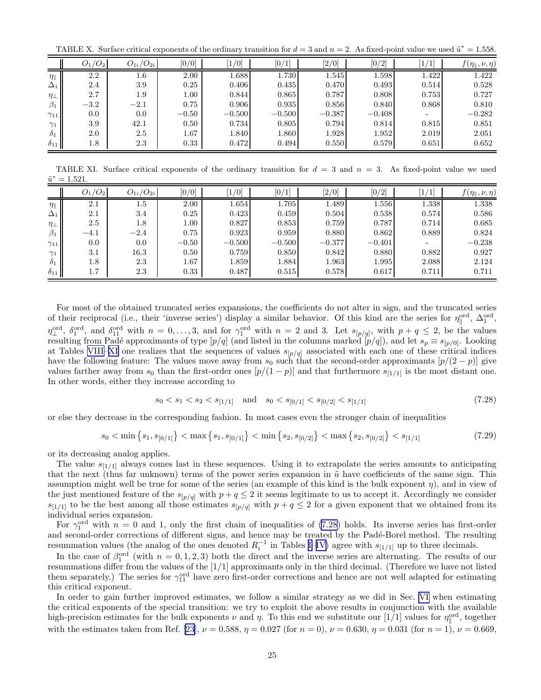<span id="page-24-0"></span>TABLE X. Surface critical exponents of the ordinary transition for  $d = 3$  and  $n = 2$ . As fixed-point value we used  $\tilde{u}^* = 1.558$ .

|                    | $O_1/O_2$ | $O_{1i}/O_{2i}$ | [0/0]   | $\left[1/0\right]$ | [0/1]    | $[2/0]$  | [0/2]    | $\left\lceil 1 \right\rceil$ | $f(\eta_\parallel,\nu,\eta)$ |
|--------------------|-----------|-----------------|---------|--------------------|----------|----------|----------|------------------------------|------------------------------|
| $\eta_{\parallel}$ | 2.2       | $1.6\,$         | 2.00    | 1.688              | 1.730    | 1.545    | 1.598    | 1.422                        | 1.422                        |
| $\Delta_1$         | 2.4       | 3.9             | 0.25    | 0.406              | 0.435    | 0.470    | 0.493    | 0.514                        | 0.528                        |
| $\eta_{\perp}$     | 2.7       | 1.9             | 1.00    | 0.844              | 0.865    | 0.787    | 0.808    | 0.753                        | 0.727                        |
| $\beta_1$          | $-3.2$    | $-2.1$          | 0.75    | 0.906              | 0.935    | 0.856    | 0.840    | 0.868                        | 0.810                        |
| $\gamma_{11}$      | 0.0       | 0.0             | $-0.50$ | $-0.500$           | $-0.500$ | $-0.387$ | $-0.408$ |                              | $-0.282$                     |
| $\gamma_1$         | 3.9       | 42.1            | 0.50    | 0.734              | 0.805    | 0.794    | 0.814    | 0.815                        | 0.851                        |
| $\delta_1$         | 2.0       | 2.5             | 1.67    | 1.840              | 1.860    | 1.928    | 1.952    | 2.019                        | 2.051                        |
| $\delta_{11}$      | 1.8       | 2.3             | 0.33    | 0.472              | 0.494    | 0.550    | 0.579    | 0.651                        | 0.652                        |

TABLE XI. Surface critical exponents of the ordinary transition for  $d = 3$  and  $n = 3$ . As fixed-point value we used  $\tilde{u}^* = 1.521.$ 

|                    | $O_1/O_2$ | $O_{1i}/O_{2i}$ | [0/0]   | $\left[1/0\right]$ | [0/1]    | $[2/0]$  | [0/2]     | 1]<br>1 <sub>1</sub> | $f(\eta_\parallel,\nu,\eta)$ |
|--------------------|-----------|-----------------|---------|--------------------|----------|----------|-----------|----------------------|------------------------------|
| $\eta_{\parallel}$ | 2.1       | $1.5\,$         | 2.00    | 1.654              | 1.705    | 1.489    | $1.556\,$ | 1.338                | 1.338                        |
| $\Delta_1$         | 2.1       | 3.4             | 0.25    | 0.423              | 0.459    | 0.504    | 0.538     | 0.574                | 0.586                        |
| $\eta_{\perp}$     | 2.5       | $1.8\,$         | 1.00    | 0.827              | 0.853    | 0.759    | 0.787     | 0.714                | 0.685                        |
| $\beta_1$          | $-4.1$    | $-2.4$          | 0.75    | 0.923              | 0.959    | 0.880    | 0.862     | 0.889                | 0.824                        |
| $\gamma_{11}$      | 0.0       | 0.0             | $-0.50$ | $-0.500$           | $-0.500$ | $-0.377$ | $-0.401$  |                      | $-0.238$                     |
| $\gamma_1$         | 3.1       | 16.3            | 0.50    | 0.759              | 0.850    | 0.842    | 0.880     | 0.882                | 0.927                        |
| $\delta_1$         | 1.8       | 2.3             | 1.67    | 1.859              | 1.884    | 1.963    | 1.995     | 2.088                | 2.124                        |
| $\delta_{11}$      | 1.7       | 2.3             | 0.33    | 0.487              | 0.515    | 0.578    | 0.617     | 0.711                | 0.711                        |

For most of the obtained truncated series expansions, the coefficients do not alter in sign, and the truncated series of their reciprocal (i.e., their 'inverse series') display a similar behavior. Of this kind are the series for  $\eta_{\parallel}^{\text{ord}}$ ,  $\Delta_1^{\text{ord}}$ ,  $\eta_{\perp}^{\text{ord}}, \delta_1^{\text{ord}}, \text{ and } \delta_1^{\text{ord}}$  with  $n = 0, \ldots, 3$ , and for  $\gamma_1^{\text{ord}}$  with  $n = 2$  and 3. Let  $s_{[p/q]},$  with  $p + q \leq 2$ , be the values resulting from Padé approximants of type  $[p/q]$  (and listed in the columns marked  $[p/q]$ ), and let  $s_p \equiv s_{[p/0]}$ . Looking at Tables [VIII–](#page-23-0)XI one realizes that the sequences of values  $s_{[p/q]}$  associated with each one of these critical indices have the following feature: The values move away from  $s_0$  such that the second-order approximants  $[p/(2-p)]$  give values farther away from  $s_0$  than the first-order ones  $[p/(1-p)]$  and that furthermore  $s_{[1/1]}$  is the most distant one. In other words, either they increase according to

$$
s_0 < s_1 < s_2 < s_{[1/1]} \quad \text{and} \quad s_0 < s_{[0/1]} < s_{[0/2]} < s_{[1/1]} \tag{7.28}
$$

or else they decrease in the corresponding fashion. In most cases even the stronger chain of inequalities

$$
s_0 < \min\left\{ s_1, s_{[0/1]} \right\} < \max\left\{ s_1, s_{[0/1]} \right\} < \min\left\{ s_2, s_{[0/2]} \right\} < \max\left\{ s_2, s_{[0/2]} \right\} < s_{[1/1]} \tag{7.29}
$$

or its decreasing analog applies.

The value  $s_{[1/1]}$  always comes last in these sequences. Using it to extrapolate the series amounts to anticipating that the next (thus far unknown) terms of the power series expansion in  $\tilde{u}$  have coefficients of the same sign. This assumption might well be true for some of the series (an example of this kind is the bulk exponent  $\eta$ ), and in view of the just mentioned feature of the  $s_{[p/q]}$  with  $p + q \leq 2$  it seems legitimate to us to accept it. Accordingly we consider  $s_{[1/1]}$  to be the best among all those estimates  $s_{[p/q]}$  with  $p + q \leq 2$  for a given exponent that we obtained from its individual series expansion.

For  $\gamma_1^{\text{ord}}$  with  $n = 0$  and 1, only the first chain of inequalities of (7.28) holds. Its inverse series has first-order and second-order corrections of different signs, and hence may be treated by the Padé-Borel method. The resulting resummation values (the analog of the ones denoted  $R_i^{-1}$  in Tables [I–](#page-16-0)[IV\)](#page-17-0) agree with  $s_{[1/1]}$  up to three decimals.

In the case of  $\beta_1^{\text{ord}}$  (with  $n = 0, 1, 2, 3$ ) both the direct and the inverse series are alternating. The results of our resummations differ from the values of the  $[1/1]$  approximants only in the third decimal. (Therefore we have not listed them separately.) The series for  $\gamma_{11}^{\text{ord}}$  have zero first-order corrections and hence are not well adapted for estimating this critical exponent.

In order to gain further improved estimates, we follow a similar strategy as we did in Sec. [VI](#page-14-0) when estimating the critical exponents of the special transition: we try to exploit the above results in conjunction with the available high-precision estimates for the bulk exponents  $\nu$  and  $\eta$ . To this end we substitute our [1/1] values for  $\eta_{\parallel}^{\text{ord}}$ , together with the estimates taken from Ref. [\[23](#page-38-0)],  $\nu = 0.588$ ,  $\eta = 0.027$  (for  $n = 0$ ),  $\nu = 0.630$ ,  $\eta = 0.031$  (for  $n = 1$ ),  $\nu = 0.669$ ,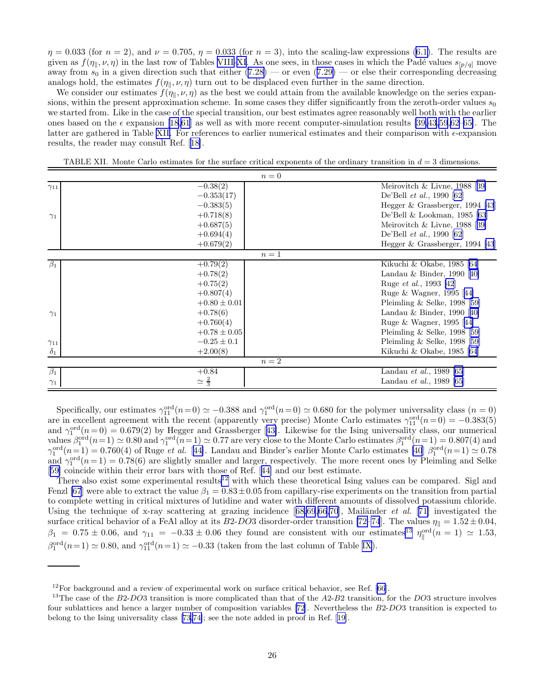<span id="page-25-0"></span> $\eta = 0.033$  (for  $n = 2$ ), and  $\nu = 0.705$ ,  $\eta = 0.033$  (for  $n = 3$ ), into the scaling-law expressions [\(6.1\)](#page-15-0). The results are given as  $f(\eta_{\parallel}, \nu, \eta)$  in the last row of Tables [VIII-](#page-23-0)[XI.](#page-24-0) As one sees, in those cases in which the Padé values  $s_{[p/q]}$  move awayfrom  $s_0$  in a given direction such that either  $(7.28)$  $(7.28)$  — or even  $(7.29)$  $(7.29)$  — or else their corresponding decreasing analogs hold, the estimates  $f(\eta_{\parallel}, \nu, \eta)$  turn out to be displaced even further in the same direction.

We consider our estimates  $f(\eta_{\parallel}, \nu, \eta)$  as the best we could attain from the available knowledge on the series expansions, within the present approximation scheme. In some cases they differ significantly from the zeroth-order values  $s_0$ we started from. Like in the case of the special transition, our best estimates agree reasonably well both with the earlier ones based on the  $\epsilon$  expansion [\[18](#page-37-0)[,61](#page-38-0)] as well as with more recent computer-simulation results [\[39,43,59](#page-38-0),[62–65\]](#page-38-0). The latter are gathered in Table XII. For references to earlier numerical estimates and their comparison with  $\epsilon$ -expansion results, the reader may consult Ref.[[18\]](#page-37-0).

|                      | $n=0$                |                                    |
|----------------------|----------------------|------------------------------------|
| $\gamma_{11}$        | $-0.38(2)$           | Meirovitch $\&$ Livne, 1988 [39]   |
|                      | $-0.353(17)$         | De'Bell et al., 1990 [62]          |
|                      | $-0.383(5)$          | Hegger $\&$ Grassberger, 1994 [43] |
| $\gamma_1$           | $+0.718(8)$          | De'Bell & Lookman, 1985 [63]       |
|                      | $+0.687(5)$          | Meirovitch & Livne, $1988$ [39]    |
|                      | $+0.694(4)$          | De'Bell et al., 1990 [62]          |
|                      | $+0.679(2)$          | Hegger & Grassberger, 1994 [43]    |
|                      | $n=1$                |                                    |
| $\beta_1$            | $+0.79(2)$           | Kikuchi & Okabe, 1985 [64]         |
|                      | $+0.78(2)$           | Landau & Binder, 1990 $[40]$       |
|                      | $+0.75(2)$           | Ruge <i>et al.</i> , 1993 [42]     |
|                      | $+0.807(4)$          | Ruge & Wagner, 1995 [44]           |
|                      | $+0.80 \pm 0.01$     | Pleimling $\&$ Selke, 1998 [59]    |
| $\gamma_1$           | $+0.78(6)$           | Landau & Binder, 1990 $[40]$       |
|                      | $+0.760(4)$          | Ruge & Wagner, 1995 [44]           |
|                      | $+0.78 \pm 0.05$     | Pleimling $\&$ Selke, 1998 [59]    |
| $\gamma_{11}$        | $-0.25 \pm 0.1$      | Pleimling $\&$ Selke, 1998 [59]    |
| $\delta_1$           | $+2.00(8)$           | Kikuchi & Okabe, 1985 [64]         |
|                      | $n=2$                |                                    |
| $\overline{\beta_1}$ | $+0.84$              | Landau et al., 1989 [65]           |
| $\gamma_1$           | $\simeq \frac{2}{3}$ | Landau et al., 1989 [65]           |

TABLE XII. Monte Carlo estimates for the surface critical exponents of the ordinary transition in  $d = 3$  dimensions.

Specifically, our estimates  $\gamma_{11}^{\text{ord}}(n=0) \simeq -0.388$  and  $\gamma_1^{\text{ord}}(n=0) \simeq 0.680$  for the polymer universality class  $(n=0)$ are in excellent agreement with the recent (apparently very precise) Monte Carlo estimates  $\gamma_{11}^{\text{ord}}(n=0) = -0.383(5)$ and $\gamma_1^{\text{ord}}(n=0) = 0.679(2)$  by Hegger and Grassberger [[43\]](#page-38-0). Likewise for the Ising universality class, our numerical values  $\beta_1^{\text{ord}}(n=1) \simeq 0.80$  and  $\gamma_1^{\text{ord}}(n=1) \simeq 0.77$  are very close to the Monte Carlo estimates  $\beta_1^{\text{ord}}(n=1) = 0.807(4)$  and  $\gamma_1^{\text{ord}}(n=1) = 0.760(4)$  of Ruge *et al.* [[44\]](#page-38-0). Landau and Binder's earlier Monte Carlo estimates [\[40](#page-38-0)]  $\beta_1^{\text{ord}}(n=1) \approx 0.78$ and  $\gamma_1^{\text{ord}}(n=1) = 0.78(6)$  are slightly smaller and larger, respectively. The more recent ones by Pleimling and Selke [[59\]](#page-38-0) coincide within their error bars with those of Ref.[[44\]](#page-38-0) and our best estimate.

There also exist some experimental results<sup>12</sup> with which these theoretical Ising values can be compared. Sigl and Fenzl [\[67](#page-38-0)] were able to extract the value  $\beta_1 = 0.83 \pm 0.05$  from capillary-rise experiments on the transition from partial to complete wetting in critical mixtures of lutidine and water with different amounts of dissolved potassium chloride. Usingthe technique of x-ray scattering at grazing incidence  $[68,69,66,70]$  $[68,69,66,70]$  $[68,69,66,70]$ , Mail $\ddot{\text{and}}$  er al. [[71\]](#page-38-0) investigated the surface critical behavior of a FeAl alloy at its B2-DO3 disorder-order transition [\[72–74](#page-38-0)]. The values  $\eta_{\parallel} = 1.52 \pm 0.04$ ,  $\beta_1 = 0.75 \pm 0.06$ , and  $\gamma_{11} = -0.33 \pm 0.06$  they found are consistent with our estimates<sup>13</sup>  $\eta_{\parallel}^{\text{ord}}(n=1) \simeq 1.53$ ,  $\beta_1^{\text{ord}}(n=1) \simeq 0.80$ , and  $\gamma_{11}^{\text{ord}}(n=1) \simeq -0.33$  (taken from the last column of Table [IX\)](#page-23-0).

 $12$  For background and a review of experimental work on surface critical behavior, see Ref. [\[66](#page-38-0)].

<sup>&</sup>lt;sup>13</sup>The case of the  $B2-DO3$  transition is more complicated than that of the  $A2-B2$  transition, for the  $DO3$  structure involves four sublattices and hence a larger number of composition variables[[72\]](#page-38-0). Nevertheless the B2-DO3 transition is expected to belong to the Ising universality class[[73,74\]](#page-38-0); see the note added in proof in Ref.[[19\]](#page-37-0).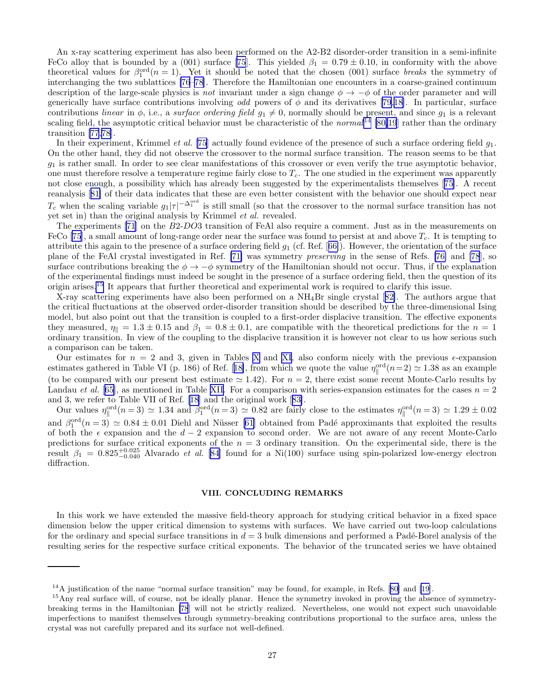<span id="page-26-0"></span>An x-ray scattering experiment has also been performed on the A2-B2 disorder-order transition in a semi-infinite FeCo alloy that is bounded by a (001) surface [\[75](#page-39-0)]. This yielded  $\beta_1 = 0.79 \pm 0.10$ , in conformity with the above theoretical values for  $\beta_1^{\text{ord}}(n=1)$ . Yet it should be noted that the chosen (001) surface breaks the symmetry of interchanging the two sublattices [\[76–78](#page-39-0)]. Therefore the Hamiltonian one encounters in a coarse-grained continuum description of the large-scale physics is not invariant under a sign change  $\phi \to -\phi$  of the order parameter and will generically have surface contributions involving odd powers of  $\phi$  and its derivatives [\[79](#page-39-0),[18\]](#page-37-0). In particular, surface contributions linear in  $\phi$ , i.e., a surface ordering field  $g_1 \neq 0$ , normally should be present, and since  $g_1$  is a relevant scaling field, the asymptotic critical behavior must be characteristic of the normal  $^{14}$  [\[80,](#page-39-0)[19](#page-37-0)] rather than the ordinary transition [\[77,78](#page-39-0)].

In their experiment, Krimmel *et al.* [\[75](#page-39-0)] actually found evidence of the presence of such a surface ordering field  $g_1$ . On the other hand, they did not observe the crossover to the normal surface transition. The reason seems to be that  $g_1$  is rather small. In order to see clear manifestations of this crossover or even verify the true asymptotic behavior, one must therefore resolve a temperature regime fairly close to  $T_c$ . The one studied in the experiment was apparently not close enough, a possibility which has already been suggested by the experimentalists themselves [\[75](#page-39-0)]. A recent reanalysis[[81\]](#page-39-0) of their data indicates that these are even better consistent with the behavior one should expect near  $T_c$  when the scaling variable  $g_1|\tau|^{-\Delta_1^{\text{ord}}}$  is still small (so that the crossover to the normal surface transition has not yet set in) than the original analysis by Krimmel et al. revealed.

The experiments [\[71](#page-38-0)] on the B2-DO3 transition of FeAl also require a comment. Just as in the measurements on FeCo[[75](#page-39-0)], a small amount of long-range order near the surface was found to persist at and above  $T_c$ . It is tempting to attributethis again to the presence of a surface ordering field  $g_1$  (cf. Ref. [[66\]](#page-38-0)). However, the orientation of the surface plane of the FeAl crystal investigated in Ref. [\[71\]](#page-38-0) was symmetry preserving in the sense of Refs. [\[76\]](#page-39-0) and [\[78](#page-39-0)], so surface contributions breaking the  $\phi \to -\phi$  symmetry of the Hamiltonian should not occur. Thus, if the explanation of the experimental findings must indeed be sought in the presence of a surface ordering field, then the question of its origin arises.<sup>15</sup> It appears that further theoretical and experimental work is required to clarify this issue.

X-ray scattering experiments have also been performed on a NH4Br single crystal[[82\]](#page-39-0). The authors argue that the critical fluctuations at the observed order-disorder transition should be described by the three-dimensional Ising model, but also point out that the transition is coupled to a first-order displacive transition. The effective exponents they measured,  $\eta_{\parallel} = 1.3 \pm 0.15$  and  $\beta_1 = 0.8 \pm 0.1$ , are compatible with the theoretical predictions for the  $n = 1$ ordinary transition. In view of the coupling to the displacive transition it is however not clear to us how serious such a comparison can be taken.

Our estimates for  $n = 2$  and 3, given in Tables [X](#page-24-0) and [XI](#page-24-0), also conform nicely with the previous  $\epsilon$ -expansion estimatesgathered in Table VI (p. 186) of Ref. [[18\]](#page-37-0), from which we quote the value  $\eta_{\parallel}^{\text{ord}}(n=2) \simeq 1.38$  as an example (to be compared with our present best estimate  $\simeq 1.42$ ). For  $n = 2$ , there exist some recent Monte-Carlo results by Landau *et al.* [[65\]](#page-38-0), as mentioned in Table [XII.](#page-25-0) For a comparison with series-expansion estimates for the cases  $n = 2$ and 3, we refer to Table VII of Ref.[[18\]](#page-37-0) and the original work[[83\]](#page-39-0).

Our values  $\eta_{\parallel}^{\text{ord}}(n=3) \simeq 1.34$  and  $\beta_1^{\text{ord}}(n=3) \simeq 0.82$  are fairly close to the estimates  $\eta_{\parallel}^{\text{ord}}(n=3) \simeq 1.29 \pm 0.02$ and  $\beta_1^{\text{ord}}(n=3) \simeq 0.84 \pm 0.01$  Diehl and Nüsser [\[61](#page-38-0)] obtained from Padé approximants that exploited the results of both the  $\epsilon$  expansion and the  $d-2$  expansion to second order. We are not aware of any recent Monte-Carlo predictions for surface critical exponents of the  $n = 3$  ordinary transition. On the experimental side, there is the result  $\beta_1 = 0.825^{+0.025}_{-0.040}$  Alvarado *et al.* [\[84](#page-39-0)] found for a Ni(100) surface using spin-polarized low-energy electron diffraction.

#### VIII. CONCLUDING REMARKS

In this work we have extended the massive field-theory approach for studying critical behavior in a fixed space dimension below the upper critical dimension to systems with surfaces. We have carried out two-loop calculations for the ordinary and special surface transitions in  $d = 3$  bulk dimensions and performed a Padé-Borel analysis of the resulting series for the respective surface critical exponents. The behavior of the truncated series we have obtained

 $14A$ justification of the name "normal surface transition" may be found, for example, in Refs. [[80\]](#page-39-0) and [\[19](#page-37-0)].

<sup>&</sup>lt;sup>15</sup>Any real surface will, of course, not be ideally planar. Hence the symmetry invoked in proving the absence of symmetrybreaking terms in the Hamiltonian [\[78](#page-39-0)] will not be strictly realized. Nevertheless, one would not expect such unavoidable imperfections to manifest themselves through symmetry-breaking contributions proportional to the surface area, unless the crystal was not carefully prepared and its surface not well-defined.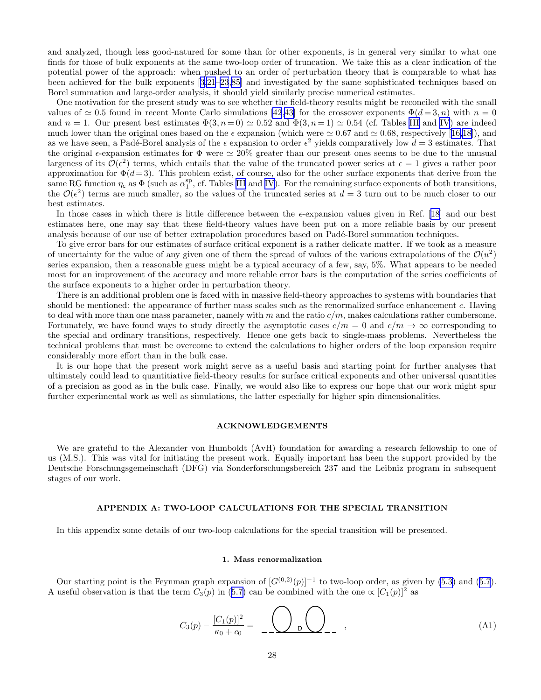<span id="page-27-0"></span>and analyzed, though less good-natured for some than for other exponents, is in general very similar to what one finds for those of bulk exponents at the same two-loop order of truncation. We take this as a clear indication of the potential power of the approach: when pushed to an order of perturbation theory that is comparable to what has been achieved for the bulk exponents[[3,21](#page-37-0)[–23](#page-38-0)[,85](#page-39-0)] and investigated by the same sophisticated techniques based on Borel summation and large-order analysis, it should yield similarly precise numerical estimates.

One motivation for the present study was to see whether the field-theory results might be reconciled with the small values of  $\simeq 0.5$  found in recent Monte Carlo simulations [\[42,43](#page-38-0)] for the crossover exponents  $\Phi(d=3, n)$  with  $n = 0$ and  $n = 1$ . Our present best estimates  $\Phi(3, n = 0) \simeq 0.52$  and  $\Phi(3, n = 1) \simeq 0.54$  (cf. Tables [III](#page-16-0) and [IV](#page-17-0)) are indeed muchlower than the original ones based on the  $\epsilon$  expansion (which were  $\simeq 0.67$  and  $\simeq 0.68$ , respectively [[16,18\]](#page-37-0)), and as we have seen, a Padé-Borel analysis of the  $\epsilon$  expansion to order  $\epsilon^2$  yields comparatively low  $d=3$  estimates. That the original  $\epsilon$ -expansion estimates for  $\Phi$  were  $\simeq 20\%$  greater than our present ones seems to be due to the unusual largeness of its  $\mathcal{O}(\epsilon^2)$  terms, which entails that the value of the truncated power series at  $\epsilon = 1$  gives a rather poor approximation for  $\Phi(d=3)$ . This problem exist, of course, also for the other surface exponents that derive from the same RG function  $\eta_c$  as  $\Phi$  (such as  $\alpha_1^{\text{sp}}$ , cf. Tables [III](#page-16-0) and [IV\)](#page-17-0). For the remaining surface exponents of both transitions, the  $\mathcal{O}(\epsilon^2)$  terms are much smaller, so the values of the truncated series at  $d=3$  turn out to be much closer to our best estimates.

Inthose cases in which there is little difference between the  $\epsilon$ -expansion values given in Ref. [[18\]](#page-37-0) and our best estimates here, one may say that these field-theory values have been put on a more reliable basis by our present analysis because of our use of better extrapolation procedures based on Padé-Borel summation techniques.

To give error bars for our estimates of surface critical exponent is a rather delicate matter. If we took as a measure of uncertainty for the value of any given one of them the spread of values of the various extrapolations of the  $\mathcal{O}(u^2)$ series expansion, then a reasonable guess might be a typical accuracy of a few, say, 5%. What appears to be needed most for an improvement of the accuracy and more reliable error bars is the computation of the series coefficients of the surface exponents to a higher order in perturbation theory.

There is an additional problem one is faced with in massive field-theory approaches to systems with boundaries that should be mentioned: the appearance of further mass scales such as the renormalized surface enhancement c. Having to deal with more than one mass parameter, namely with m and the ratio  $c/m$ , makes calculations rather cumbersome. Fortunately, we have found ways to study directly the asymptotic cases  $c/m = 0$  and  $c/m \rightarrow \infty$  corresponding to the special and ordinary transitions, respectively. Hence one gets back to single-mass problems. Nevertheless the technical problems that must be overcome to extend the calculations to higher orders of the loop expansion require considerably more effort than in the bulk case.

It is our hope that the present work might serve as a useful basis and starting point for further analyses that ultimately could lead to quantitiative field-theory results for surface critical exponents and other universal quantities of a precision as good as in the bulk case. Finally, we would also like to express our hope that our work might spur further experimental work as well as simulations, the latter especially for higher spin dimensionalities.

#### ACKNOWLEDGEMENTS

We are grateful to the Alexander von Humboldt (AvH) foundation for awarding a research fellowship to one of us (M.S.). This was vital for initiating the present work. Equally important has been the support provided by the Deutsche Forschungsgemeinschaft (DFG) via Sonderforschungsbereich 237 and the Leibniz program in subsequent stages of our work.

## APPENDIX A: TWO-LOOP CALCULATIONS FOR THE SPECIAL TRANSITION

In this appendix some details of our two-loop calculations for the special transition will be presented.

#### 1. Mass renormalization

Ourstarting point is the Feynman graph expansion of  $[G^{(0,2)}(p)]^{-1}$  to two-loop order, as given by [\(5.3](#page-12-0)) and ([5.7](#page-12-0)). Auseful observation is that the term  $C_3(p)$  in ([5.7\)](#page-12-0) can be combined with the one  $\propto [C_1(p)]^2$  as

$$
C_3(p) - \frac{[C_1(p)]^2}{\kappa_0 + c_0} = - \frac{Q}{\kappa_0} \left( \frac{1}{\kappa_0} \right) \tag{A1}
$$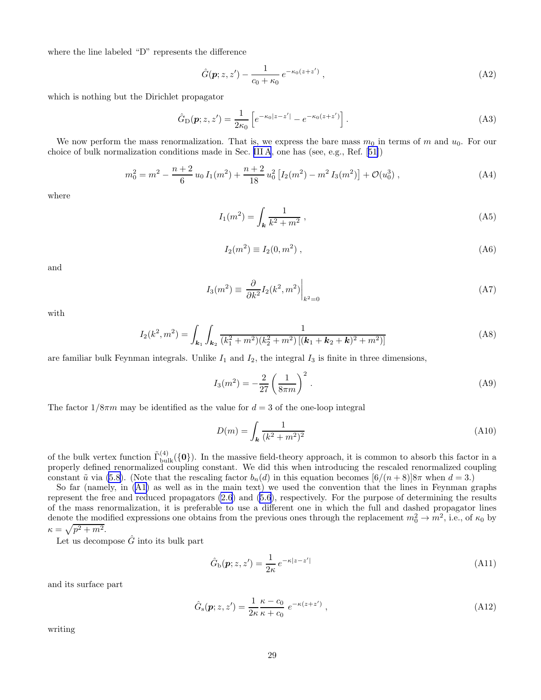<span id="page-28-0"></span>where the line labeled "D" represents the difference

$$
\hat{G}(\mathbf{p}; z, z') - \frac{1}{c_0 + \kappa_0} e^{-\kappa_0 (z + z')}, \qquad (A2)
$$

which is nothing but the Dirichlet propagator

$$
\hat{G}_{\rm D}(\mathbf{p}; z, z') = \frac{1}{2\kappa_0} \left[ e^{-\kappa_0 |z - z'|} - e^{-\kappa_0 (z + z')} \right]. \tag{A3}
$$

We now perform the mass renormalization. That is, we express the bare mass  $m_0$  in terms of m and  $u_0$ . For our choice of bulk normalization conditions made in Sec. [III A](#page-6-0), one has (see, e.g., Ref.[[51\]](#page-38-0))

$$
m_0^2 = m^2 - \frac{n+2}{6} u_0 I_1(m^2) + \frac{n+2}{18} u_0^2 [I_2(m^2) - m^2 I_3(m^2)] + \mathcal{O}(u_0^3) , \qquad (A4)
$$

where

$$
I_1(m^2) = \int_{\mathbf{k}} \frac{1}{k^2 + m^2} \,, \tag{A5}
$$

$$
I_2(m^2) \equiv I_2(0, m^2) \tag{A6}
$$

and

$$
I_3(m^2) \equiv \left. \frac{\partial}{\partial k^2} I_2(k^2, m^2) \right|_{k^2 = 0} \tag{A7}
$$

with

$$
I_2(k^2, m^2) = \int_{\mathbf{k}_1} \int_{\mathbf{k}_2} \frac{1}{(k_1^2 + m^2)(k_2^2 + m^2) \left[ (\mathbf{k}_1 + \mathbf{k}_2 + \mathbf{k})^2 + m^2 \right]}\tag{A8}
$$

are familiar bulk Feynman integrals. Unlike  $I_1$  and  $I_2$ , the integral  $I_3$  is finite in three dimensions,

$$
I_3(m^2) = -\frac{2}{27} \left(\frac{1}{8\pi m}\right)^2.
$$
 (A9)

The factor  $1/8\pi m$  may be identified as the value for  $d = 3$  of the one-loop integral

$$
D(m) = \int_{\mathbf{k}} \frac{1}{(k^2 + m^2)^2}
$$
 (A10)

of the bulk vertex function  $\tilde{\Gamma}_{\text{bulk}}^{(4)}(\{0\})$ . In the massive field-theory approach, it is common to absorb this factor in a properly defined renormalized coupling constant. We did this when introducing the rescaled renormalized coupling constant  $\tilde{u}$  via [\(5.8](#page-12-0)). (Note that the rescaling factor  $b_n(d)$  in this equation becomes  $[6/(n+8)]8\pi$  when  $d=3$ .)

So far (namely, in [\(A1\)](#page-27-0) as well as in the main text) we used the convention that the lines in Feynman graphs represent the free and reduced propagators [\(2.6](#page-3-0)) and [\(5.6\)](#page-12-0), respectively. For the purpose of determining the results of the mass renormalization, it is preferable to use a different one in which the full and dashed propagator lines denote the modified expressions one obtains from the previous ones through the replacement  $m_0^2 \to m^2$ , i.e., of  $\kappa_0$  by  $\kappa = \sqrt{p^2 + m^2}.$ 

Let us decompose  $\hat{G}$  into its bulk part

$$
\hat{G}_{\mathbf{b}}(\mathbf{p};z,z') = \frac{1}{2\kappa} e^{-\kappa|z-z'|}
$$
\n(A11)

and its surface part

$$
\hat{G}_{s}(\boldsymbol{p}; z, z') = \frac{1}{2\kappa} \frac{\kappa - c_0}{\kappa + c_0} e^{-\kappa(z + z')}, \qquad (A12)
$$

writing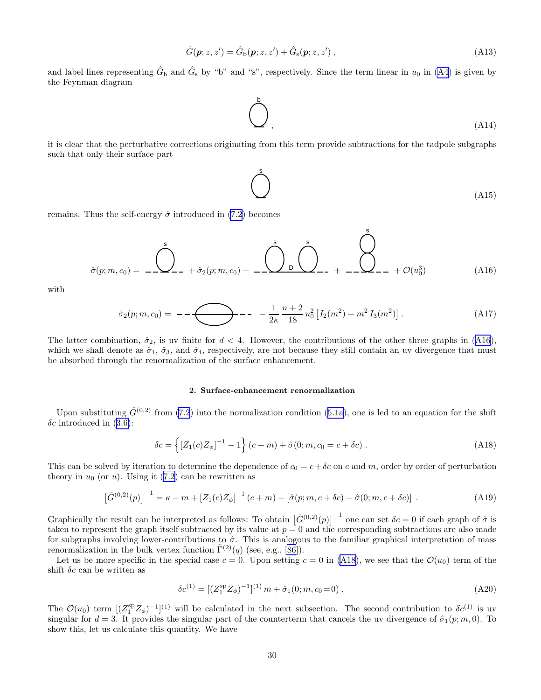$$
\hat{G}(\mathbf{p}; z, z') = \hat{G}_{\mathrm{b}}(\mathbf{p}; z, z') + \hat{G}_{\mathrm{s}}(\mathbf{p}; z, z') ,
$$
\n(A13)

<span id="page-29-0"></span>and label lines representing  $\hat{G}_{\text{b}}$  and  $\hat{G}_{\text{s}}$  by "b" and "s", respectively. Since the term linear in  $u_0$  in [\(A4\)](#page-28-0) is given by the Feynman diagram

$$
\bigodot^b
$$
 (A14)

it is clear that the perturbative corrections originating from this term provide subtractions for the tadpole subgraphs such that only their surface part

$$
\bigodot^{\$}
$$
 (A15)

s

remains. Thus the self-energy  $\hat{\sigma}$  introduced in [\(7.2](#page-20-0)) becomes

$$
\hat{\sigma}(p; m, c_0) = \frac{\hat{\bigcirc}}{\hat{\sigma}(p; m, c_0)} + \hat{\sigma}_2(p; m, c_0) + \frac{\hat{\bigcirc}}{\hat{\sigma}_2} \bigcirc \hat{\bigcirc} \bigcirc \hat{\bigcirc} \bigcirc \hat{\sigma}_1 + \frac{\hat{\bigcirc}}{\hat{\sigma}_2} (u_0^3) \tag{A16}
$$

with

$$
\hat{\sigma}_2(p;m,c_0) = -\sqrt{\frac{1}{2\kappa} \frac{n+2}{18} u_0^2 \left[ I_2(m^2) - m^2 I_3(m^2) \right]}.
$$
\n(A17)

The latter combination,  $\hat{\sigma}_2$ , is uv finite for  $d < 4$ . However, the contributions of the other three graphs in (A16), which we shall denote as  $\hat{\sigma}_1$ ,  $\hat{\sigma}_3$ , and  $\hat{\sigma}_4$ , respectively, are not because they still contain an uv divergence that must be absorbed through the renormalization of the surface enhancement.

# 2. Surface-enhancement renormalization

Uponsubstituting  $\hat{G}^{(0,2)}$  from [\(7.2](#page-20-0)) into the normalization condition ([5.1a\)](#page-11-0), one is led to an equation for the shift  $\delta c$  $\delta c$  $\delta c$  introduced in ([3.6\)](#page-7-0):

$$
\delta c = \left\{ \left[ Z_1(c) Z_{\phi} \right]^{-1} - 1 \right\} (c + m) + \hat{\sigma}(0; m, c_0 = c + \delta c) . \tag{A18}
$$

This can be solved by iteration to determine the dependence of  $c_0 = c + \delta c$  on c and m, order by order of perturbation theory in  $u_0$  (or u). Using it [\(7.2\)](#page-20-0) can be rewritten as

$$
\left[\hat{G}^{(0,2)}(p)\right]^{-1} = \kappa - m + \left[Z_1(c)Z_{\phi}\right]^{-1}(c+m) - \left[\hat{\sigma}(p;m,c+\delta c) - \hat{\sigma}(0;m,c+\delta c)\right] \,. \tag{A19}
$$

Graphically the result can be interpreted as follows: To obtain  $[\hat{G}^{(0,2)}(p)]^{-1}$  one can set  $\delta c = 0$  if each graph of  $\hat{\sigma}$  is taken to represent the graph itself subtracted by its value at  $p = 0$  and the corresponding subtractions are also made for subgraphs involving lower-contributions to  $\hat{\sigma}$ . This is analogous to the familiar graphical interpretation of mass renormalization in the bulk vertex function  $\tilde{\Gamma}^{(2)}(q)$  (see, e.g., [\[86](#page-39-0)]).

Let us be more specific in the special case  $c = 0$ . Upon setting  $c = 0$  in (A18), we see that the  $\mathcal{O}(u_0)$  term of the shift  $\delta c$  can be written as

$$
\delta c^{(1)} = \left[ (Z_1^{\rm sp} Z_\phi)^{-1} \right]^{(1)} m + \hat{\sigma}_1(0; m, c_0 = 0) \,. \tag{A20}
$$

The  $\mathcal{O}(u_0)$  term  $[(Z_1^{\text{sp}}Z_{\phi})^{-1}]^{(1)}$  will be calculated in the next subsection. The second contribution to  $\delta c^{(1)}$  is uv singular for  $d = 3$ . It provides the singular part of the counterterm that cancels the uv divergence of  $\hat{\sigma}_1(p; m, 0)$ . To show this, let us calculate this quantity. We have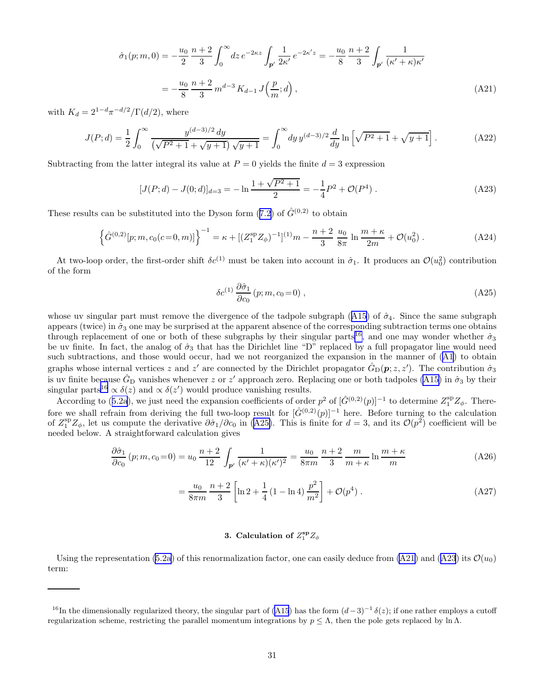$$
\hat{\sigma}_1(p;m,0) = -\frac{u_0}{2} \frac{n+2}{3} \int_0^\infty dz \, e^{-2\kappa z} \int_{\mathbf{p}'} \frac{1}{2\kappa'} \, e^{-2\kappa' z} = -\frac{u_0}{8} \frac{n+2}{3} \int_{\mathbf{p}'} \frac{1}{(\kappa' + \kappa)\kappa'}
$$
\n
$$
= -\frac{u_0}{8} \frac{n+2}{3} m^{d-3} K_{d-1} J\left(\frac{p}{m};d\right),\tag{A21}
$$

<span id="page-30-0"></span>with  $K_d = 2^{1-d} \pi^{-d/2} / \Gamma(d/2)$ , where

$$
J(P;d) = \frac{1}{2} \int_0^\infty \frac{y^{(d-3)/2} \, dy}{\left(\sqrt{P^2 + 1} + \sqrt{y + 1}\right) \sqrt{y + 1}} = \int_0^\infty \, dy \, y^{(d-3)/2} \frac{d}{dy} \ln\left[\sqrt{P^2 + 1} + \sqrt{y + 1}\right].\tag{A22}
$$

Subtracting from the latter integral its value at  $P = 0$  yields the finite  $d = 3$  expression

$$
[J(P; d) - J(0; d)]_{d=3} = -\ln \frac{1 + \sqrt{P^2 + 1}}{2} = -\frac{1}{4}P^2 + \mathcal{O}(P^4) \,. \tag{A23}
$$

Theseresults can be substituted into the Dyson form ([7.2\)](#page-20-0) of  $\hat{G}^{(0,2)}$  to obtain

$$
\left\{\hat{G}^{(0,2)}[p;m,c_0(c=0,m)]\right\}^{-1} = \kappa + \left[ (Z_1^{\rm sp} Z_{\phi})^{-1} \right]^{(1)} m - \frac{n+2}{3} \frac{u_0}{8\pi} \ln \frac{m+\kappa}{2m} + \mathcal{O}(u_0^2) \,. \tag{A24}
$$

At two-loop order, the first-order shift  $\delta c^{(1)}$  must be taken into account in  $\hat{\sigma}_1$ . It produces an  $\mathcal{O}(u_0^2)$  contribution of the form

$$
\delta c^{(1)} \frac{\partial \hat{\sigma}_1}{\partial c_0} (p; m, c_0 = 0) , \qquad (A25)
$$

whoseuv singular part must remove the divergence of the tadpole subgraph ([A15](#page-29-0)) of  $\hat{\sigma}_4$ . Since the same subgraph appears (twice) in  $\hat{\sigma}_3$  one may be surprised at the apparent absence of the corresponding subtraction terms one obtains through replacement of one or both of these subgraphs by their singular parts<sup>16</sup>, and one may wonder whether  $\hat{\sigma}_3$ be uv finite. In fact, the analog of  $\hat{\sigma}_3$  that has the Dirichlet line "D" replaced by a full propagator line would need such subtractions, and those would occur, had we not reorganized the expansion in the manner of [\(A1](#page-27-0)) to obtain graphs whose internal vertices z and z' are connected by the Dirichlet propagator  $\hat{G}_{D}(\mathbf{p}; z, z')$ . The contribution  $\hat{\sigma}_3$ is uv finite because  $\hat{G}_{D}$  vanishes whenever z or z' approach zero. Replacing one or both tadpoles [\(A15\)](#page-29-0) in  $\hat{\sigma}_3$  by their singular parts<sup>16</sup>  $\propto \delta(z)$  and  $\propto \delta(z')$  would produce vanishing results.

Accordingto ([5.2a](#page-11-0)), we just need the expansion coefficients of order  $p^2$  of  $[\hat{G}^{(0,2)}(p)]^{-1}$  to determine  $Z_1^{\text{sp}}Z_{\phi}$ . Therefore we shall refrain from deriving the full two-loop result for  $[\hat{G}^{(0,2)}(p)]^{-1}$  here. Before turning to the calculation of  $Z_1^{\text{sp}}Z_{\phi}$ , let us compute the derivative  $\partial \hat{\sigma}_1/\partial c_0$  in (A25). This is finite for  $d=3$ , and its  $\mathcal{O}(p^2)$  coefficient will be needed below. A straightforward calculation gives

$$
\frac{\partial \hat{\sigma}_1}{\partial c_0} (p; m, c_0 = 0) = u_0 \frac{n+2}{12} \int_{\mathbf{p}'} \frac{1}{(\kappa' + \kappa)(\kappa')^2} = \frac{u_0}{8\pi m} \frac{n+2}{3} \frac{m}{m+\kappa} \ln \frac{m+\kappa}{m}
$$
(A26)

$$
= \frac{u_0}{8\pi m} \frac{n+2}{3} \left[ \ln 2 + \frac{1}{4} \left( 1 - \ln 4 \right) \frac{p^2}{m^2} \right] + \mathcal{O}(p^4) \,. \tag{A27}
$$

# 3. Calculation of  $Z_1^{\text{sp}}Z_\phi$

Using the representation [\(5.2a\)](#page-11-0) of this renormalization factor, one can easily deduce from (A21) and (A23) its  $\mathcal{O}(u_0)$ term:

<sup>&</sup>lt;sup>16</sup>In the dimensionally regularized theory, the singular part of [\(A15](#page-29-0)) has the form  $(d-3)^{-1}\delta(z)$ ; if one rather employs a cutoff regularization scheme, restricting the parallel momentum integrations by  $p \leq \Lambda$ , then the pole gets replaced by ln Λ.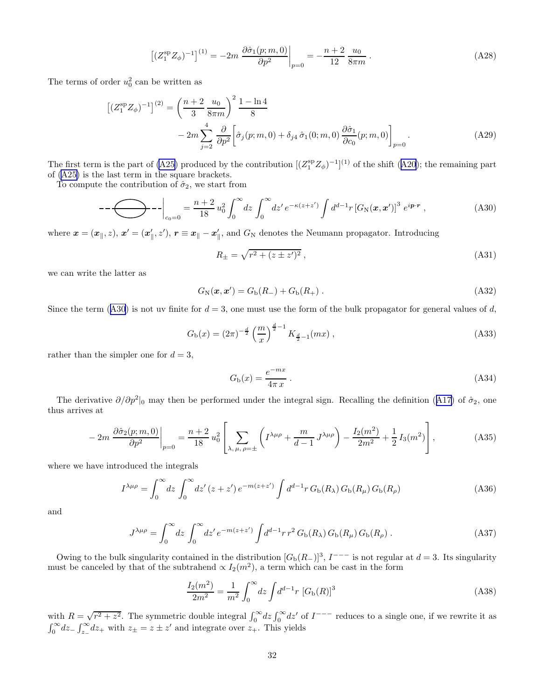$$
\left[ (Z_1^{\rm sp} Z_{\phi})^{-1} \right]^{(1)} = -2m \left. \frac{\partial \hat{\sigma}_1(p; m, 0)}{\partial p^2} \right|_{p=0} = -\frac{n+2}{12} \frac{u_0}{8\pi m} \,. \tag{A28}
$$

<span id="page-31-0"></span>The terms of order  $u_0^2$  can be written as

$$
\left[ (Z_1^{\rm sp} Z_{\phi})^{-1} \right]^{(2)} = \left( \frac{n+2}{3} \frac{u_0}{8\pi m} \right)^2 \frac{1-\ln 4}{8}
$$
  
-  $2m \sum_{j=2}^4 \frac{\partial}{\partial p^2} \left[ \hat{\sigma}_j(p; m, 0) + \delta_{j4} \hat{\sigma}_1(0; m, 0) \frac{\partial \hat{\sigma}_1}{\partial c_0}(p; m, 0) \right]_{p=0} .$  (A29)

The first term is the part of [\(A25\)](#page-30-0)produced by the contribution  $[(Z_1^{\rm sp} Z_{\phi})^{-1}]^{(1)}$  of the shift ([A20](#page-29-0)); the remaining part of [\(A25\)](#page-30-0) is the last term in the square brackets.

To compute the contribution of  $\hat{\sigma}_2$ , we start from

$$
---\left.\bigodot\neg -\bigg|_{c_0=0} = \frac{n+2}{18}u_0^2 \int_0^\infty dz \int_0^\infty dz' e^{-\kappa(z+z')} \int d^{d-1}r \left[G_N(x,x')\right]^3 e^{ip\cdot r}\,,\tag{A30}
$$

where  $\bm{x} = (\bm{x}_{\parallel}, z)$ ,  $\bm{x}' = (\bm{x}_{\parallel}', z')$ ,  $\bm{r} \equiv \bm{x}_{\parallel} - \bm{x}_{\parallel}'$ , and  $G_N$  denotes the Neumann propagator. Introducing

$$
R_{\pm} = \sqrt{r^2 + (z \pm z')^2} \,,\tag{A31}
$$

we can write the latter as

$$
G_{\rm N}(\mathbf{x}, \mathbf{x}') = G_{\rm b}(R_-) + G_{\rm b}(R_+).
$$
 (A32)

Since the term (A30) is not uv finite for  $d = 3$ , one must use the form of the bulk propagator for general values of d,

$$
G_{\rm b}(x) = (2\pi)^{-\frac{d}{2}} \left(\frac{m}{x}\right)^{\frac{d}{2}-1} K_{\frac{d}{2}-1}(mx) , \qquad (A33)
$$

rather than the simpler one for  $d = 3$ ,

$$
G_{\rm b}(x) = \frac{e^{-mx}}{4\pi x} \tag{A34}
$$

Thederivative  $\partial/\partial p^2|_0$  may then be performed under the integral sign. Recalling the definition ([A17](#page-29-0)) of  $\hat{\sigma}_2$ , one thus arrives at

$$
-2m\left.\frac{\partial\hat{\sigma}_2(p;m,0)}{\partial p^2}\right|_{p=0} = \frac{n+2}{18}u_0^2\left[\sum_{\lambda,\,\mu,\,\rho=\pm}\left(I^{\lambda\mu\rho} + \frac{m}{d-1}J^{\lambda\mu\rho}\right) - \frac{I_2(m^2)}{2m^2} + \frac{1}{2}I_3(m^2)\right],\tag{A35}
$$

where we have introduced the integrals

$$
I^{\lambda\mu\rho} = \int_0^\infty dz \int_0^\infty dz' (z + z') e^{-m(z + z')} \int d^{d-1}r \, G_{\rm b}(R_\lambda) \, G_{\rm b}(R_\mu) \, G_{\rm b}(R_\rho) \tag{A36}
$$

and

$$
J^{\lambda\mu\rho} = \int_0^\infty dz \int_0^\infty dz' e^{-m(z+z')} \int d^{d-1}r \, r^2 \, G_{\rm b}(R_\lambda) \, G_{\rm b}(R_\mu) \, G_{\rm b}(R_\rho) \,. \tag{A37}
$$

Owing to the bulk singularity contained in the distribution  $[G_b(R_-)]^3$ ,  $I^{---}$  is not regular at  $d=3$ . Its singularity must be canceled by that of the subtrahend  $\propto I_2(m^2)$ , a term which can be cast in the form

$$
\frac{I_2(m^2)}{2m^2} = \frac{1}{m^2} \int_0^\infty dz \int d^{d-1}r \, [G_{\rm b}(R)]^3 \tag{A38}
$$

with  $R = \sqrt{r^2 + z^2}$ . The symmetric double integral  $\int_0^\infty dz \int_0^\infty dz'$  of  $I^{---}$  reduces to a single one, if we rewrite it as  $\int_0^\infty dz - \int_{z_-}^\infty dz_+$  with  $z_\pm = z \pm z'$  and integrate over  $z_+$ . This yields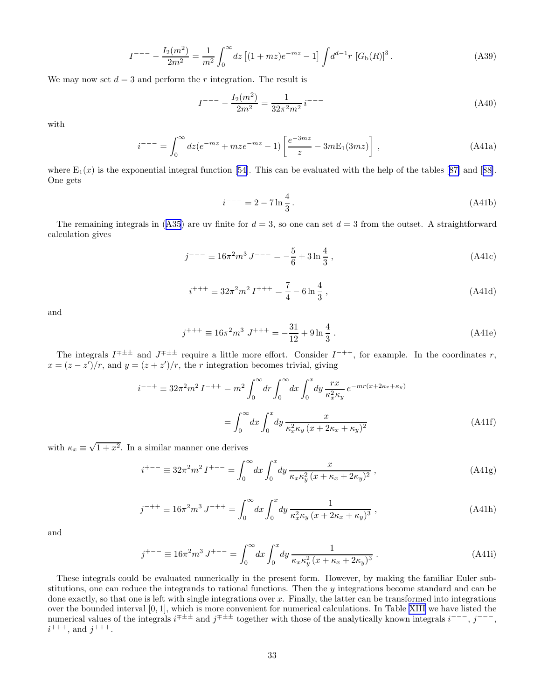$$
I^{---} - \frac{I_2(m^2)}{2m^2} = \frac{1}{m^2} \int_0^\infty dz \left[ (1 + mz)e^{-mz} - 1 \right] \int d^{d-1}r \left[ G_b(R) \right]^3. \tag{A39}
$$

<span id="page-32-0"></span>We may now set  $d = 3$  and perform the r integration. The result is

$$
I^{---} - \frac{I_2(m^2)}{2m^2} = \frac{1}{32\pi^2 m^2} i^{---}
$$
\n(A40)

with

$$
i^{---} = \int_0^\infty dz (e^{-mz} + mze^{-mz} - 1) \left[ \frac{e^{-3mz}}{z} - 3mE_1(3mz) \right] , \qquad (A41a)
$$

where $E_1(x)$  is the exponential integral function [[54\]](#page-38-0). This can be evaluated with the help of the tables [[87\]](#page-39-0) and [[88\]](#page-39-0). One gets

$$
i^{---} = 2 - 7 \ln \frac{4}{3} \,. \tag{A41b}
$$

Theremaining integrals in ([A35](#page-31-0)) are uv finite for  $d = 3$ , so one can set  $d = 3$  from the outset. A straightforward calculation gives

$$
j^{---} \equiv 16\pi^2 m^3 J^{---} = -\frac{5}{6} + 3\ln\frac{4}{3},\tag{A41c}
$$

$$
i^{+++} \equiv 32\pi^2 m^2 I^{+++} = \frac{7}{4} - 6\ln\frac{4}{3},\tag{A41d}
$$

and

$$
j^{+++} \equiv 16\pi^2 m^3 J^{+++} = -\frac{31}{12} + 9 \ln \frac{4}{3} \,. \tag{A41e}
$$

The integrals  $I^{\pm \pm \pm}$  and  $J^{\pm \pm \pm}$  require a little more effort. Consider  $I^{-++}$ , for example. In the coordinates r,  $x = (z - z')/r$ , and  $y = (z + z')/r$ , the r integration becomes trivial, giving

$$
i^{-++} \equiv 32\pi^2 m^2 I^{-++} = m^2 \int_0^\infty dr \int_0^\infty dx \int_0^x dy \frac{rx}{\kappa_x^2 \kappa_y} e^{-mr(x+2\kappa_x+\kappa_y)}
$$

$$
= \int_0^\infty dx \int_0^x dy \frac{x}{\kappa_x^2 \kappa_y (x+2\kappa_x+\kappa_y)^2}
$$
(A41f)

with  $\kappa_x \equiv \sqrt{1+x^2}$ . In a similar manner one derives

$$
i^{+--} \equiv 32\pi^2 m^2 I^{+--} = \int_0^\infty dx \int_0^x dy \frac{x}{\kappa_x \kappa_y^2 (x + \kappa_x + 2\kappa_y)^2},
$$
 (A41g)

$$
j^{-++} \equiv 16\pi^2 m^3 J^{-++} = \int_0^\infty dx \int_0^x dy \, \frac{1}{\kappa_x^2 \kappa_y \left(x + 2\kappa_x + \kappa_y\right)^3} \,,\tag{A41h}
$$

and

$$
j^{+--} \equiv 16\pi^2 m^3 J^{+--} = \int_0^\infty dx \int_0^x dy \, \frac{1}{\kappa_x \kappa_y^2 (x + \kappa_x + 2\kappa_y)^3} \,. \tag{A41i}
$$

These integrals could be evaluated numerically in the present form. However, by making the familiar Euler substitutions, one can reduce the integrands to rational functions. Then the y integrations become standard and can be done exactly, so that one is left with single integrations over  $x$ . Finally, the latter can be transformed into integrations over the bounded interval [0, 1], which is more convenient for numerical calculations. In Table [XIII](#page-33-0) we have listed the numerical values of the integrals  $i^{\pm \pm \pm}$  and  $j^{\mp \pm \pm}$  together with those of the analytically known integrals  $i^{---}$ ,  $j^{---}$ ,  $i^{+++}$ , and  $j^{+++}$ .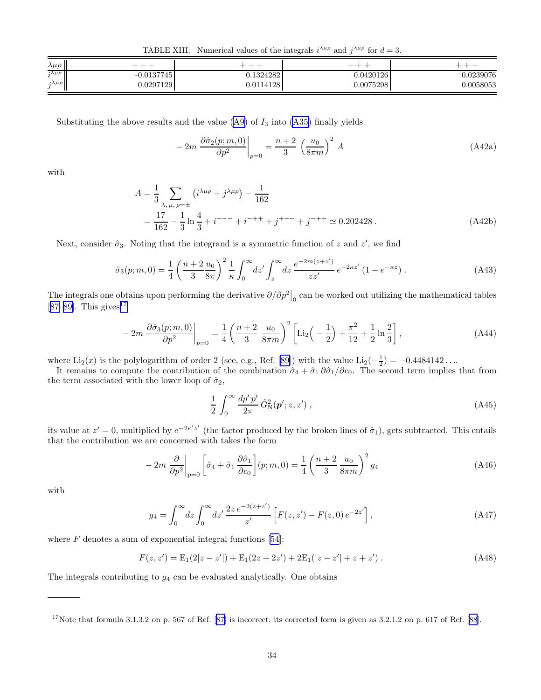TABLE XIII. Numerical values of the integrals  $i^{\lambda\mu\rho}$  and  $j^{\lambda\mu\rho}$  for  $d=3$ .

<span id="page-33-0"></span>

| $\lambda \mu \rho$            | __           | __        | -         |           |
|-------------------------------|--------------|-----------|-----------|-----------|
| $i^{\lambda\mu\rho}$          | $-0.0137745$ | 0.1324282 | 0.0420126 | 0.0239076 |
| $\lambda \mu \rho$<br>$\cdot$ | J.0297129    | J.0114128 | 0.0075298 | 0.0058053 |

Substituting the above results and the value  $(A9)$  of  $I_3$  into  $(A35)$  finally yields

$$
-2m\left.\frac{\partial\hat{\sigma}_2(p;m,0)}{\partial p^2}\right|_{p=0} = \frac{n+2}{3}\left(\frac{u_0}{8\pi m}\right)^2 A\tag{A42a}
$$

with

$$
A = \frac{1}{3} \sum_{\lambda, \mu, \rho = \pm} \left( i^{\lambda \mu \rho} + j^{\lambda \mu \rho} \right) - \frac{1}{162}
$$
  
= 
$$
\frac{17}{162} - \frac{1}{3} \ln \frac{4}{3} + i^{+--} + i^{-++} + j^{+--} + j^{-++} \approx 0.202428.
$$
 (A42b)

Next, consider  $\hat{\sigma}_3$ . Noting that the integrand is a symmetric function of z and z', we find

$$
\hat{\sigma}_3(p;m,0) = \frac{1}{4} \left( \frac{n+2}{3} \frac{u_0}{8\pi} \right)^2 \frac{1}{\kappa} \int_0^\infty dz' \int_z^\infty dz \, \frac{e^{-2m(z+z')}}{zz'} \, e^{-2\kappa z'} \left( 1 - e^{-\kappa z} \right). \tag{A43}
$$

The integrals one obtains upon performing the derivative  $\partial/\partial p^2|_0$  can be worked out utilizing the mathematical tables [[87–89\]](#page-39-0). This gives<sup>17</sup>

$$
-2m\left.\frac{\partial\hat{\sigma}_{3}(p;m,0)}{\partial p^{2}}\right|_{p=0} = \frac{1}{4}\left(\frac{n+2}{3}\frac{u_{0}}{8\pi m}\right)^{2}\left[\text{Li}_{2}\left(-\frac{1}{2}\right)+\frac{\pi^{2}}{12}+\frac{1}{2}\ln\frac{2}{3}\right],\tag{A44}
$$

where $Li_2(x)$  is the polylogarithm of order 2 (see, e.g., Ref. [[89\]](#page-39-0)) with the value  $Li_2(-\frac{1}{2}) = -0.4484142...$ 

It remains to compute the contribution of the combination  $\hat{\sigma}_4 + \hat{\sigma}_1 \partial \hat{\sigma}_1/\partial c_0$ . The second term implies that from the term associated with the lower loop of  $\hat{\sigma}_2$ ,

$$
\frac{1}{2} \int_0^\infty \frac{dp' \, p'}{2\pi} \, \hat{G}_N^2(\mathbf{p}'; z, z') \;, \tag{A45}
$$

its value at  $z'=0$ , multiplied by  $e^{-2\kappa' z'}$  (the factor produced by the broken lines of  $\hat{\sigma}_1$ ), gets subtracted. This entails that the contribution we are concerned with takes the form

$$
-2m\frac{\partial}{\partial p^2}\bigg|_{p=0} \left[\hat{\sigma}_4 + \hat{\sigma}_1 \frac{\partial \hat{\sigma}_1}{\partial c_0}\right](p;m,0) = \frac{1}{4} \left(\frac{n+2}{3} \frac{u_0}{8\pi m}\right)^2 g_4 \tag{A46}
$$

with

$$
g_4 = \int_0^\infty dz \int_0^\infty dz' \frac{2z \, e^{-2(z+z')}}{z'} \left[ F(z, z') - F(z, 0) \, e^{-2z'} \right],\tag{A47}
$$

where  $F$  denotes a sum of exponential integral functions [\[54](#page-38-0)]:

$$
F(z, z') = \mathcal{E}_1(2|z - z'|) + \mathcal{E}_1(2z + 2z') + 2\mathcal{E}_1(|z - z'| + z + z'). \tag{A48}
$$

The integrals contributing to  $g_4$  can be evaluated analytically. One obtains

<sup>17</sup>Notethat formula 3.1.3.2 on p. 567 of Ref. [[87\]](#page-39-0) is incorrect; its corrected form is given as 3.2.1.2 on p. 617 of Ref. [\[88](#page-39-0)].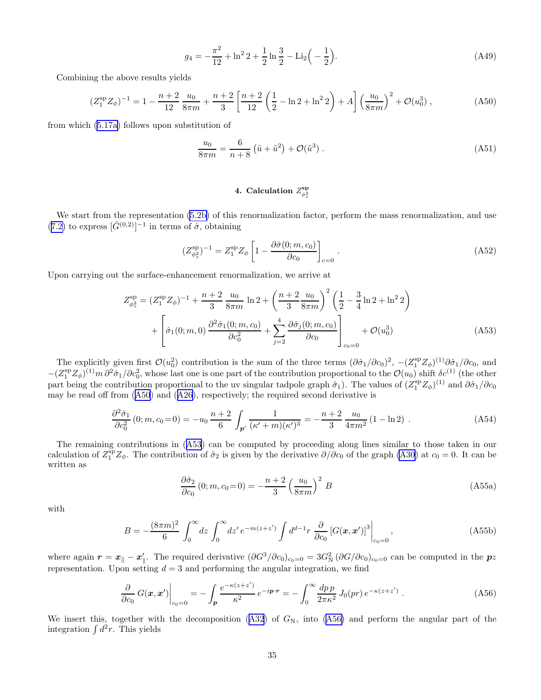$$
g_4 = -\frac{\pi^2}{12} + \ln^2 2 + \frac{1}{2} \ln \frac{3}{2} - \text{Li}_2\left(-\frac{1}{2}\right). \tag{A49}
$$

<span id="page-34-0"></span>Combining the above results yields

$$
(Z_1^{\rm sp} Z_{\phi})^{-1} = 1 - \frac{n+2}{12} \frac{u_0}{8\pi m} + \frac{n+2}{3} \left[ \frac{n+2}{12} \left( \frac{1}{2} - \ln 2 + \ln^2 2 \right) + A \right] \left( \frac{u_0}{8\pi m} \right)^2 + \mathcal{O}(u_0^3) ,\tag{A50}
$$

from which([5.17a\)](#page-14-0) follows upon substitution of

$$
\frac{u_0}{8\pi m} = \frac{6}{n+8} \left( \tilde{u} + \tilde{u}^2 \right) + \mathcal{O}(\tilde{u}^3) \,. \tag{A51}
$$

# 4. Calculation  $Z_{\phi_s^2}^{\mathbf{s}\mathbf{p}}$

We start from the representation [\(5.2b\)](#page-11-0) of this renormalization factor, perform the mass renormalization, and use ([7.2\)](#page-20-0) to express  $[\hat{G}^{(0,2)}]^{-1}$  in terms of  $\hat{\sigma}$ , obtaining

$$
(Z_{\phi_s^2}^{\rm sp})^{-1} = Z_1^{\rm sp} Z_{\phi} \left[ 1 - \frac{\partial \hat{\sigma}(0; m, c_0)}{\partial c_0} \right]_{c=0} . \tag{A52}
$$

Upon carrying out the surface-enhancement renormalization, we arrive at

$$
Z_{\phi_s^2}^{\rm sp} = (Z_1^{\rm sp} Z_\phi)^{-1} + \frac{n+2}{3} \frac{u_0}{8\pi m} \ln 2 + \left(\frac{n+2}{3} \frac{u_0}{8\pi m}\right)^2 \left(\frac{1}{2} - \frac{3}{4} \ln 2 + \ln^2 2\right) + \left[\hat{\sigma}_1(0; m, 0) \frac{\partial^2 \hat{\sigma}_1(0; m, c_0)}{\partial c_0^2} + \sum_{j=2}^4 \frac{\partial \hat{\sigma}_j(0; m, c_0)}{\partial c_0}\right]_{c_0=0} + \mathcal{O}(u_0^3)
$$
(A53)

The explicitly given first  $\mathcal{O}(u_0^2)$  contribution is the sum of the three terms  $(\partial \hat{\sigma}_1/\partial c_0)^2$ ,  $-(Z_1^{\text{sp}}Z_{\phi})^{(1)}\partial \hat{\sigma}_1/\partial c_0$ , and  $-(Z_1^{\rm sp}Z_{\phi})^{(1)}m\partial^2\hat{\sigma}_1/\partial c_0^2$ , whose last one is one part of the contribution proportional to the  $\mathcal{O}(u_0)$  shift  $\delta c^{(1)}$  (the other part being the contribution proportional to the uv singular tadpole graph  $\hat{\sigma}_1$ ). The values of  $(Z_1^{\text{sp}}Z_{\phi})^{(1)}$  and  $\partial \hat{\sigma}_1/\partial c_0$ may be read off from (A50) and([A26](#page-30-0)), respectively; the required second derivative is

$$
\frac{\partial^2 \hat{\sigma}_1}{\partial c_0^2} (0; m, c_0 = 0) = -u_0 \frac{n+2}{6} \int_{\mathbf{p}'} \frac{1}{(\kappa' + m)(\kappa')^3} = -\frac{n+2}{3} \frac{u_0}{4\pi m^2} (1 - \ln 2) \tag{A54}
$$

The remaining contributions in (A53) can be computed by proceeding along lines similar to those taken in our calculation of  $Z_1^{\text{sp}}Z_{\phi}$ . The contribution of  $\hat{\sigma}_2$  is given by the derivative  $\partial/\partial c_0$  of the graph [\(A30\)](#page-31-0) at  $c_0 = 0$ . It can be written as

$$
\frac{\partial \hat{\sigma}_2}{\partial c_0} (0; m, c_0 = 0) = -\frac{n+2}{3} \left(\frac{u_0}{8\pi m}\right)^2 B
$$
\n(A55a)

with

$$
B = -\frac{(8\pi m)^2}{6} \int_0^\infty dz \int_0^\infty dz' e^{-m(z+z')} \int d^{d-1}r \left. \frac{\partial}{\partial c_0} \left[ G(x, x') \right]^3 \right|_{c_0=0},\tag{A55b}
$$

where again  $r = x_{\parallel} - x'_{\parallel}$ . The required derivative  $(\partial G^3/\partial c_0)_{c_0=0} = 3G_N^2 (\partial G/\partial c_0)_{c_0=0}$  can be computed in the  $pz$ representation. Upon setting  $d = 3$  and performing the angular integration, we find

$$
\left. \frac{\partial}{\partial c_0} G(\boldsymbol{x}, \boldsymbol{x}') \right|_{c_0 = 0} = -\int_{\boldsymbol{p}} \frac{e^{-\kappa(z + z')}}{\kappa^2} e^{-i\boldsymbol{p} \cdot \boldsymbol{r}} = -\int_0^\infty \frac{dp \, p}{2\pi \kappa^2} J_0(pr) \, e^{-\kappa(z + z')} \, . \tag{A56}
$$

Weinsert this, together with the decomposition  $(A32)$  $(A32)$  $(A32)$  of  $G_N$ , into  $(A56)$  and perform the angular part of the integration  $\int d^2r$ . This yields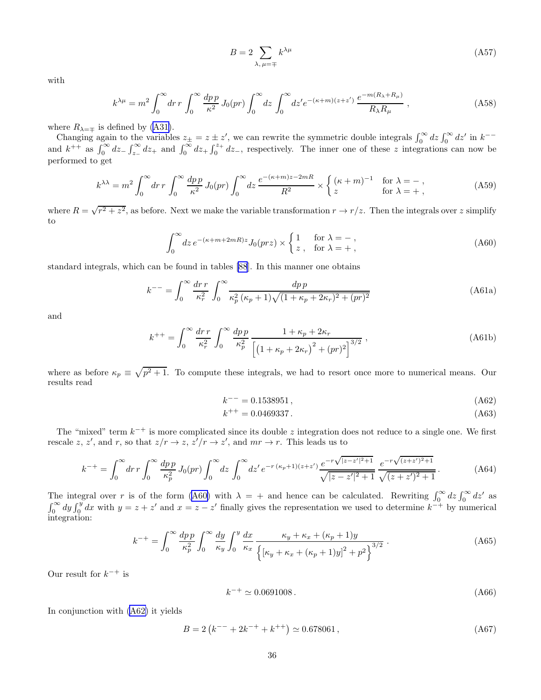$$
B = 2 \sum_{\lambda, \mu = \mp} k^{\lambda \mu} \tag{A57}
$$

with

$$
k^{\lambda\mu} = m^2 \int_0^\infty dr \, r \int_0^\infty \frac{dp \, p}{\kappa^2} \, J_0(pr) \int_0^\infty dz \, \int_0^\infty dz' e^{-(\kappa + m)(z + z')} \, \frac{e^{-m(R_\lambda + R_\mu)}}{R_\lambda R_\mu} \,, \tag{A58}
$$

where  $R_{\lambda=\pm}$  is defined by [\(A31\)](#page-31-0).

Changing again to the variables  $z_{\pm} = z \pm z'$ , we can rewrite the symmetric double integrals  $\int_0^{\infty} dz \int_0^{\infty} dz'$  in  $k^{--}$ and  $k^{++}$  as  $\int_0^\infty dz_-\int_{z_-}^\infty dz_+$  and  $\int_0^\infty dz_+\int_0^{z_+} dz_-$ , respectively. The inner one of these z integrations can now be performed to get

$$
k^{\lambda\lambda} = m^2 \int_0^\infty dr \, r \int_0^\infty \frac{dp \, p}{\kappa^2} \, J_0(pr) \int_0^\infty dz \, \frac{e^{-(\kappa+m)z-2mR}}{R^2} \times \begin{cases} (\kappa+m)^{-1} & \text{for } \lambda = -\,,\\ z & \text{for } \lambda = +\,, \end{cases} \tag{A59}
$$

where  $R = \sqrt{r^2 + z^2}$ , as before. Next we make the variable transformation  $r \to r/z$ . Then the integrals over z simplify to

$$
\int_0^\infty dz \, e^{-(\kappa + m + 2mR)z} J_0(prz) \times \begin{cases} 1 & \text{for } \lambda = -\,, \\ z \,, & \text{for } \lambda = +\,, \end{cases} \tag{A60}
$$

standard integrals, which can be found in tables [\[88](#page-39-0)]. In this manner one obtains

$$
k^{--} = \int_0^\infty \frac{dr \, r}{\kappa_r^2} \int_0^\infty \frac{dp \, p}{\kappa_p^2 \left(\kappa_p + 1\right) \sqrt{(1 + \kappa_p + 2\kappa_r)^2 + (pr)^2}} \tag{A61a}
$$

and

$$
k^{++} = \int_0^\infty \frac{dr \, r}{\kappa_r^2} \int_0^\infty \frac{dp \, p}{\kappa_p^2} \frac{1 + \kappa_p + 2\kappa_r}{\left[ \left( 1 + \kappa_p + 2\kappa_r \right)^2 + (pr)^2 \right]^{3/2}} \,, \tag{A61b}
$$

where as before  $\kappa_p \equiv \sqrt{p^2 + 1}$ . To compute these integrals, we had to resort once more to numerical means. Our results read

$$
k^{--} = 0.1538951\,,\tag{A62}
$$

$$
k^{++} = 0.0469337. \tag{A63}
$$

The "mixed" term  $k^{-+}$  is more complicated since its double z integration does not reduce to a single one. We first rescale z, z', and r, so that  $z/r \to z$ ,  $z'/r \to z'$ , and  $mr \to r$ . This leads us to

$$
k^{-+} = \int_0^\infty dr \, r \int_0^\infty \frac{dp \, p}{\kappa_p^2} \, J_0(pr) \int_0^\infty dz \, \int_0^\infty dz' \, e^{-r \, (\kappa_p + 1)(z + z')} \frac{e^{-r \sqrt{|z - z'|^2 + 1}}}{\sqrt{|z - z'|^2 + 1}} \, \frac{e^{-r \sqrt{(z + z')^2 + 1}}}{\sqrt{(z + z')^2 + 1}} \,. \tag{A64}
$$

The integral over r is of the form (A60) with  $\lambda = +$  and hence can be calculated. Rewriting  $\int_0^\infty dz \int_0^\infty dz'$  as  $\int_0^\infty dy \int_0^y dx$  with  $y = z + z'$  and  $x = z - z'$  finally gives the representation we used to determine  $k^{-+}$  by numerical integration:

$$
k^{-+} = \int_0^{\infty} \frac{dp \, p}{\kappa_p^2} \int_0^{\infty} \frac{dy}{\kappa_y} \int_0^y \frac{dx}{\kappa_x} \frac{\kappa_y + \kappa_x + (\kappa_p + 1)y}{\left\{ [\kappa_y + \kappa_x + (\kappa_p + 1)y]^2 + p^2 \right\}^{3/2}} \,. \tag{A65}
$$

Our result for  $k^{-+}$  is

$$
k^{-+} \simeq 0.0691008 \,. \tag{A66}
$$

In conjunction with (A62) it yields

$$
B = 2\left(k^{--} + 2k^{-+} + k^{++}\right) \simeq 0.678061\,,\tag{A67}
$$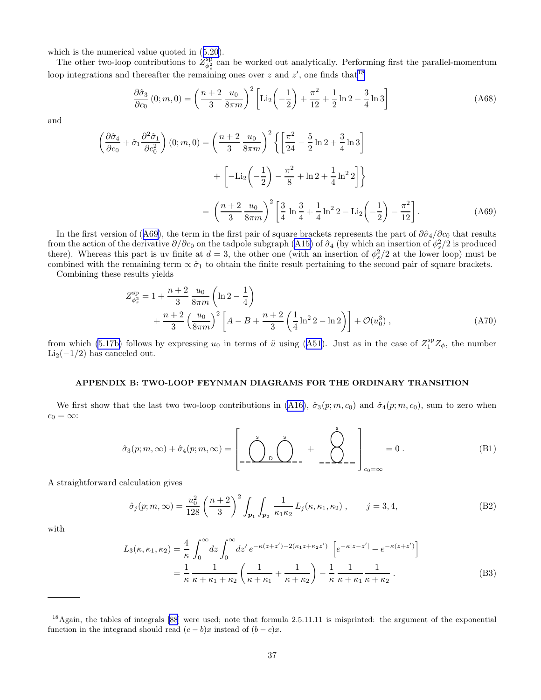<span id="page-36-0"></span>which is the numerical value quoted in([5.20](#page-14-0)).

The other two-loop contributions to  $Z_{\phi_s^2}^{sp}$  can be worked out analytically. Performing first the parallel-momentum loop integrations and thereafter the remaining ones over z and  $z'$ , one finds that<sup>18</sup>

$$
\frac{\partial \hat{\sigma}_3}{\partial c_0} (0; m, 0) = \left(\frac{n+2}{3} \frac{u_0}{8\pi m}\right)^2 \left[\text{Li}_2\left(-\frac{1}{2}\right) + \frac{\pi^2}{12} + \frac{1}{2}\ln 2 - \frac{3}{4}\ln 3\right]
$$
(A68)

and

$$
\left(\frac{\partial \hat{\sigma}_4}{\partial c_0} + \hat{\sigma}_1 \frac{\partial^2 \hat{\sigma}_1}{\partial c_0^2}\right)(0; m, 0) = \left(\frac{n+2}{3} \frac{u_0}{8\pi m}\right)^2 \left\{ \left[\frac{\pi^2}{24} - \frac{5}{2} \ln 2 + \frac{3}{4} \ln 3\right] + \left[-\text{Li}_2\left(-\frac{1}{2}\right) - \frac{\pi^2}{8} + \ln 2 + \frac{1}{4} \ln^2 2\right] \right\}
$$

$$
= \left(\frac{n+2}{3} \frac{u_0}{8\pi m}\right)^2 \left[\frac{3}{4} \ln \frac{3}{4} + \frac{1}{4} \ln^2 2 - \text{Li}_2\left(-\frac{1}{2}\right) - \frac{\pi^2}{12}\right].
$$
 (A69)

In the first version of (A69), the term in the first pair of square brackets represents the part of  $\partial \hat{\sigma}_4/\partial c_0$  that results from the action of the derivative  $\partial/\partial c_0$  on the tadpole subgraph [\(A15\)](#page-29-0) of  $\hat{\sigma}_4$  (by which an insertion of  $\phi_s^2/2$  is produced there). Whereas this part is uv finite at  $d=3$ , the other one (with an insertion of  $\phi_s^2/2$  at the lower loop) must be combined with the remaining term  $\propto \hat{\sigma}_1$  to obtain the finite result pertaining to the second pair of square brackets.

Combining these results yields

$$
Z_{\phi_s^2}^{\rm sp} = 1 + \frac{n+2}{3} \frac{u_0}{8\pi m} \left( \ln 2 - \frac{1}{4} \right)
$$
  
+ 
$$
\frac{n+2}{3} \left( \frac{u_0}{8\pi m} \right)^2 \left[ A - B + \frac{n+2}{3} \left( \frac{1}{4} \ln^2 2 - \ln 2 \right) \right] + \mathcal{O}(u_0^3) ,
$$
 (A70)

from which [\(5.17b\)](#page-14-0)follows by expressing  $u_0$  in terms of  $\tilde{u}$  using ([A51](#page-34-0)). Just as in the case of  $Z_1^{\rm sp}Z_{\phi}$ , the number  $Li_2(-1/2)$  has canceled out.

#### APPENDIX B: TWO-LOOP FEYNMAN DIAGRAMS FOR THE ORDINARY TRANSITION

Wefirst show that the last two two-loop contributions in ([A16](#page-29-0)),  $\hat{\sigma}_3(p; m, c_0)$  and  $\hat{\sigma}_4(p; m, c_0)$ , sum to zero when  $c_0 = \infty$ :

$$
\hat{\sigma}_3(p;m,\infty) + \hat{\sigma}_4(p;m,\infty) = \left[ \underbrace{\left( \bigotimes_{\mathsf{D}} \bigotimes_{\mathsf{D}}^{\mathsf{s}} + \bigotimes_{\mathsf{D}}^{\mathsf{s}} \right)}_{-\mathsf{D}} \right]_{c_0=\infty} = 0. \tag{B1}
$$

A straightforward calculation gives

$$
\hat{\sigma}_j(p;m,\infty) = \frac{u_0^2}{128} \left(\frac{n+2}{3}\right)^2 \int_{p_1} \int_{p_2} \frac{1}{\kappa_1 \kappa_2} L_j(\kappa, \kappa_1, \kappa_2) , \qquad j = 3, 4,
$$
 (B2)

with

$$
L_3(\kappa, \kappa_1, \kappa_2) = \frac{4}{\kappa} \int_0^\infty dz \int_0^\infty dz' e^{-\kappa(z+z') - 2(\kappa_1 z + \kappa_2 z')} \left[ e^{-\kappa|z-z'|} - e^{-\kappa(z+z')} \right]
$$
  
=  $\frac{1}{\kappa} \frac{1}{\kappa + \kappa_1 + \kappa_2} \left( \frac{1}{\kappa + \kappa_1} + \frac{1}{\kappa + \kappa_2} \right) - \frac{1}{\kappa} \frac{1}{\kappa + \kappa_1} \frac{1}{\kappa + \kappa_2}.$  (B3)

<sup>&</sup>lt;sup>18</sup>Again, the tables of integrals [\[88](#page-39-0)] were used; note that formula 2.5.11.11 is misprinted: the argument of the exponential function in the integrand should read  $(c - b)x$  instead of  $(b - c)x$ .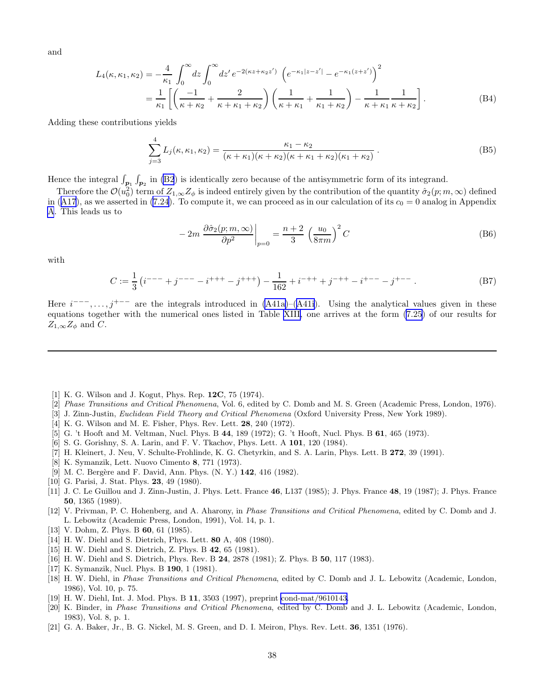<span id="page-37-0"></span>and

$$
L_4(\kappa, \kappa_1, \kappa_2) = -\frac{4}{\kappa_1} \int_0^\infty dz \int_0^\infty dz' e^{-2(\kappa z + \kappa_2 z')} \left( e^{-\kappa_1 |z - z'|} - e^{-\kappa_1 (z + z')} \right)^2
$$
  
=  $\frac{1}{\kappa_1} \left[ \left( \frac{-1}{\kappa + \kappa_2} + \frac{2}{\kappa + \kappa_1 + \kappa_2} \right) \left( \frac{1}{\kappa + \kappa_1} + \frac{1}{\kappa_1 + \kappa_2} \right) - \frac{1}{\kappa + \kappa_1} \frac{1}{\kappa + \kappa_2} \right].$  (B4)

Adding these contributions yields

$$
\sum_{j=3}^{4} L_j(\kappa, \kappa_1, \kappa_2) = \frac{\kappa_1 - \kappa_2}{(\kappa + \kappa_1)(\kappa + \kappa_2)(\kappa + \kappa_1 + \kappa_2)(\kappa_1 + \kappa_2)}.
$$
 (B5)

Hence the integral  $\int_{p_1} \int_{p_2}$  in [\(B2](#page-36-0)) is identically zero because of the antisymmetric form of its integrand.

Therefore the  $\mathcal{O}(u_0^2)$  term of  $Z_{1,\infty}Z_{\phi}$  is indeed entirely given by the contribution of the quantity  $\hat{\sigma}_2(p;m,\infty)$  defined in([A17](#page-29-0)), as we asserted in [\(7.24](#page-22-0)). To compute it, we can proceed as in our calculation of its  $c_0 = 0$  analog in Appendix [A](#page-27-0). This leads us to

$$
-2m\left.\frac{\partial\hat{\sigma}_2(p;m,\infty)}{\partial p^2}\right|_{p=0} = \frac{n+2}{3}\left(\frac{u_0}{8\pi m}\right)^2C
$$
 (B6)

with

$$
C := \frac{1}{3} \left( i^{---} + j^{---} - i^{+++} - j^{+++} \right) - \frac{1}{162} + i^{-++} + j^{-++} - i^{+---} - j^{+--} \tag{B7}
$$

Here  $i^{---}, \ldots, j^{+--}$  are the integrals introduced in [\(A41a\)](#page-32-0)–([A41i\)](#page-32-0). Using the analytical values given in these equations together with the numerical ones listed in Table [XIII,](#page-33-0) one arrives at the form [\(7.25\)](#page-23-0) of our results for  $Z_{1,\infty}Z_{\phi}$  and C.

- [1] K. G. Wilson and J. Kogut, Phys. Rep. 12C, 75 (1974).
- [2] Phase Transitions and Critical Phenomena, Vol. 6, edited by C. Domb and M. S. Green (Academic Press, London, 1976).
- [3] J. Zinn-Justin, Euclidean Field Theory and Critical Phenomena (Oxford University Press, New York 1989).
- [4] K. G. Wilson and M. E. Fisher, Phys. Rev. Lett. 28, 240 (1972).
- [5] G. 't Hooft and M. Veltman, Nucl. Phys. B 44, 189 (1972); G. 't Hooft, Nucl. Phys. B 61, 465 (1973).
- [6] S. G. Gorishny, S. A. Larin, and F. V. Tkachov, Phys. Lett. A 101, 120 (1984).
- [7] H. Kleinert, J. Neu, V. Schulte-Frohlinde, K. G. Chetyrkin, and S. A. Larin, Phys. Lett. B 272, 39 (1991).
- [8] K. Symanzik, Lett. Nuovo Cimento 8, 771 (1973).
- [9] M. C. Bergère and F. David, Ann. Phys. (N. Y.) 142, 416 (1982).
- [10] G. Parisi, J. Stat. Phys. **23**, 49 (1980).
- [11] J. C. Le Guillou and J. Zinn-Justin, J. Phys. Lett. France 46, L137 (1985); J. Phys. France 48, 19 (1987); J. Phys. France 50, 1365 (1989).
- [12] V. Privman, P. C. Hohenberg, and A. Aharony, in Phase Transitions and Critical Phenomena, edited by C. Domb and J. L. Lebowitz (Academic Press, London, 1991), Vol. 14, p. 1.
- [13] V. Dohm, Z. Phys. B **60**, 61 (1985).
- [14] H. W. Diehl and S. Dietrich, Phys. Lett. 80 A, 408 (1980).
- [15] H. W. Diehl and S. Dietrich, Z. Phys. B 42, 65 (1981).
- [16] H. W. Diehl and S. Dietrich, Phys. Rev. B 24, 2878 (1981); Z. Phys. B 50, 117 (1983).
- [17] K. Symanzik, Nucl. Phys. B 190, 1 (1981).
- [18] H. W. Diehl, in *Phase Transitions and Critical Phenomena*, edited by C. Domb and J. L. Lebowitz (Academic, London, 1986), Vol. 10, p. 75.
- [19] H. W. Diehl, Int. J. Mod. Phys. B 11, 3503 (1997), preprint [cond-mat/9610143.](http://arxiv.org/abs/cond-mat/9610143)
- [20] K. Binder, in Phase Transitions and Critical Phenomena, edited by C. Domb and J. L. Lebowitz (Academic, London, 1983), Vol. 8, p. 1.
- [21] G. A. Baker, Jr., B. G. Nickel, M. S. Green, and D. I. Meiron, Phys. Rev. Lett. 36, 1351 (1976).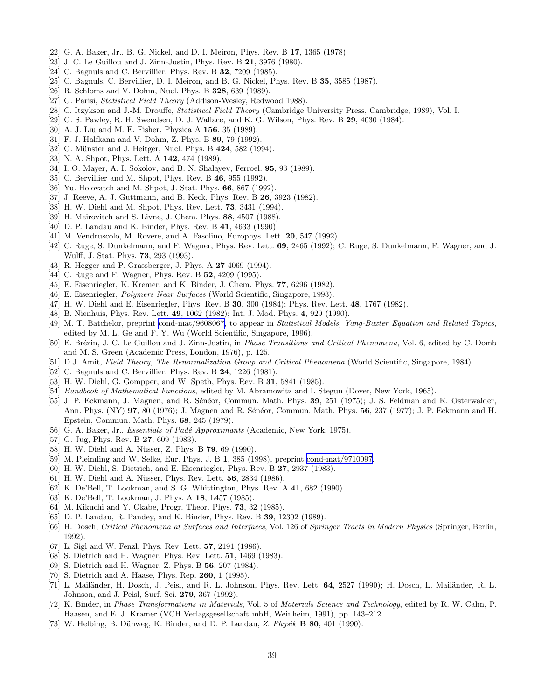- <span id="page-38-0"></span>[22] G. A. Baker, Jr., B. G. Nickel, and D. I. Meiron, Phys. Rev. B 17, 1365 (1978).
- [23] J. C. Le Guillou and J. Zinn-Justin, Phys. Rev. B **21**, 3976 (1980).
- [24] C. Bagnuls and C. Bervillier, Phys. Rev. B **32**, 7209 (1985).
- [25] C. Bagnuls, C. Bervillier, D. I. Meiron, and B. G. Nickel, Phys. Rev. B 35, 3585 (1987).
- [26] R. Schloms and V. Dohm, Nucl. Phys. B 328, 639 (1989).
- [27] G. Parisi, *Statistical Field Theory* (Addison-Wesley, Redwood 1988).
- [28] C. Itzykson and J.-M. Drouffe, Statistical Field Theory (Cambridge University Press, Cambridge, 1989), Vol. I.
- [29] G. S. Pawley, R. H. Swendsen, D. J. Wallace, and K. G. Wilson, Phys. Rev. B 29, 4030 (1984).
- [30] A. J. Liu and M. E. Fisher, Physica A 156, 35 (1989).
- [31] F. J. Halfkann and V. Dohm, Z. Phys. B 89, 79 (1992).
- [32] G. Münster and J. Heitger, Nucl. Phys. B 424, 582 (1994).
- [33] N. A. Shpot, Phys. Lett. A **142**, 474 (1989).
- [34] I. O. Mayer, A. I. Sokolov, and B. N. Shalayev, Ferroel. **95**, 93 (1989).
- [35] C. Bervillier and M. Shpot, Phys. Rev. B 46, 955 (1992).
- [36] Yu. Holovatch and M. Shpot, J. Stat. Phys. 66, 867 (1992).
- [37] J. Reeve, A. J. Guttmann, and B. Keck, Phys. Rev. B 26, 3923 (1982).
- [38] H. W. Diehl and M. Shpot, Phys. Rev. Lett. 73, 3431 (1994).
- [39] H. Meirovitch and S. Livne, J. Chem. Phys. 88, 4507 (1988).
- [40] D. P. Landau and K. Binder, Phys. Rev. B 41, 4633 (1990).
- [41] M. Vendruscolo, M. Rovere, and A. Fasolino, Europhys. Lett. 20, 547 (1992).
- [42] C. Ruge, S. Dunkelmann, and F. Wagner, Phys. Rev. Lett. 69, 2465 (1992); C. Ruge, S. Dunkelmann, F. Wagner, and J. Wulff, J. Stat. Phys. 73, 293 (1993).
- [43] R. Hegger and P. Grassberger, J. Phys. A **27** 4069 (1994).
- [44] C. Ruge and F. Wagner, Phys. Rev. B **52**, 4209 (1995).
- [45] E. Eisenriegler, K. Kremer, and K. Binder, J. Chem. Phys. 77, 6296 (1982).
- [46] E. Eisenriegler, Polymers Near Surfaces (World Scientific, Singapore, 1993).
- [47] H. W. Diehl and E. Eisenriegler, Phys. Rev. B 30, 300 (1984); Phys. Rev. Lett. 48, 1767 (1982).
- [48] B. Nienhuis, Phys. Rev. Lett. 49, 1062 (1982); Int. J. Mod. Phys. 4, 929 (1990).
- [49] M. T. Batchelor, preprint [cond-mat/9608067,](http://arxiv.org/abs/cond-mat/9608067) to appear in Statistical Models, Yang-Baxter Equation and Related Topics, edited by M. L. Ge and F. Y. Wu (World Scientific, Singapore, 1996).
- [50] E. Brézin, J. C. Le Guillou and J. Zinn-Justin, in *Phase Transitions and Critical Phenomena*, Vol. 6, edited by C. Domb and M. S. Green (Academic Press, London, 1976), p. 125.
- [51] D.J. Amit, Field Theory, The Renormalization Group and Critical Phenomena (World Scientific, Singapore, 1984).
- [52] C. Bagnuls and C. Bervillier, Phys. Rev. B **24**, 1226 (1981).
- [53] H. W. Diehl, G. Gompper, and W. Speth, Phys. Rev. B 31, 5841 (1985).
- [54] Handbook of Mathematical Functions, edited by M. Abramowitz and I. Stegun (Dover, New York, 1965).
- [55] J. P. Eckmann, J. Magnen, and R. Sénéor, Commun. Math. Phys. 39, 251 (1975); J. S. Feldman and K. Osterwalder, Ann. Phys. (NY) 97, 80 (1976); J. Magnen and R. Sénéor, Commun. Math. Phys. 56, 237 (1977); J. P. Eckmann and H. Epstein, Commun. Math. Phys. 68, 245 (1979).
- [56] G. A. Baker, Jr., *Essentials of Padé Approximants* (Academic, New York, 1975).
- [57] G. Jug, Phys. Rev. B **27**, 609 (1983).
- [58] H. W. Diehl and A. Nüsser, Z. Phys. B **79**, 69 (1990).
- [59] M. Pleimling and W. Selke, Eur. Phys. J. B 1, 385 (1998), preprint [cond-mat/9710097.](http://arxiv.org/abs/cond-mat/9710097)
- [60] H. W. Diehl, S. Dietrich, and E. Eisenriegler, Phys. Rev. B 27, 2937 (1983).
- [61] H. W. Diehl and A. Nüsser, Phys. Rev. Lett. **56**, 2834 (1986).
- [62] K. De'Bell, T. Lookman, and S. G. Whittington, Phys. Rev. A 41, 682 (1990).
- [63] K. De'Bell, T. Lookman, J. Phys. A 18, L457 (1985).
- [64] M. Kikuchi and Y. Okabe, Progr. Theor. Phys. **73**, 32 (1985).
- [65] D. P. Landau, R. Pandey, and K. Binder, Phys. Rev. B 39, 12302 (1989).
- [66] H. Dosch, Critical Phenomena at Surfaces and Interfaces, Vol. 126 of Springer Tracts in Modern Physics (Springer, Berlin, 1992).
- [67] L. Sigl and W. Fenzl, Phys. Rev. Lett. **57**, 2191 (1986).
- [68] S. Dietrich and H. Wagner, Phys. Rev. Lett. **51**, 1469 (1983).
- [69] S. Dietrich and H. Wagner, Z. Phys. B 56, 207 (1984).
- [70] S. Dietrich and A. Haase, Phys. Rep. 260, 1 (1995).
- [71] L. Mailänder, H. Dosch, J. Peisl, and R. L. Johnson, Phys. Rev. Lett. 64, 2527 (1990); H. Dosch, L. Mailänder, R. L. Johnson, and J. Peisl, Surf. Sci. 279, 367 (1992).
- [72] K. Binder, in Phase Transformations in Materials, Vol. 5 of Materials Science and Technology, edited by R. W. Cahn, P. Haasen, and E. J. Kramer (VCH Verlagsgesellschaft mbH, Weinheim, 1991), pp. 143–212.
- [73] W. Helbing, B. Dünweg, K. Binder, and D. P. Landau, Z. Physik  $\bf{B}$  80, 401 (1990).